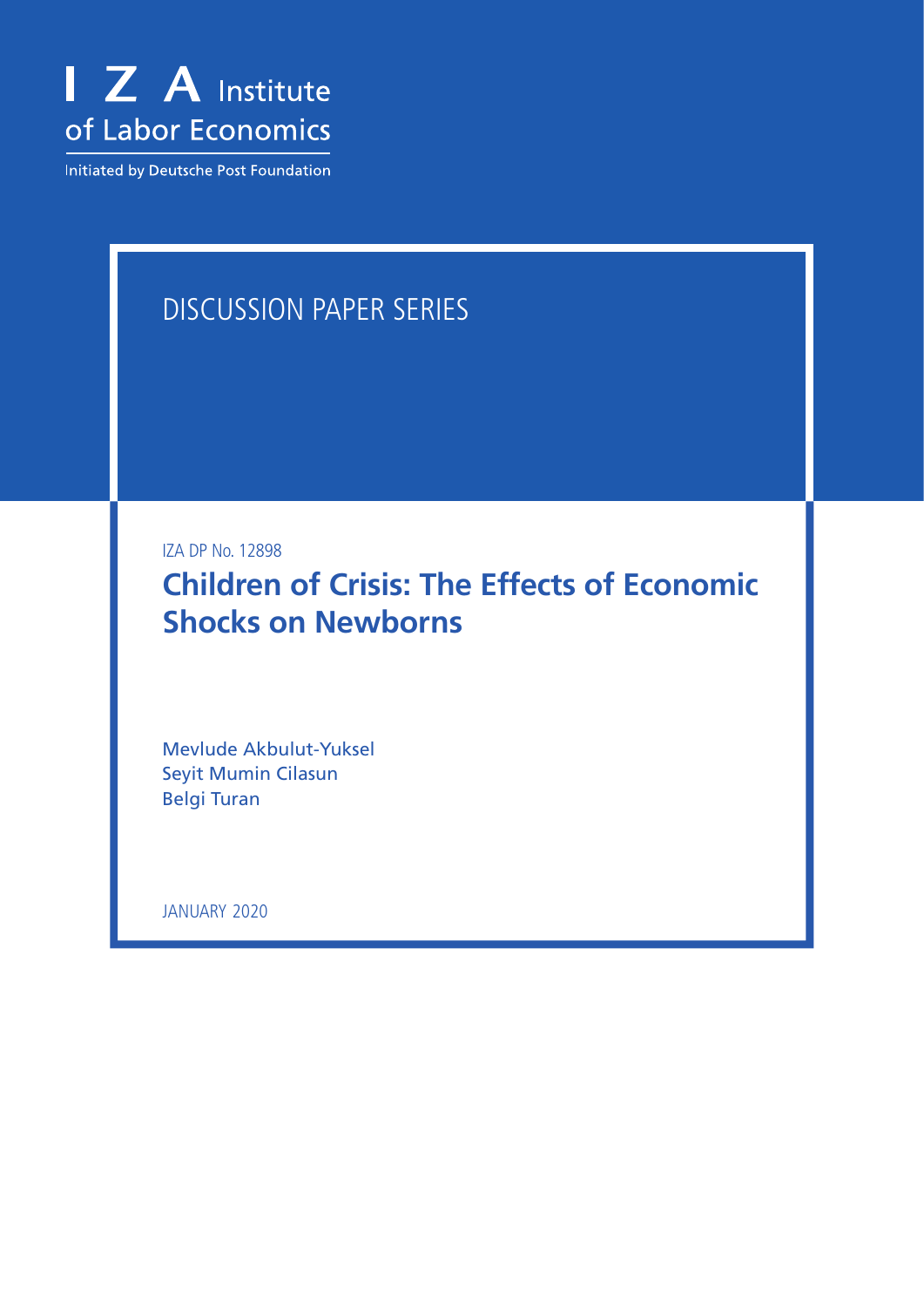

Initiated by Deutsche Post Foundation

# DISCUSSION PAPER SERIES

IZA DP No. 12898

**Children of Crisis: The Effects of Economic Shocks on Newborns**

Mevlude Akbulut-Yuksel Seyit Mumin Cilasun Belgi Turan

JANUARY 2020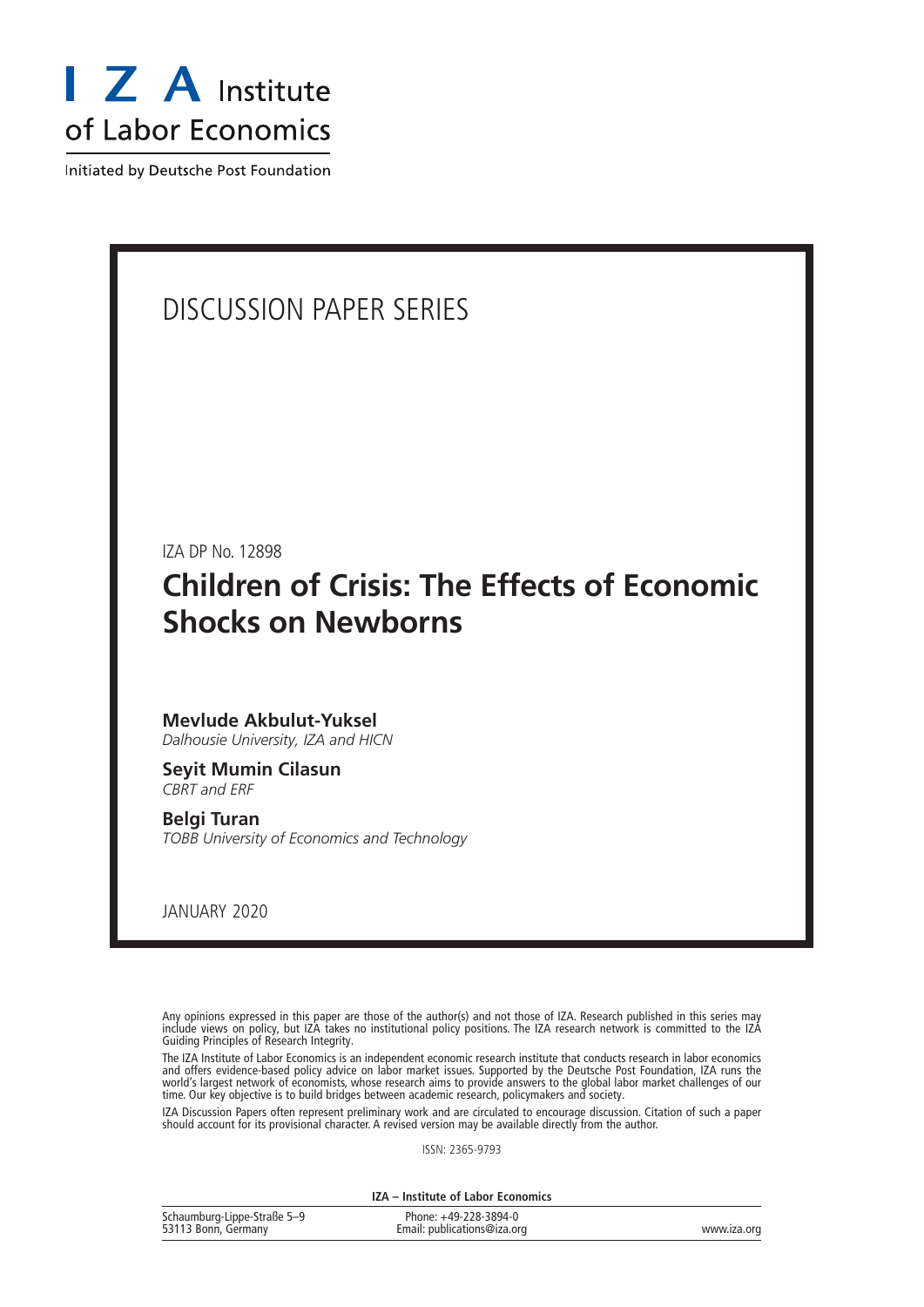

Initiated by Deutsche Post Foundation

## DISCUSSION PAPER SERIES

IZA DP No. 12898

# **Children of Crisis: The Effects of Economic Shocks on Newborns**

## **Mevlude Akbulut-Yuksel**

*Dalhousie University, IZA and HICN*

### **Seyit Mumin Cilasun** *CBRT and ERF*

**Belgi Turan** *TOBB University of Economics and Technology*

JANUARY 2020

Any opinions expressed in this paper are those of the author(s) and not those of IZA. Research published in this series may include views on policy, but IZA takes no institutional policy positions. The IZA research network is committed to the IZA Guiding Principles of Research Integrity.

The IZA Institute of Labor Economics is an independent economic research institute that conducts research in labor economics and offers evidence-based policy advice on labor market issues. Supported by the Deutsche Post Foundation, IZA runs the world's largest network of economists, whose research aims to provide answers to the global labor market challenges of our time. Our key objective is to build bridges between academic research, policymakers and society.

IZA Discussion Papers often represent preliminary work and are circulated to encourage discussion. Citation of such a paper should account for its provisional character. A revised version may be available directly from the author.

ISSN: 2365-9793

**IZA – Institute of Labor Economics**

| Schaumburg-Lippe-Straße 5-9 | Phone: +49-228-3894-0       |             |
|-----------------------------|-----------------------------|-------------|
| 53113 Bonn, Germany         | Email: publications@iza.org | www.iza.org |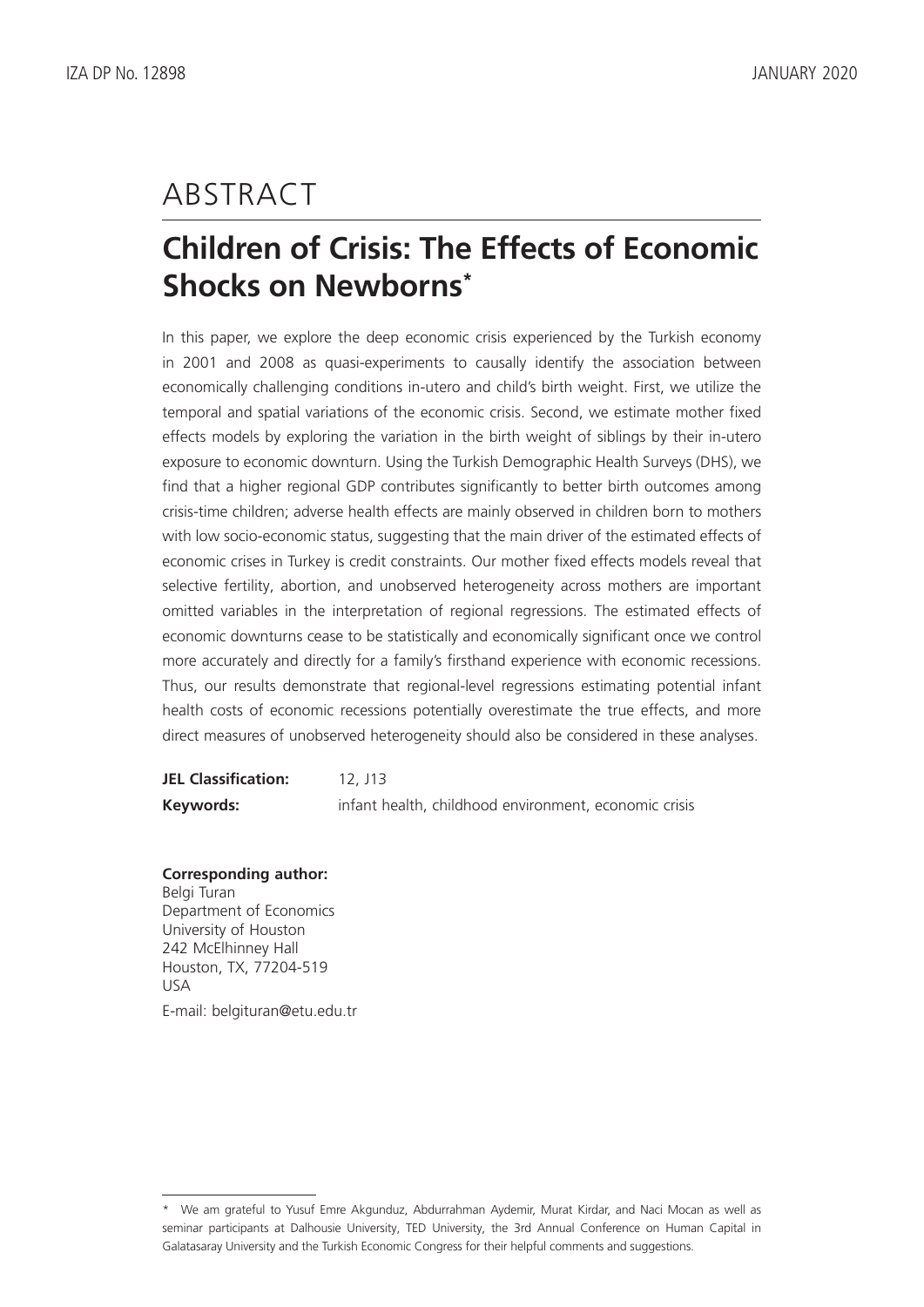# ABSTRACT

# **Children of Crisis: The Effects of Economic Shocks on Newborns\***

In this paper, we explore the deep economic crisis experienced by the Turkish economy in 2001 and 2008 as quasi-experiments to causally identify the association between economically challenging conditions in-utero and child's birth weight. First, we utilize the temporal and spatial variations of the economic crisis. Second, we estimate mother fixed effects models by exploring the variation in the birth weight of siblings by their in-utero exposure to economic downturn. Using the Turkish Demographic Health Surveys (DHS), we find that a higher regional GDP contributes significantly to better birth outcomes among crisis-time children; adverse health effects are mainly observed in children born to mothers with low socio-economic status, suggesting that the main driver of the estimated effects of economic crises in Turkey is credit constraints. Our mother fixed effects models reveal that selective fertility, abortion, and unobserved heterogeneity across mothers are important omitted variables in the interpretation of regional regressions. The estimated effects of economic downturns cease to be statistically and economically significant once we control more accurately and directly for a family's firsthand experience with economic recessions. Thus, our results demonstrate that regional-level regressions estimating potential infant health costs of economic recessions potentially overestimate the true effects, and more direct measures of unobserved heterogeneity should also be considered in these analyses.

**JEL Classification:** 12, J13 **Keywords:** infant health, childhood environment, economic crisis

### **Corresponding author:**

Belgi Turan Department of Economics University of Houston 242 McElhinney Hall Houston, TX, 77204-519 USA E-mail: belgituran@etu.edu.tr

<sup>\*</sup> We am grateful to Yusuf Emre Akgunduz, Abdurrahman Aydemir, Murat Kirdar, and Naci Mocan as well as seminar participants at Dalhousie University, TED University, the 3rd Annual Conference on Human Capital in Galatasaray University and the Turkish Economic Congress for their helpful comments and suggestions.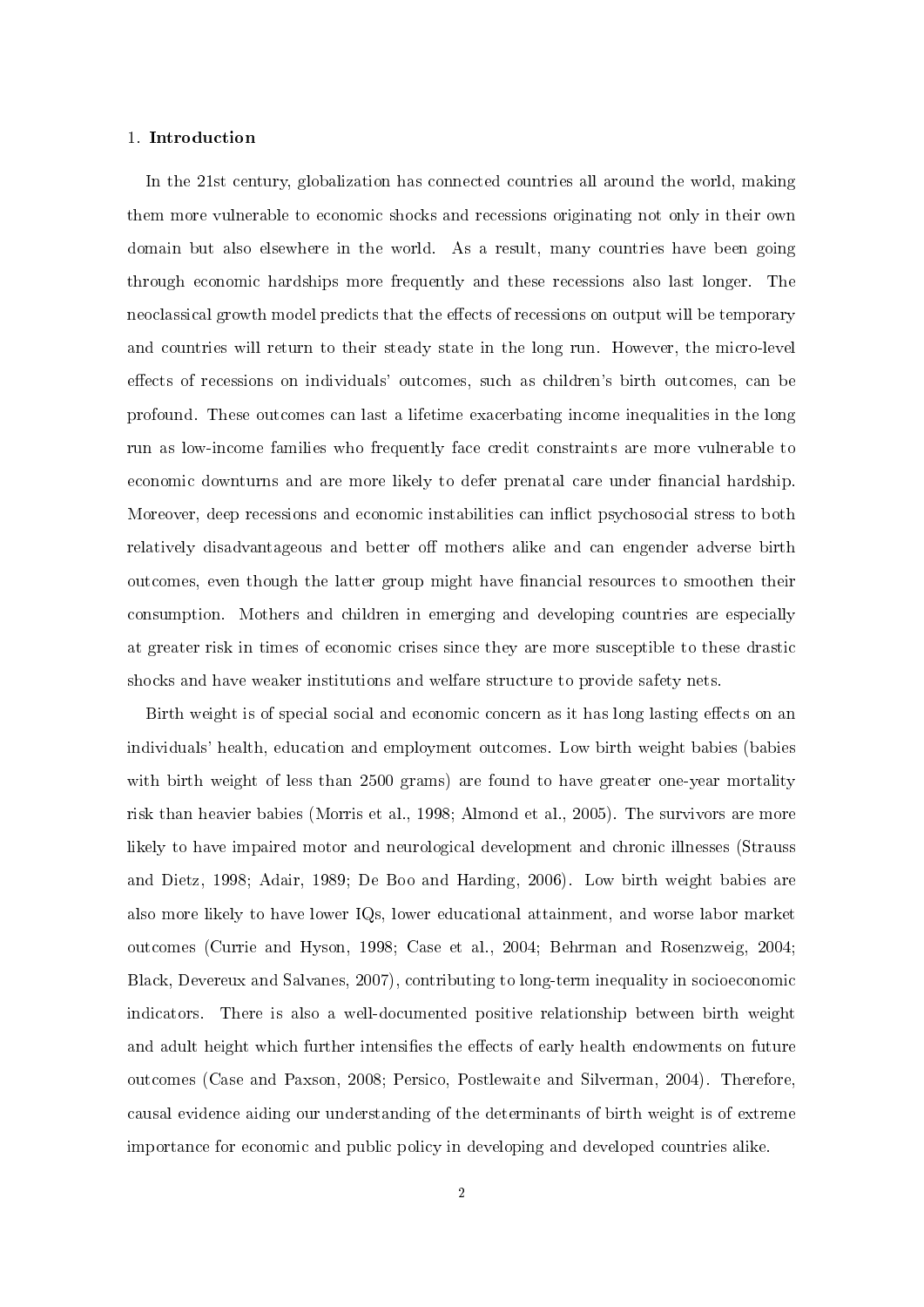#### 1. Introduction

In the 21st century, globalization has connected countries all around the world, making them more vulnerable to economic shocks and recessions originating not only in their own domain but also elsewhere in the world. As a result, many countries have been going through economic hardships more frequently and these recessions also last longer. The neoclassical growth model predicts that the effects of recessions on output will be temporary and countries will return to their steady state in the long run. However, the micro-level effects of recessions on individuals' outcomes, such as children's birth outcomes, can be profound. These outcomes can last a lifetime exacerbating income inequalities in the long run as low-income families who frequently face credit constraints are more vulnerable to economic downturns and are more likely to defer prenatal care under financial hardship. Moreover, deep recessions and economic instabilities can inflict psychosocial stress to both relatively disadvantageous and better off mothers alike and can engender adverse birth outcomes, even though the latter group might have financial resources to smoothen their consumption. Mothers and children in emerging and developing countries are especially at greater risk in times of economic crises since they are more susceptible to these drastic shocks and have weaker institutions and welfare structure to provide safety nets.

Birth weight is of special social and economic concern as it has long lasting effects on an individuals' health, education and employment outcomes. Low birth weight babies (babies with birth weight of less than 2500 grams) are found to have greater one-year mortality risk than heavier babies (Morris et al., 1998; Almond et al., 2005). The survivors are more likely to have impaired motor and neurological development and chronic illnesses (Strauss and Dietz, 1998; Adair, 1989; De Boo and Harding, 2006). Low birth weight babies are also more likely to have lower IQs, lower educational attainment, and worse labor market outcomes (Currie and Hyson, 1998; Case et al., 2004; Behrman and Rosenzweig, 2004; Black, Devereux and Salvanes, 2007), contributing to long-term inequality in socioeconomic indicators. There is also a well-documented positive relationship between birth weight and adult height which further intensifies the effects of early health endowments on future outcomes (Case and Paxson, 2008; Persico, Postlewaite and Silverman, 2004). Therefore, causal evidence aiding our understanding of the determinants of birth weight is of extreme importance for economic and public policy in developing and developed countries alike.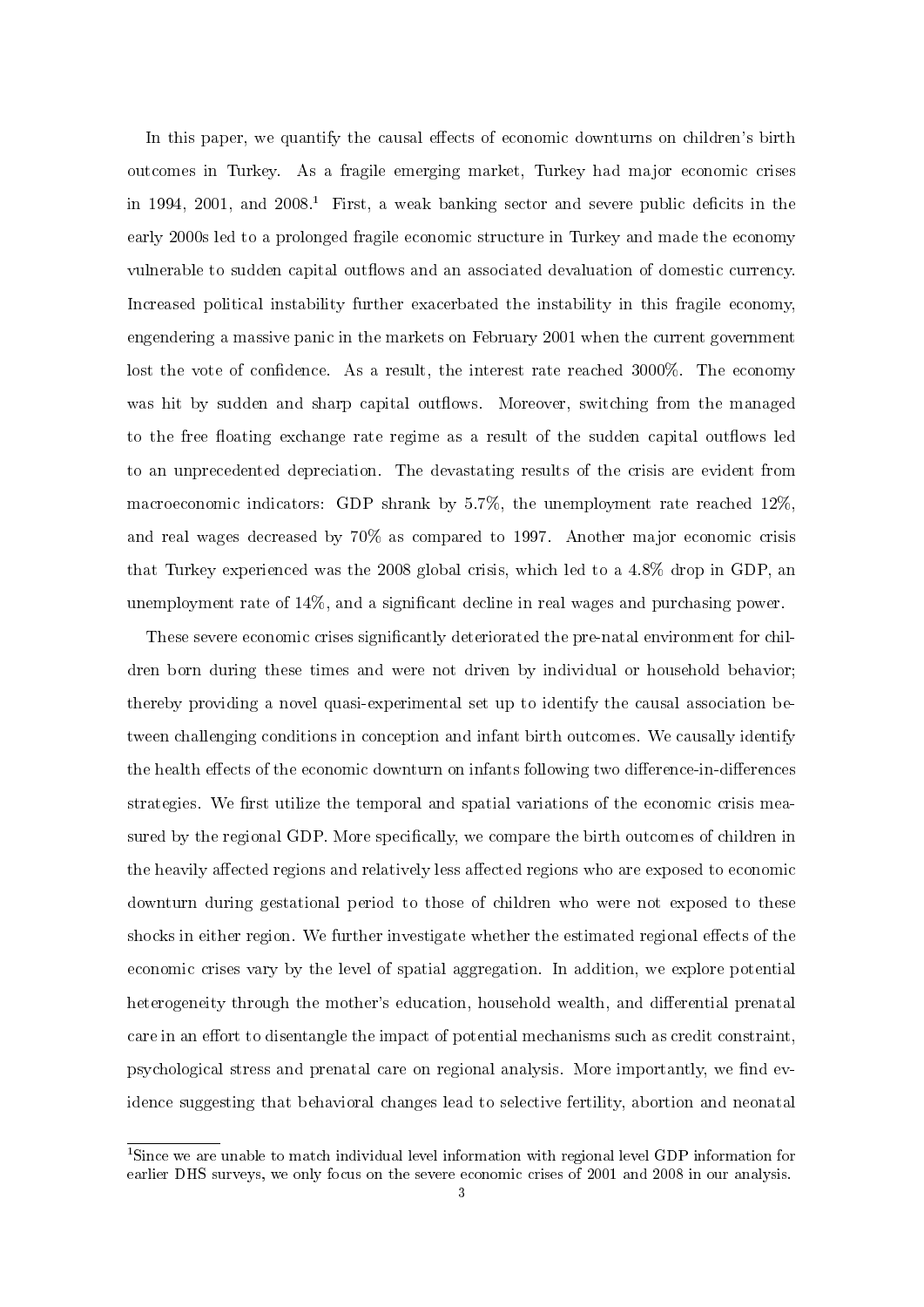In this paper, we quantify the causal effects of economic downturns on children's birth outcomes in Turkey. As a fragile emerging market, Turkey had major economic crises in 1994, 2001, and  $2008<sup>1</sup>$  First, a weak banking sector and severe public deficits in the early 2000s led to a prolonged fragile economic structure in Turkey and made the economy vulnerable to sudden capital outflows and an associated devaluation of domestic currency. Increased political instability further exacerbated the instability in this fragile economy, engendering a massive panic in the markets on February 2001 when the current government lost the vote of confidence. As a result, the interest rate reached 3000%. The economy was hit by sudden and sharp capital outflows. Moreover, switching from the managed to the free floating exchange rate regime as a result of the sudden capital outflows led to an unprecedented depreciation. The devastating results of the crisis are evident from macroeconomic indicators: GDP shrank by 5.7%, the unemployment rate reached 12%, and real wages decreased by 70% as compared to 1997. Another major economic crisis that Turkey experienced was the 2008 global crisis, which led to a 4.8% drop in GDP, an unemployment rate of  $14\%$ , and a significant decline in real wages and purchasing power.

These severe economic crises significantly deteriorated the pre-natal environment for children born during these times and were not driven by individual or household behavior; thereby providing a novel quasi-experimental set up to identify the causal association between challenging conditions in conception and infant birth outcomes. We causally identify the health effects of the economic downturn on infants following two difference-in-differences strategies. We first utilize the temporal and spatial variations of the economic crisis measured by the regional GDP. More specifically, we compare the birth outcomes of children in the heavily affected regions and relatively less affected regions who are exposed to economic downturn during gestational period to those of children who were not exposed to these shocks in either region. We further investigate whether the estimated regional effects of the economic crises vary by the level of spatial aggregation. In addition, we explore potential heterogeneity through the mother's education, household wealth, and differential prenatal care in an effort to disentangle the impact of potential mechanisms such as credit constraint, psychological stress and prenatal care on regional analysis. More importantly, we find evidence suggesting that behavioral changes lead to selective fertility, abortion and neonatal

<sup>1</sup>Since we are unable to match individual level information with regional level GDP information for earlier DHS surveys, we only focus on the severe economic crises of 2001 and 2008 in our analysis.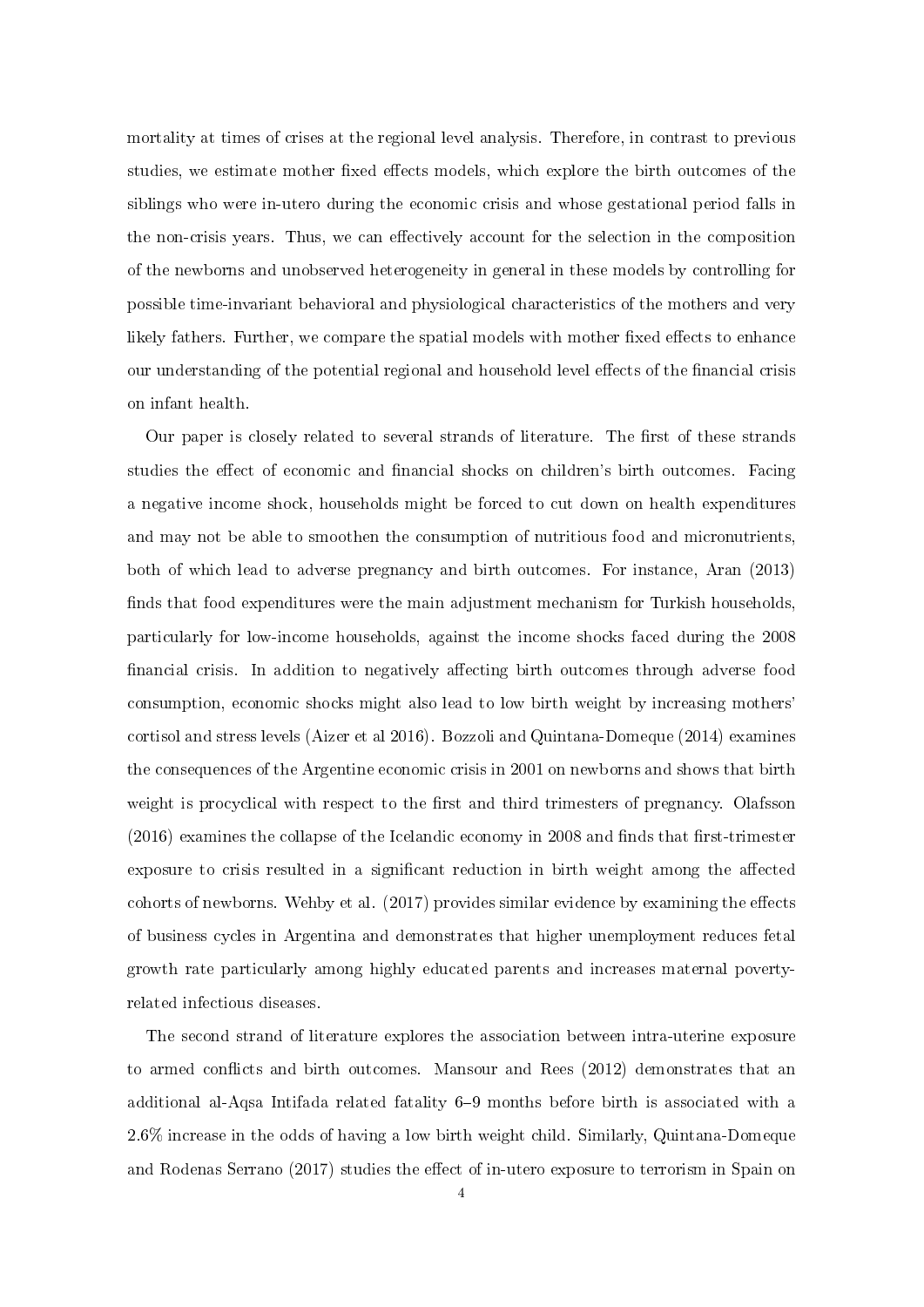mortality at times of crises at the regional level analysis. Therefore, in contrast to previous studies, we estimate mother fixed effects models, which explore the birth outcomes of the siblings who were in-utero during the economic crisis and whose gestational period falls in the non-crisis years. Thus, we can effectively account for the selection in the composition of the newborns and unobserved heterogeneity in general in these models by controlling for possible time-invariant behavioral and physiological characteristics of the mothers and very likely fathers. Further, we compare the spatial models with mother fixed effects to enhance our understanding of the potential regional and household level effects of the financial crisis on infant health.

Our paper is closely related to several strands of literature. The first of these strands studies the effect of economic and financial shocks on children's birth outcomes. Facing a negative income shock, households might be forced to cut down on health expenditures and may not be able to smoothen the consumption of nutritious food and micronutrients, both of which lead to adverse pregnancy and birth outcomes. For instance, Aran (2013) finds that food expenditures were the main adjustment mechanism for Turkish households, particularly for low-income households, against the income shocks faced during the 2008 financial crisis. In addition to negatively affecting birth outcomes through adverse food consumption, economic shocks might also lead to low birth weight by increasing mothers' cortisol and stress levels (Aizer et al 2016). Bozzoli and Quintana-Domeque (2014) examines the consequences of the Argentine economic crisis in 2001 on newborns and shows that birth weight is procyclical with respect to the first and third trimesters of pregnancy. Olafsson  $(2016)$  examines the collapse of the Icelandic economy in 2008 and finds that first-trimester exposure to crisis resulted in a significant reduction in birth weight among the affected cohorts of newborns. Wehby et al.  $(2017)$  provides similar evidence by examining the effects of business cycles in Argentina and demonstrates that higher unemployment reduces fetal growth rate particularly among highly educated parents and increases maternal povertyrelated infectious diseases.

The second strand of literature explores the association between intra-uterine exposure to armed conflicts and birth outcomes. Mansour and Rees  $(2012)$  demonstrates that an additional al-Aqsa Intifada related fatality 6–9 months before birth is associated with a 2.6% increase in the odds of having a low birth weight child. Similarly, Quintana-Domeque and Rodenas Serrano (2017) studies the effect of in-utero exposure to terrorism in Spain on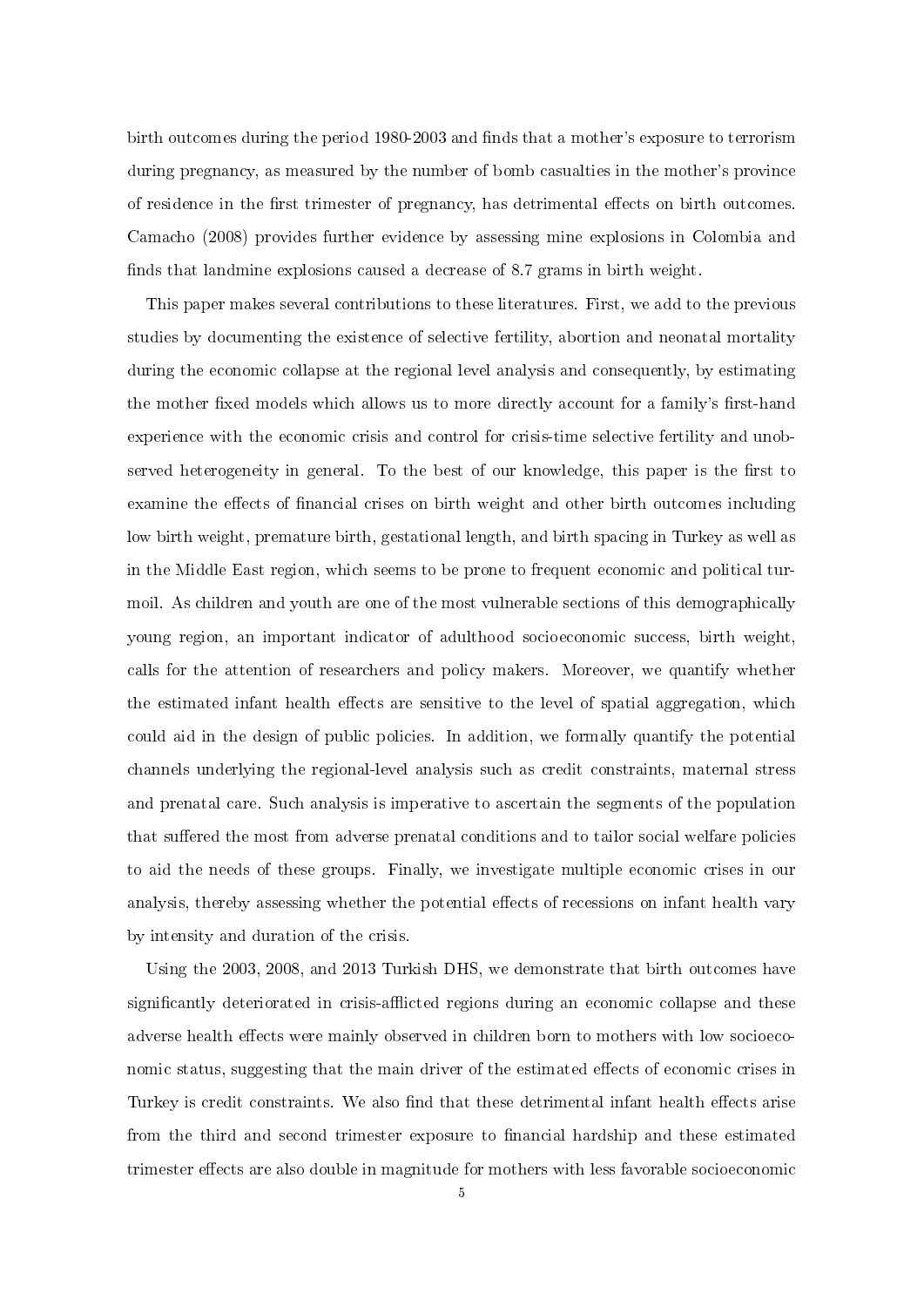birth outcomes during the period 1980-2003 and finds that a mother's exposure to terrorism during pregnancy, as measured by the number of bomb casualties in the mother's province of residence in the first trimester of pregnancy, has detrimental effects on birth outcomes. Camacho (2008) provides further evidence by assessing mine explosions in Colombia and finds that landmine explosions caused a decrease of 8.7 grams in birth weight.

This paper makes several contributions to these literatures. First, we add to the previous studies by documenting the existence of selective fertility, abortion and neonatal mortality during the economic collapse at the regional level analysis and consequently, by estimating the mother fixed models which allows us to more directly account for a family's first-hand experience with the economic crisis and control for crisis-time selective fertility and unobserved heterogeneity in general. To the best of our knowledge, this paper is the first to examine the effects of financial crises on birth weight and other birth outcomes including low birth weight, premature birth, gestational length, and birth spacing in Turkey as well as in the Middle East region, which seems to be prone to frequent economic and political turmoil. As children and youth are one of the most vulnerable sections of this demographically young region, an important indicator of adulthood socioeconomic success, birth weight, calls for the attention of researchers and policy makers. Moreover, we quantify whether the estimated infant health effects are sensitive to the level of spatial aggregation, which could aid in the design of public policies. In addition, we formally quantify the potential channels underlying the regional-level analysis such as credit constraints, maternal stress and prenatal care. Such analysis is imperative to ascertain the segments of the population that suffered the most from adverse prenatal conditions and to tailor social welfare policies to aid the needs of these groups. Finally, we investigate multiple economic crises in our analysis, thereby assessing whether the potential effects of recessions on infant health vary by intensity and duration of the crisis.

Using the 2003, 2008, and 2013 Turkish DHS, we demonstrate that birth outcomes have significantly deteriorated in crisis-afflicted regions during an economic collapse and these adverse health effects were mainly observed in children born to mothers with low socioeconomic status, suggesting that the main driver of the estimated effects of economic crises in Turkey is credit constraints. We also find that these detrimental infant health effects arise from the third and second trimester exposure to financial hardship and these estimated trimester effects are also double in magnitude for mothers with less favorable socioeconomic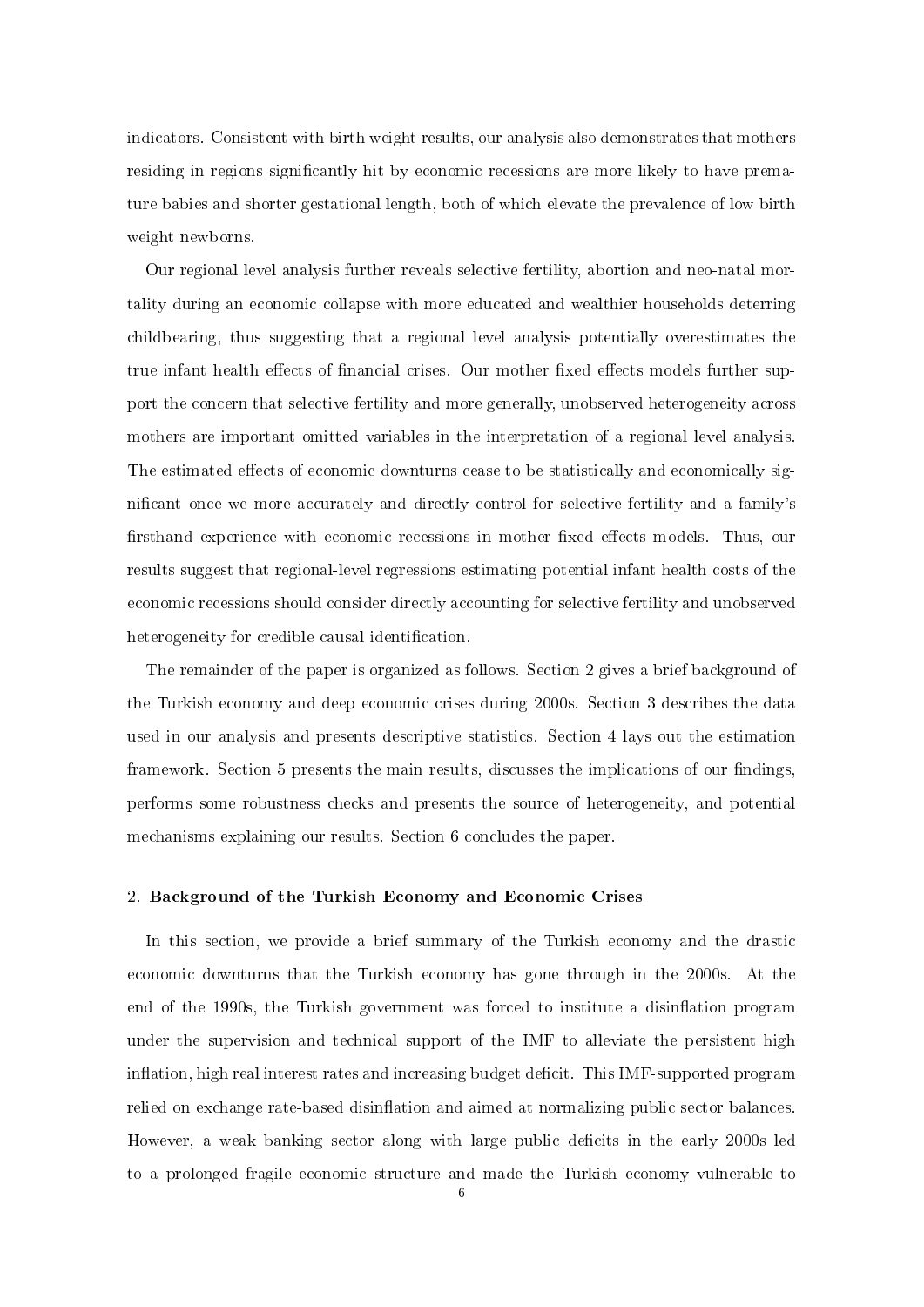indicators. Consistent with birth weight results, our analysis also demonstrates that mothers residing in regions significantly hit by economic recessions are more likely to have premature babies and shorter gestational length, both of which elevate the prevalence of low birth weight newborns.

Our regional level analysis further reveals selective fertility, abortion and neo-natal mortality during an economic collapse with more educated and wealthier households deterring childbearing, thus suggesting that a regional level analysis potentially overestimates the true infant health effects of financial crises. Our mother fixed effects models further support the concern that selective fertility and more generally, unobserved heterogeneity across mothers are important omitted variables in the interpretation of a regional level analysis. The estimated effects of economic downturns cease to be statistically and economically signicant once we more accurately and directly control for selective fertility and a family's firsthand experience with economic recessions in mother fixed effects models. Thus, our results suggest that regional-level regressions estimating potential infant health costs of the economic recessions should consider directly accounting for selective fertility and unobserved heterogeneity for credible causal identification.

The remainder of the paper is organized as follows. Section 2 gives a brief background of the Turkish economy and deep economic crises during 2000s. Section 3 describes the data used in our analysis and presents descriptive statistics. Section 4 lays out the estimation framework. Section 5 presents the main results, discusses the implications of our findings. performs some robustness checks and presents the source of heterogeneity, and potential mechanisms explaining our results. Section 6 concludes the paper.

#### 2. Background of the Turkish Economy and Economic Crises

In this section, we provide a brief summary of the Turkish economy and the drastic economic downturns that the Turkish economy has gone through in the 2000s. At the end of the 1990s, the Turkish government was forced to institute a disinflation program under the supervision and technical support of the IMF to alleviate the persistent high inflation, high real interest rates and increasing budget deficit. This IMF-supported program relied on exchange rate-based disinflation and aimed at normalizing public sector balances. However, a weak banking sector along with large public deficits in the early 2000s led to a prolonged fragile economic structure and made the Turkish economy vulnerable to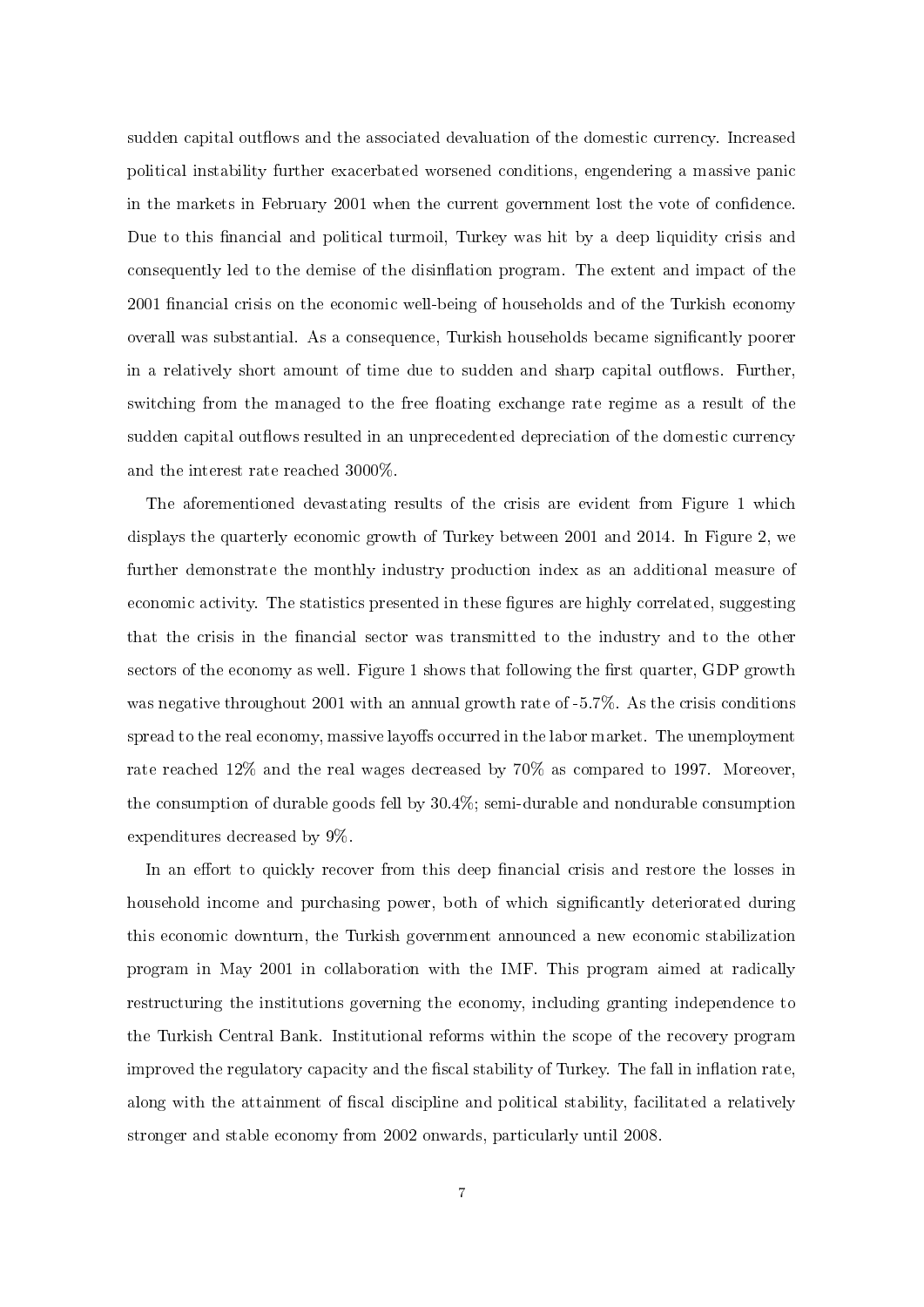sudden capital outflows and the associated devaluation of the domestic currency. Increased political instability further exacerbated worsened conditions, engendering a massive panic in the markets in February 2001 when the current government lost the vote of condence. Due to this financial and political turmoil, Turkey was hit by a deep liquidity crisis and consequently led to the demise of the disinflation program. The extent and impact of the 2001 financial crisis on the economic well-being of households and of the Turkish economy overall was substantial. As a consequence, Turkish households became significantly poorer in a relatively short amount of time due to sudden and sharp capital outflows. Further, switching from the managed to the free floating exchange rate regime as a result of the sudden capital outflows resulted in an unprecedented depreciation of the domestic currency and the interest rate reached 3000%.

The aforementioned devastating results of the crisis are evident from Figure 1 which displays the quarterly economic growth of Turkey between 2001 and 2014. In Figure 2, we further demonstrate the monthly industry production index as an additional measure of economic activity. The statistics presented in these figures are highly correlated, suggesting that the crisis in the financial sector was transmitted to the industry and to the other sectors of the economy as well. Figure 1 shows that following the first quarter, GDP growth was negative throughout 2001 with an annual growth rate of -5.7%. As the crisis conditions spread to the real economy, massive layoffs occurred in the labor market. The unemployment rate reached 12% and the real wages decreased by 70% as compared to 1997. Moreover, the consumption of durable goods fell by 30.4%; semi-durable and nondurable consumption expenditures decreased by 9%.

In an effort to quickly recover from this deep financial crisis and restore the losses in household income and purchasing power, both of which significantly deteriorated during this economic downturn, the Turkish government announced a new economic stabilization program in May 2001 in collaboration with the IMF. This program aimed at radically restructuring the institutions governing the economy, including granting independence to the Turkish Central Bank. Institutional reforms within the scope of the recovery program improved the regulatory capacity and the fiscal stability of Turkey. The fall in inflation rate, along with the attainment of fiscal discipline and political stability, facilitated a relatively stronger and stable economy from 2002 onwards, particularly until 2008.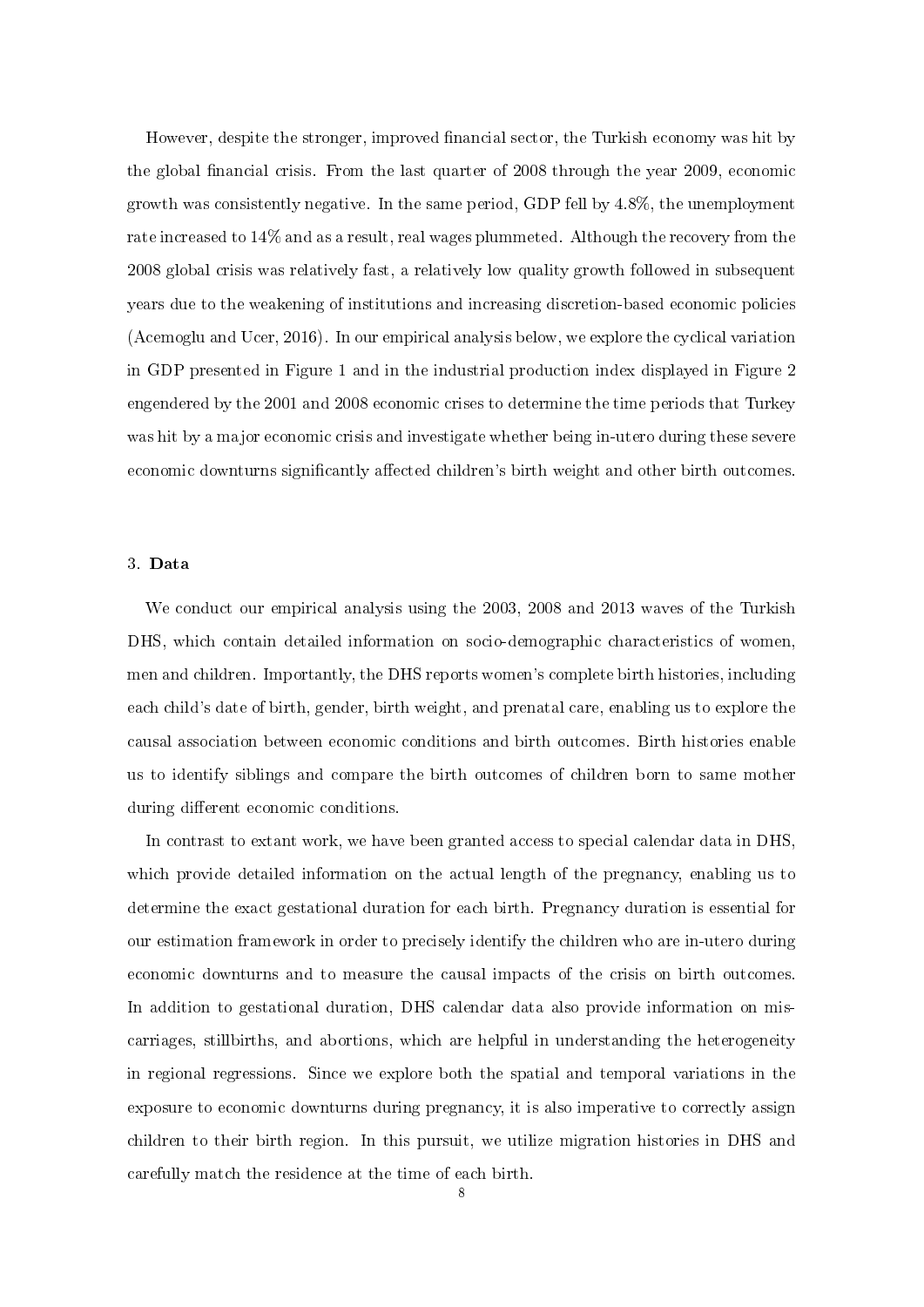However, despite the stronger, improved financial sector, the Turkish economy was hit by the global financial crisis. From the last quarter of 2008 through the year 2009, economic growth was consistently negative. In the same period, GDP fell by 4.8%, the unemployment rate increased to 14% and as a result, real wages plummeted. Although the recovery from the 2008 global crisis was relatively fast, a relatively low quality growth followed in subsequent years due to the weakening of institutions and increasing discretion-based economic policies (Acemoglu and Ucer, 2016). In our empirical analysis below, we explore the cyclical variation in GDP presented in Figure 1 and in the industrial production index displayed in Figure 2 engendered by the 2001 and 2008 economic crises to determine the time periods that Turkey was hit by a major economic crisis and investigate whether being in-utero during these severe economic downturns significantly affected children's birth weight and other birth outcomes.

#### 3. Data

We conduct our empirical analysis using the 2003, 2008 and 2013 waves of the Turkish DHS, which contain detailed information on socio-demographic characteristics of women, men and children. Importantly, the DHS reports women's complete birth histories, including each child's date of birth, gender, birth weight, and prenatal care, enabling us to explore the causal association between economic conditions and birth outcomes. Birth histories enable us to identify siblings and compare the birth outcomes of children born to same mother during different economic conditions.

In contrast to extant work, we have been granted access to special calendar data in DHS, which provide detailed information on the actual length of the pregnancy, enabling us to determine the exact gestational duration for each birth. Pregnancy duration is essential for our estimation framework in order to precisely identify the children who are in-utero during economic downturns and to measure the causal impacts of the crisis on birth outcomes. In addition to gestational duration, DHS calendar data also provide information on miscarriages, stillbirths, and abortions, which are helpful in understanding the heterogeneity in regional regressions. Since we explore both the spatial and temporal variations in the exposure to economic downturns during pregnancy, it is also imperative to correctly assign children to their birth region. In this pursuit, we utilize migration histories in DHS and carefully match the residence at the time of each birth.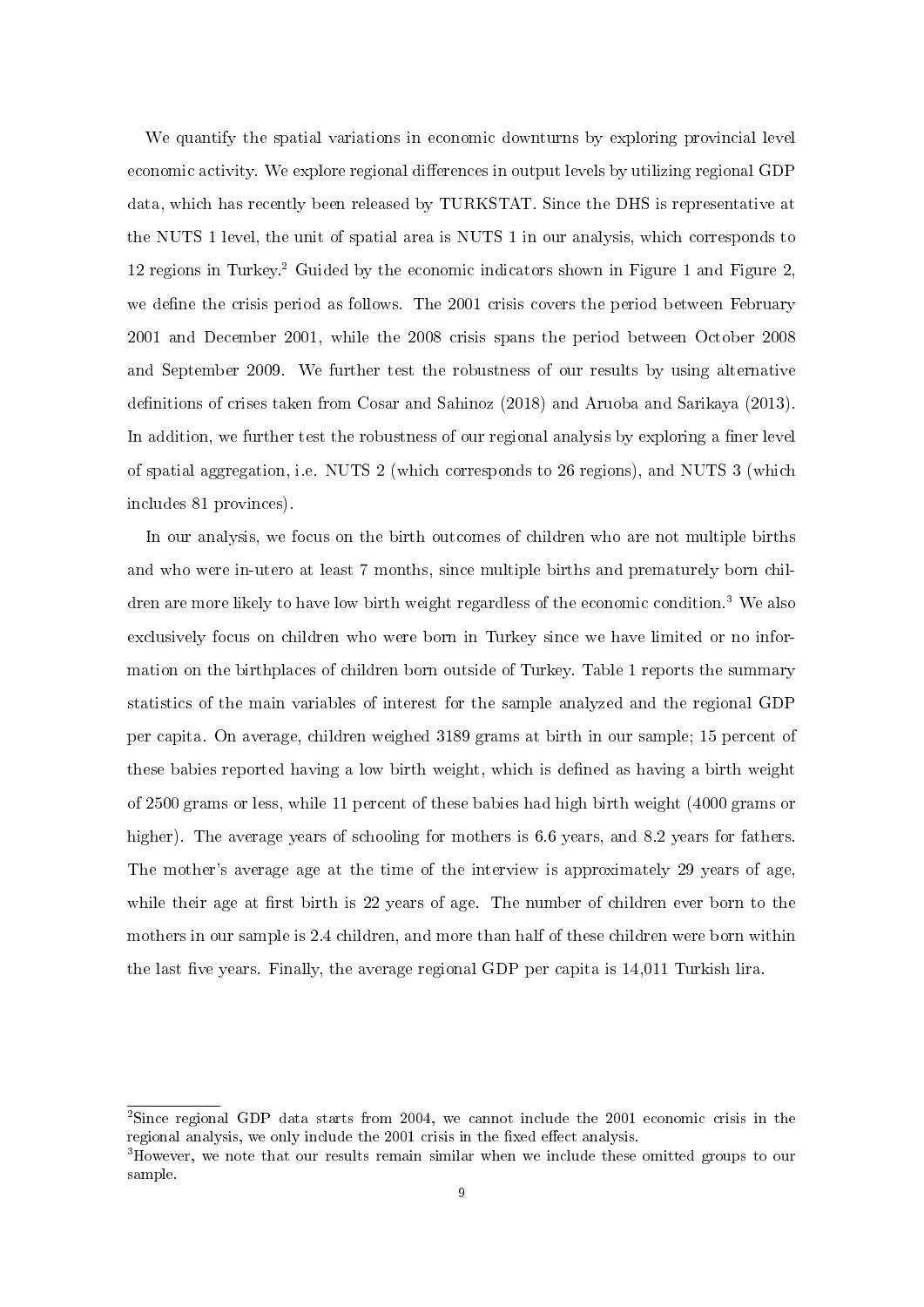We quantify the spatial variations in economic downturns by exploring provincial level economic activity. We explore regional differences in output levels by utilizing regional GDP data, which has recently been released by TURKSTAT. Since the DHS is representative at the NUTS 1 level, the unit of spatial area is NUTS 1 in our analysis, which corresponds to 12 regions in Turkey.<sup>2</sup> Guided by the economic indicators shown in Figure 1 and Figure 2. we define the crisis period as follows. The 2001 crisis covers the period between February 2001 and December 2001, while the 2008 crisis spans the period between October 2008 and September 2009. We further test the robustness of our results by using alternative definitions of crises taken from Cosar and Sahinoz (2018) and Aruoba and Sarikaya (2013). In addition, we further test the robustness of our regional analysis by exploring a finer level of spatial aggregation, i.e. NUTS 2 (which corresponds to 26 regions), and NUTS 3 (which includes 81 provinces).

In our analysis, we focus on the birth outcomes of children who are not multiple births and who were in-utero at least 7 months, since multiple births and prematurely born children are more likely to have low birth weight regardless of the economic condition.<sup>3</sup> We also exclusively focus on children who were born in Turkey since we have limited or no information on the birthplaces of children born outside of Turkey. Table 1 reports the summary statistics of the main variables of interest for the sample analyzed and the regional GDP per capita. On average, children weighed 3189 grams at birth in our sample; 15 percent of these babies reported having a low birth weight, which is defined as having a birth weight of 2500 grams or less, while 11 percent of these babies had high birth weight (4000 grams or higher). The average years of schooling for mothers is 6.6 years, and 8.2 years for fathers. The mother's average age at the time of the interview is approximately 29 years of age, while their age at first birth is 22 years of age. The number of children ever born to the mothers in our sample is 2.4 children, and more than half of these children were born within the last five years. Finally, the average regional GDP per capita is  $14,011$  Turkish lira.

<sup>2</sup>Since regional GDP data starts from 2004, we cannot include the 2001 economic crisis in the regional analysis, we only include the 2001 crisis in the fixed effect analysis.

<sup>3</sup>However, we note that our results remain similar when we include these omitted groups to our sample.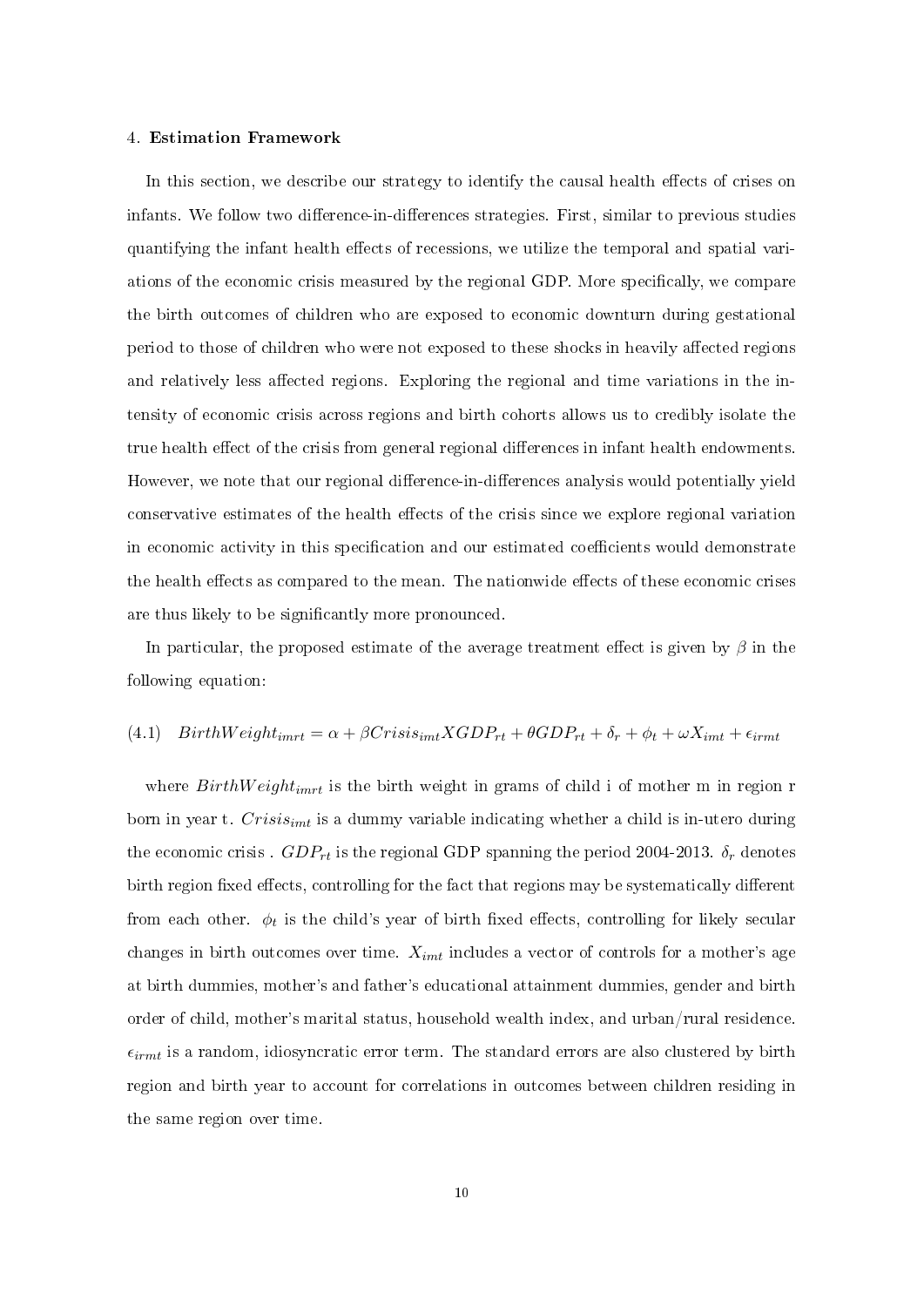#### 4. Estimation Framework

In this section, we describe our strategy to identify the causal health effects of crises on infants. We follow two difference-in-differences strategies. First, similar to previous studies quantifying the infant health effects of recessions, we utilize the temporal and spatial variations of the economic crisis measured by the regional GDP. More specifically, we compare the birth outcomes of children who are exposed to economic downturn during gestational period to those of children who were not exposed to these shocks in heavily affected regions and relatively less affected regions. Exploring the regional and time variations in the intensity of economic crisis across regions and birth cohorts allows us to credibly isolate the true health effect of the crisis from general regional differences in infant health endowments. However, we note that our regional difference-in-differences analysis would potentially yield conservative estimates of the health effects of the crisis since we explore regional variation in economic activity in this specification and our estimated coefficients would demonstrate the health effects as compared to the mean. The nationwide effects of these economic crises are thus likely to be significantly more pronounced.

In particular, the proposed estimate of the average treatment effect is given by  $\beta$  in the following equation:

### (4.1)  $BirthWeight_{imrt} = \alpha + \beta Crisis_{imt}XGDP_{rt} + \theta GDP_{rt} + \delta_r + \phi_t + \omega X_{imt} + \epsilon_{irmt}$

where  $BirthWeight_{imrt}$  is the birth weight in grams of child i of mother m in region r born in year t.  $Crisis_{imt}$  is a dummy variable indicating whether a child is in-utero during the economic crisis .  $GDP_{rt}$  is the regional GDP spanning the period 2004-2013.  $\delta_r$  denotes birth region fixed effects, controlling for the fact that regions may be systematically different from each other.  $\phi_t$  is the child's year of birth fixed effects, controlling for likely secular changes in birth outcomes over time.  $X_{imt}$  includes a vector of controls for a mother's age at birth dummies, mother's and father's educational attainment dummies, gender and birth order of child, mother's marital status, household wealth index, and urban/rural residence.  $\epsilon_{irmt}$  is a random, idiosyncratic error term. The standard errors are also clustered by birth region and birth year to account for correlations in outcomes between children residing in the same region over time.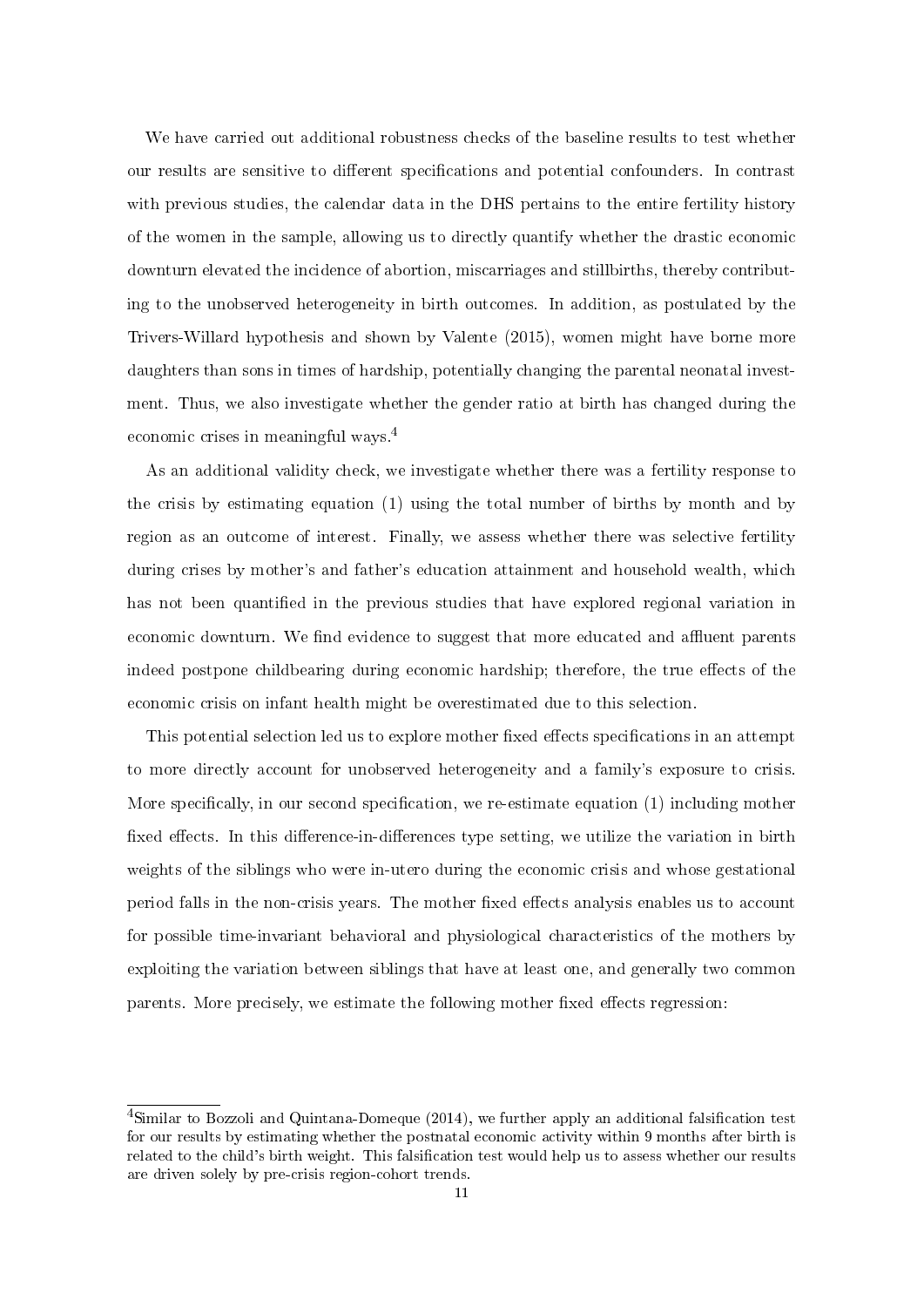We have carried out additional robustness checks of the baseline results to test whether our results are sensitive to different specifications and potential confounders. In contrast with previous studies, the calendar data in the DHS pertains to the entire fertility history of the women in the sample, allowing us to directly quantify whether the drastic economic downturn elevated the incidence of abortion, miscarriages and stillbirths, thereby contributing to the unobserved heterogeneity in birth outcomes. In addition, as postulated by the Trivers-Willard hypothesis and shown by Valente (2015), women might have borne more daughters than sons in times of hardship, potentially changing the parental neonatal investment. Thus, we also investigate whether the gender ratio at birth has changed during the economic crises in meaningful ways.<sup>4</sup>

As an additional validity check, we investigate whether there was a fertility response to the crisis by estimating equation (1) using the total number of births by month and by region as an outcome of interest. Finally, we assess whether there was selective fertility during crises by mother's and father's education attainment and household wealth, which has not been quantified in the previous studies that have explored regional variation in economic downturn. We find evidence to suggest that more educated and affluent parents indeed postpone childbearing during economic hardship; therefore, the true effects of the economic crisis on infant health might be overestimated due to this selection.

This potential selection led us to explore mother fixed effects specifications in an attempt to more directly account for unobserved heterogeneity and a family's exposure to crisis. More specifically, in our second specification, we re-estimate equation  $(1)$  including mother fixed effects. In this difference-in-differences type setting, we utilize the variation in birth weights of the siblings who were in-utero during the economic crisis and whose gestational period falls in the non-crisis years. The mother fixed effects analysis enables us to account for possible time-invariant behavioral and physiological characteristics of the mothers by exploiting the variation between siblings that have at least one, and generally two common parents. More precisely, we estimate the following mother fixed effects regression:

<sup>&</sup>lt;sup>4</sup>Similar to Bozzoli and Quintana-Domeque (2014), we further apply an additional falsification test for our results by estimating whether the postnatal economic activity within 9 months after birth is related to the child's birth weight. This falsification test would help us to assess whether our results are driven solely by pre-crisis region-cohort trends.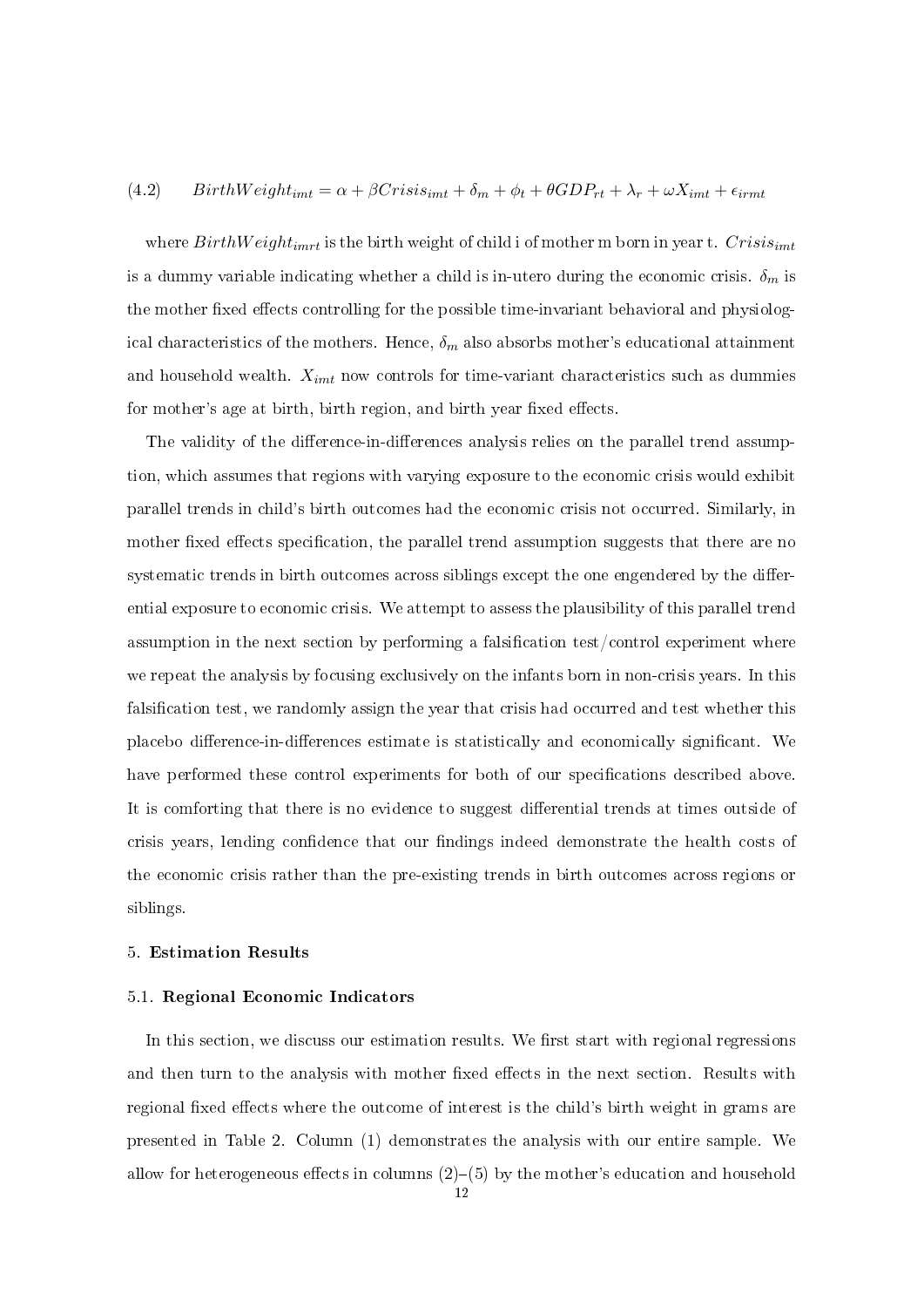## (4.2) BirthW  $eight_{imt} = \alpha + \beta Crisis_{imt} + \delta_m + \phi_t + \theta GDP_{rt} + \lambda_r + \omega X_{imt} + \epsilon_{irmt}$

where  $BirthWeight_{imrt}$  is the birth weight of child i of mother m born in year t. Crisis<sub>imt</sub> is a dummy variable indicating whether a child is in-utero during the economic crisis.  $\delta_m$  is the mother fixed effects controlling for the possible time-invariant behavioral and physiological characteristics of the mothers. Hence,  $\delta_m$  also absorbs mother's educational attainment and household wealth.  $X_{imt}$  now controls for time-variant characteristics such as dummies for mother's age at birth, birth region, and birth year fixed effects.

The validity of the difference-in-differences analysis relies on the parallel trend assumption, which assumes that regions with varying exposure to the economic crisis would exhibit parallel trends in child's birth outcomes had the economic crisis not occurred. Similarly, in mother fixed effects specification, the parallel trend assumption suggests that there are no systematic trends in birth outcomes across siblings except the one engendered by the differential exposure to economic crisis. We attempt to assess the plausibility of this parallel trend assumption in the next section by performing a falsification test/control experiment where we repeat the analysis by focusing exclusively on the infants born in non-crisis years. In this falsification test, we randomly assign the year that crisis had occurred and test whether this placebo difference-in-differences estimate is statistically and economically significant. We have performed these control experiments for both of our specifications described above. It is comforting that there is no evidence to suggest differential trends at times outside of crisis years, lending confidence that our findings indeed demonstrate the health costs of the economic crisis rather than the pre-existing trends in birth outcomes across regions or siblings.

#### 5. Estimation Results

#### 5.1. Regional Economic Indicators

In this section, we discuss our estimation results. We first start with regional regressions and then turn to the analysis with mother fixed effects in the next section. Results with regional fixed effects where the outcome of interest is the child's birth weight in grams are presented in Table 2. Column (1) demonstrates the analysis with our entire sample. We allow for heterogeneous effects in columns  $(2)-(5)$  by the mother's education and household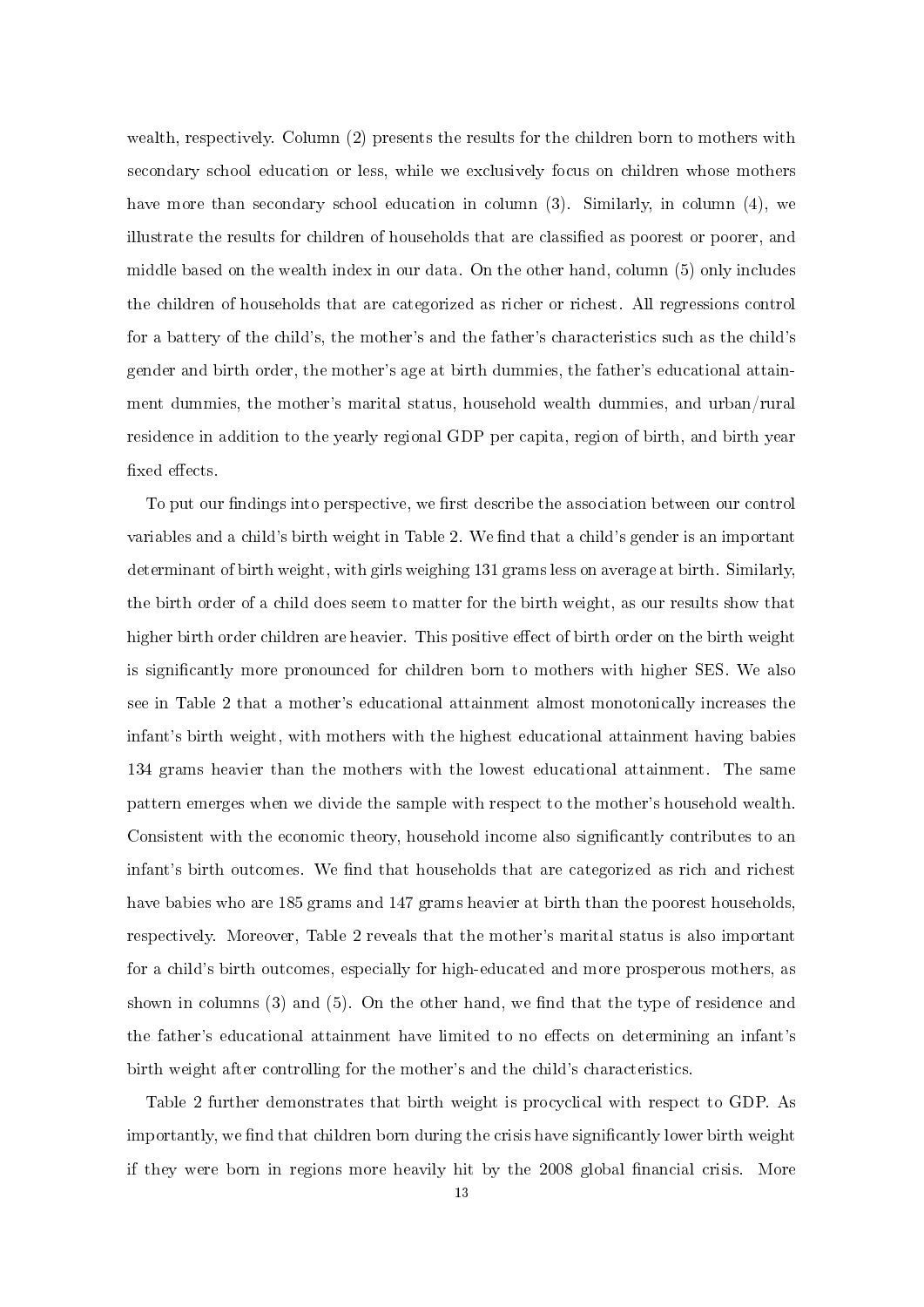wealth, respectively. Column (2) presents the results for the children born to mothers with secondary school education or less, while we exclusively focus on children whose mothers have more than secondary school education in column (3). Similarly, in column (4), we illustrate the results for children of households that are classified as poorest or poorer, and middle based on the wealth index in our data. On the other hand, column (5) only includes the children of households that are categorized as richer or richest. All regressions control for a battery of the child's, the mother's and the father's characteristics such as the child's gender and birth order, the mother's age at birth dummies, the father's educational attainment dummies, the mother's marital status, household wealth dummies, and urban/rural residence in addition to the yearly regional GDP per capita, region of birth, and birth year fixed effects.

To put our findings into perspective, we first describe the association between our control variables and a child's birth weight in Table 2. We find that a child's gender is an important determinant of birth weight, with girls weighing 131 grams less on average at birth. Similarly, the birth order of a child does seem to matter for the birth weight, as our results show that higher birth order children are heavier. This positive effect of birth order on the birth weight is signicantly more pronounced for children born to mothers with higher SES. We also see in Table 2 that a mother's educational attainment almost monotonically increases the infant's birth weight, with mothers with the highest educational attainment having babies 134 grams heavier than the mothers with the lowest educational attainment. The same pattern emerges when we divide the sample with respect to the mother's household wealth. Consistent with the economic theory, household income also signicantly contributes to an infant's birth outcomes. We find that households that are categorized as rich and richest have babies who are 185 grams and 147 grams heavier at birth than the poorest households, respectively. Moreover, Table 2 reveals that the mother's marital status is also important for a child's birth outcomes, especially for high-educated and more prosperous mothers, as shown in columns  $(3)$  and  $(5)$ . On the other hand, we find that the type of residence and the father's educational attainment have limited to no effects on determining an infant's birth weight after controlling for the mother's and the child's characteristics.

Table 2 further demonstrates that birth weight is procyclical with respect to GDP. As importantly, we find that children born during the crisis have significantly lower birth weight if they were born in regions more heavily hit by the 2008 global financial crisis. More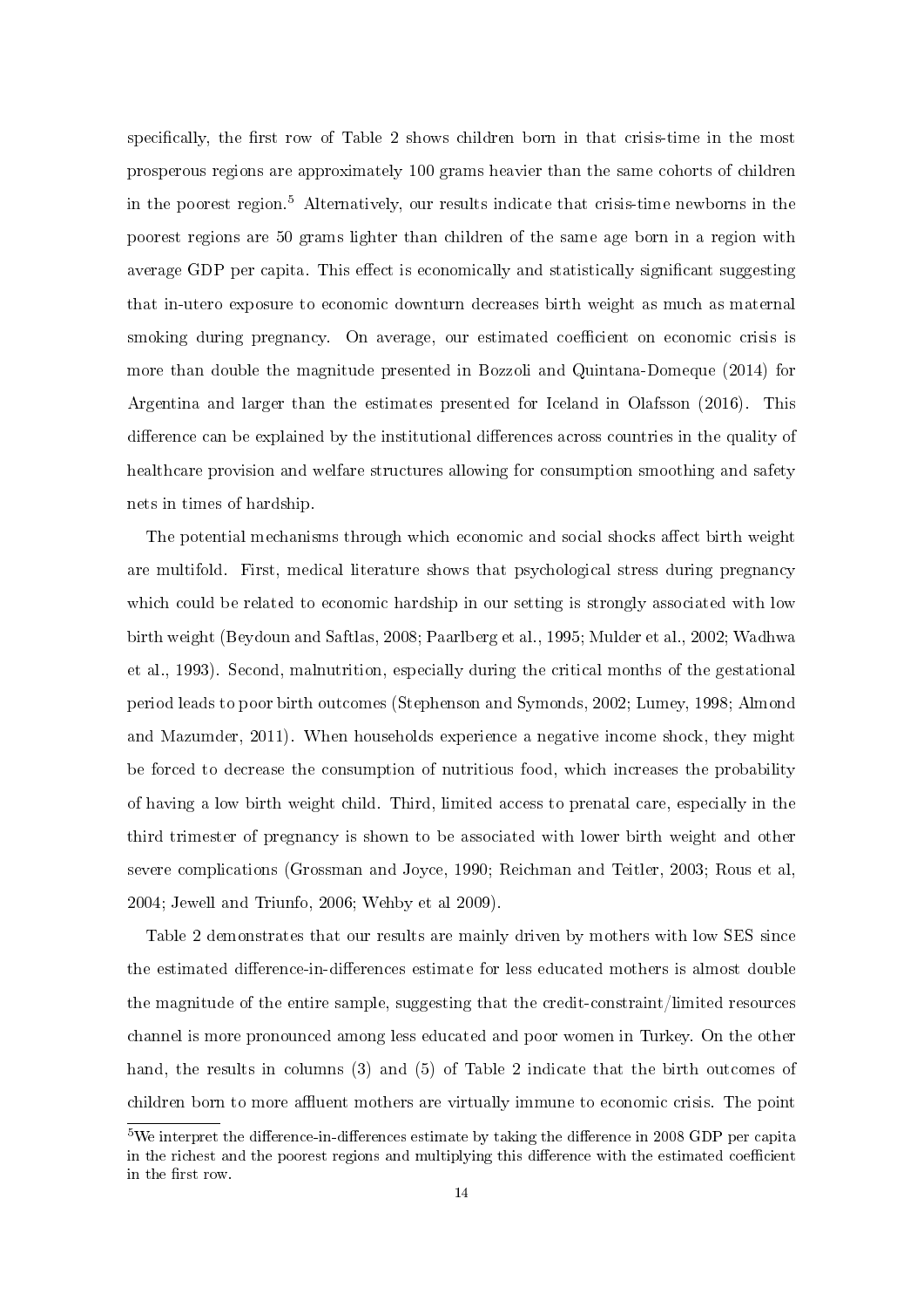specifically, the first row of Table 2 shows children born in that crisis-time in the most prosperous regions are approximately 100 grams heavier than the same cohorts of children in the poorest region.<sup>5</sup> Alternatively, our results indicate that crisis-time newborns in the poorest regions are 50 grams lighter than children of the same age born in a region with average GDP per capita. This effect is economically and statistically significant suggesting that in-utero exposure to economic downturn decreases birth weight as much as maternal smoking during pregnancy. On average, our estimated coefficient on economic crisis is more than double the magnitude presented in Bozzoli and Quintana-Domeque (2014) for Argentina and larger than the estimates presented for Iceland in Olafsson (2016). This difference can be explained by the institutional differences across countries in the quality of healthcare provision and welfare structures allowing for consumption smoothing and safety nets in times of hardship.

The potential mechanisms through which economic and social shocks affect birth weight are multifold. First, medical literature shows that psychological stress during pregnancy which could be related to economic hardship in our setting is strongly associated with low birth weight (Beydoun and Saftlas, 2008; Paarlberg et al., 1995; Mulder et al., 2002; Wadhwa et al., 1993). Second, malnutrition, especially during the critical months of the gestational period leads to poor birth outcomes (Stephenson and Symonds, 2002; Lumey, 1998; Almond and Mazumder, 2011). When households experience a negative income shock, they might be forced to decrease the consumption of nutritious food, which increases the probability of having a low birth weight child. Third, limited access to prenatal care, especially in the third trimester of pregnancy is shown to be associated with lower birth weight and other severe complications (Grossman and Joyce, 1990; Reichman and Teitler, 2003; Rous et al, 2004; Jewell and Triunfo, 2006; Wehby et al 2009).

Table 2 demonstrates that our results are mainly driven by mothers with low SES since the estimated difference-in-differences estimate for less educated mothers is almost double the magnitude of the entire sample, suggesting that the credit-constraint/limited resources channel is more pronounced among less educated and poor women in Turkey. On the other hand, the results in columns (3) and (5) of Table 2 indicate that the birth outcomes of children born to more affluent mothers are virtually immune to economic crisis. The point

 $5$ We interpret the difference-in-differences estimate by taking the difference in 2008 GDP per capita in the richest and the poorest regions and multiplying this difference with the estimated coefficient in the first row.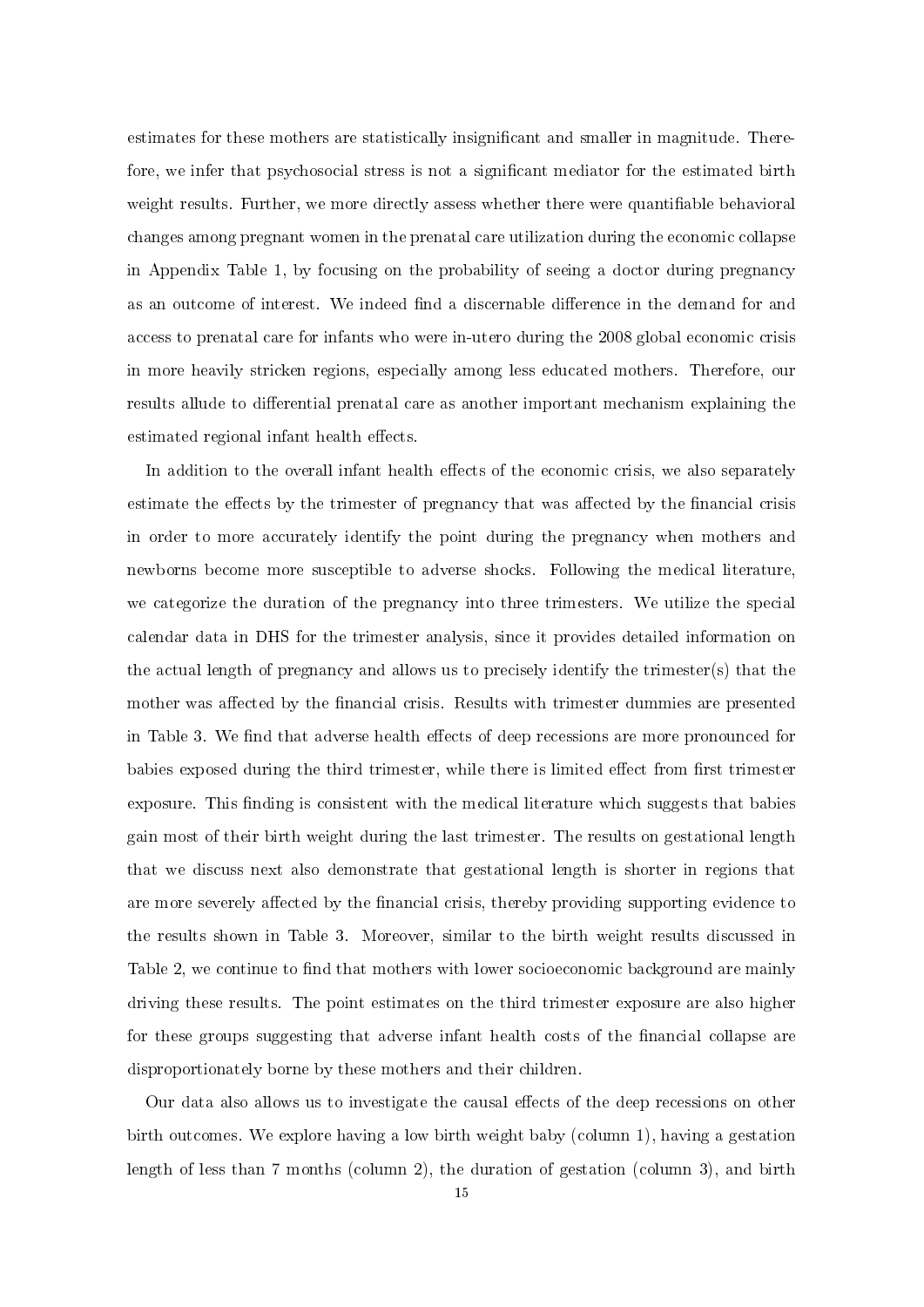estimates for these mothers are statistically insignificant and smaller in magnitude. Therefore, we infer that psychosocial stress is not a significant mediator for the estimated birth weight results. Further, we more directly assess whether there were quantifiable behavioral changes among pregnant women in the prenatal care utilization during the economic collapse in Appendix Table 1, by focusing on the probability of seeing a doctor during pregnancy as an outcome of interest. We indeed find a discernable difference in the demand for and access to prenatal care for infants who were in-utero during the 2008 global economic crisis in more heavily stricken regions, especially among less educated mothers. Therefore, our results allude to differential prenatal care as another important mechanism explaining the estimated regional infant health effects.

In addition to the overall infant health effects of the economic crisis, we also separately estimate the effects by the trimester of pregnancy that was affected by the financial crisis in order to more accurately identify the point during the pregnancy when mothers and newborns become more susceptible to adverse shocks. Following the medical literature, we categorize the duration of the pregnancy into three trimesters. We utilize the special calendar data in DHS for the trimester analysis, since it provides detailed information on the actual length of pregnancy and allows us to precisely identify the trimester(s) that the mother was affected by the financial crisis. Results with trimester dummies are presented in Table 3. We find that adverse health effects of deep recessions are more pronounced for babies exposed during the third trimester, while there is limited effect from first trimester exposure. This finding is consistent with the medical literature which suggests that babies gain most of their birth weight during the last trimester. The results on gestational length that we discuss next also demonstrate that gestational length is shorter in regions that are more severely affected by the financial crisis, thereby providing supporting evidence to the results shown in Table 3. Moreover, similar to the birth weight results discussed in Table 2, we continue to find that mothers with lower socioeconomic background are mainly driving these results. The point estimates on the third trimester exposure are also higher for these groups suggesting that adverse infant health costs of the financial collapse are disproportionately borne by these mothers and their children.

Our data also allows us to investigate the causal effects of the deep recessions on other birth outcomes. We explore having a low birth weight baby (column 1), having a gestation length of less than 7 months (column 2), the duration of gestation (column 3), and birth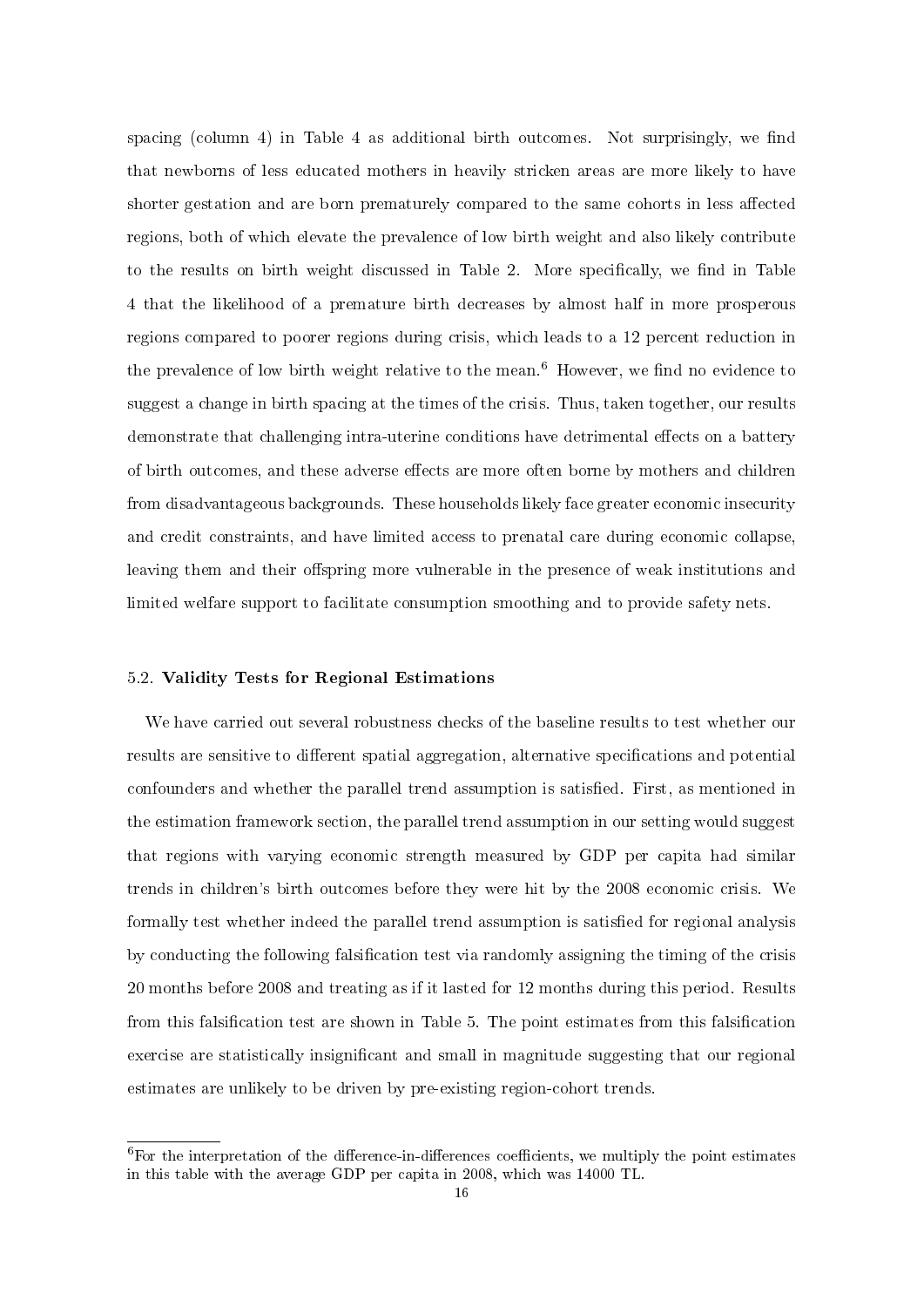spacing (column 4) in Table 4 as additional birth outcomes. Not surprisingly, we find that newborns of less educated mothers in heavily stricken areas are more likely to have shorter gestation and are born prematurely compared to the same cohorts in less affected regions, both of which elevate the prevalence of low birth weight and also likely contribute to the results on birth weight discussed in Table 2. More specifically, we find in Table 4 that the likelihood of a premature birth decreases by almost half in more prosperous regions compared to poorer regions during crisis, which leads to a 12 percent reduction in the prevalence of low birth weight relative to the mean.<sup>6</sup> However, we find no evidence to suggest a change in birth spacing at the times of the crisis. Thus, taken together, our results demonstrate that challenging intra-uterine conditions have detrimental effects on a battery of birth outcomes, and these adverse effects are more often borne by mothers and children from disadvantageous backgrounds. These households likely face greater economic insecurity and credit constraints, and have limited access to prenatal care during economic collapse, leaving them and their offspring more vulnerable in the presence of weak institutions and limited welfare support to facilitate consumption smoothing and to provide safety nets.

### 5.2. Validity Tests for Regional Estimations

We have carried out several robustness checks of the baseline results to test whether our results are sensitive to different spatial aggregation, alternative specifications and potential confounders and whether the parallel trend assumption is satisfied. First, as mentioned in the estimation framework section, the parallel trend assumption in our setting would suggest that regions with varying economic strength measured by GDP per capita had similar trends in children's birth outcomes before they were hit by the 2008 economic crisis. We formally test whether indeed the parallel trend assumption is satisfied for regional analysis by conducting the following falsication test via randomly assigning the timing of the crisis 20 months before 2008 and treating as if it lasted for 12 months during this period. Results from this falsification test are shown in Table 5. The point estimates from this falsification exercise are statistically insignificant and small in magnitude suggesting that our regional estimates are unlikely to be driven by pre-existing region-cohort trends.

 $6$ For the interpretation of the difference-in-differences coefficients, we multiply the point estimates in this table with the average GDP per capita in 2008, which was 14000 TL.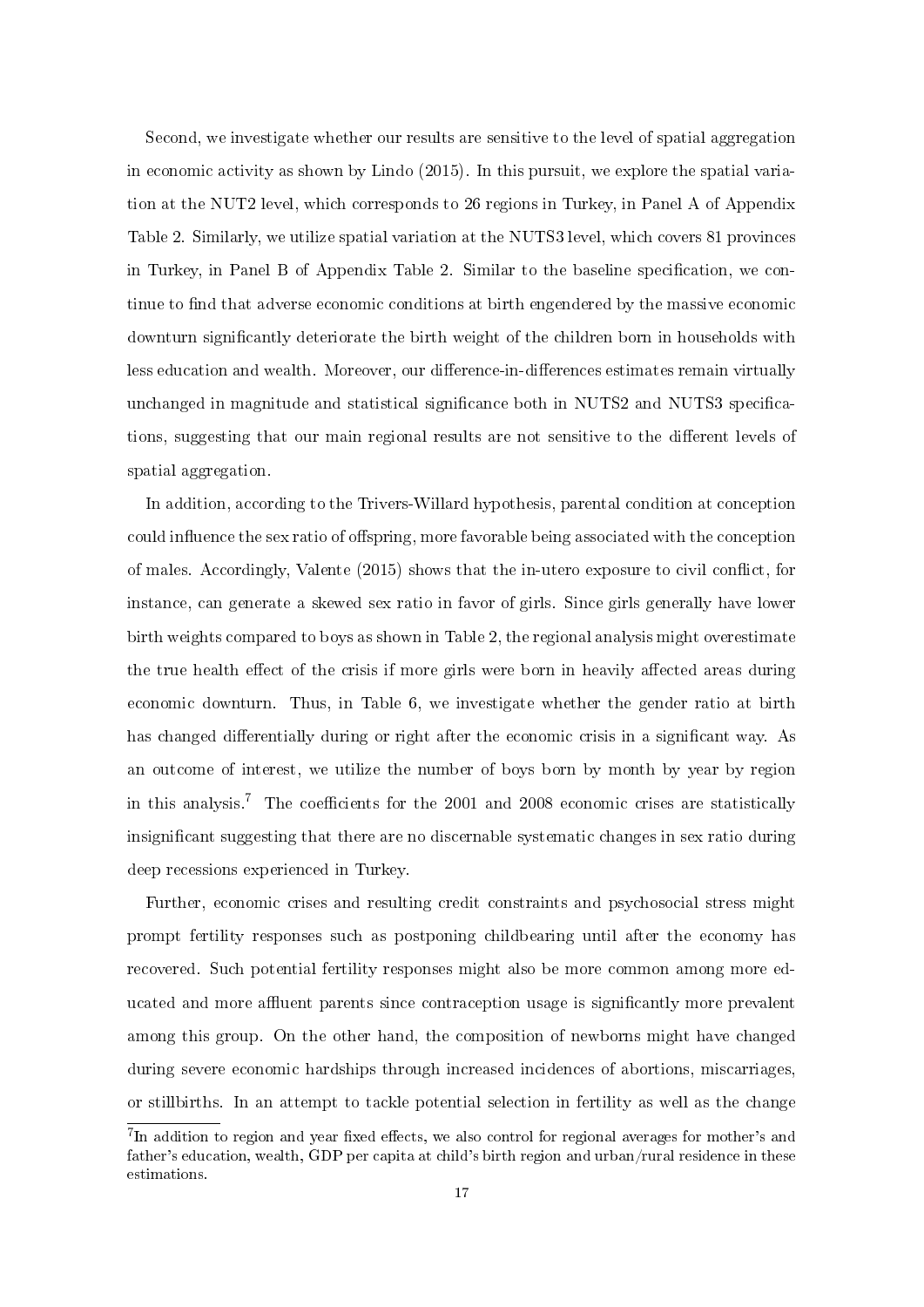Second, we investigate whether our results are sensitive to the level of spatial aggregation in economic activity as shown by Lindo (2015). In this pursuit, we explore the spatial variation at the NUT2 level, which corresponds to 26 regions in Turkey, in Panel A of Appendix Table 2. Similarly, we utilize spatial variation at the NUTS3 level, which covers 81 provinces in Turkey, in Panel B of Appendix Table 2. Similar to the baseline specication, we continue to find that adverse economic conditions at birth engendered by the massive economic downturn signicantly deteriorate the birth weight of the children born in households with less education and wealth. Moreover, our difference-in-differences estimates remain virtually unchanged in magnitude and statistical significance both in NUTS2 and NUTS3 specifications, suggesting that our main regional results are not sensitive to the different levels of spatial aggregation.

In addition, according to the Trivers-Willard hypothesis, parental condition at conception could influence the sex ratio of offspring, more favorable being associated with the conception of males. Accordingly, Valente  $(2015)$  shows that the in-utero exposure to civil conflict, for instance, can generate a skewed sex ratio in favor of girls. Since girls generally have lower birth weights compared to boys as shown in Table 2, the regional analysis might overestimate the true health effect of the crisis if more girls were born in heavily affected areas during economic downturn. Thus, in Table 6, we investigate whether the gender ratio at birth has changed differentially during or right after the economic crisis in a significant way. As an outcome of interest, we utilize the number of boys born by month by year by region in this analysis.<sup>7</sup> The coefficients for the 2001 and 2008 economic crises are statistically insignificant suggesting that there are no discernable systematic changes in sex ratio during deep recessions experienced in Turkey.

Further, economic crises and resulting credit constraints and psychosocial stress might prompt fertility responses such as postponing childbearing until after the economy has recovered. Such potential fertility responses might also be more common among more educated and more affluent parents since contraception usage is significantly more prevalent among this group. On the other hand, the composition of newborns might have changed during severe economic hardships through increased incidences of abortions, miscarriages, or stillbirths. In an attempt to tackle potential selection in fertility as well as the change

 $^{7}$ In addition to region and year fixed effects, we also control for regional averages for mother's and father's education, wealth, GDP per capita at child's birth region and urban/rural residence in these estimations.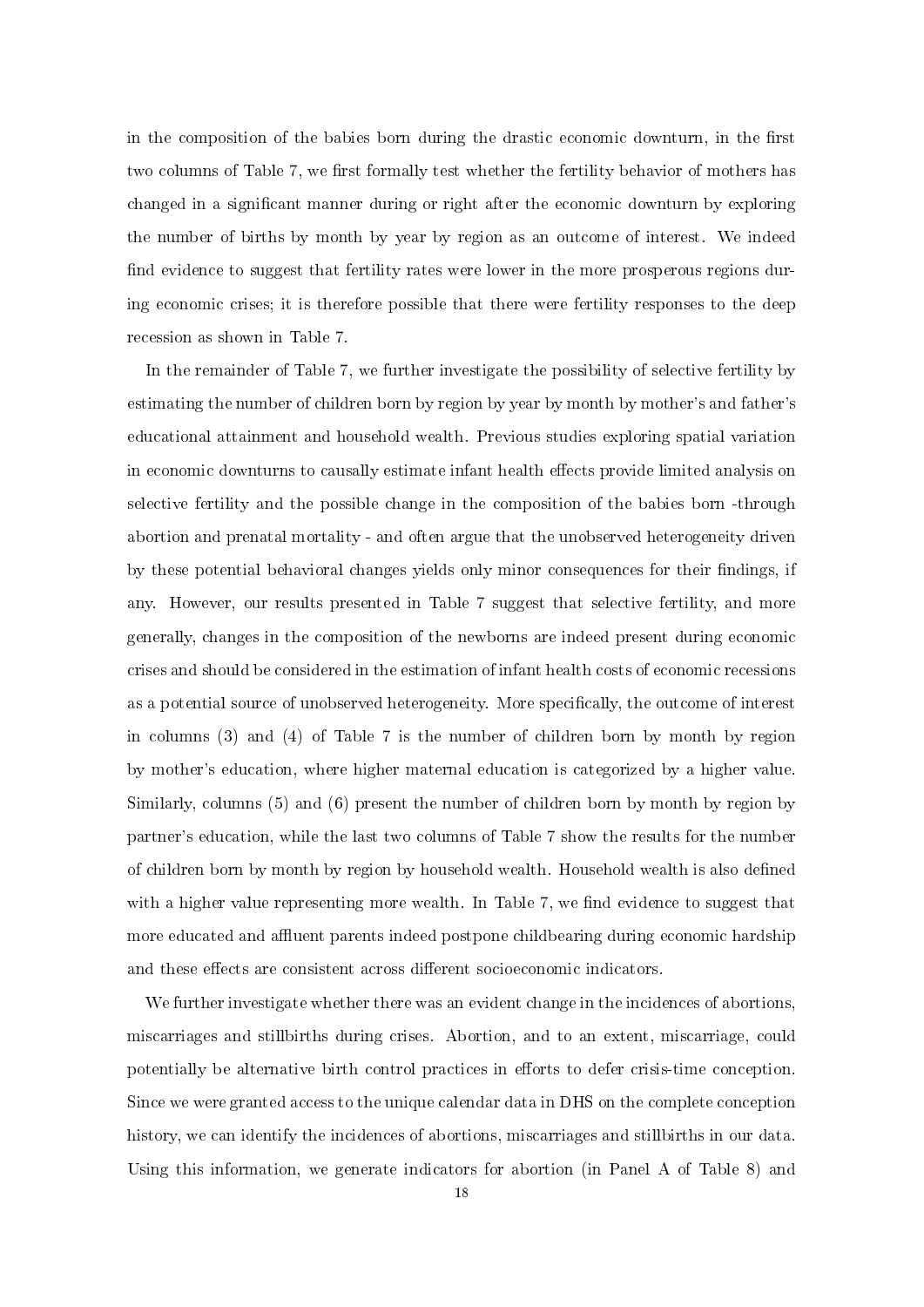in the composition of the babies born during the drastic economic downturn, in the first two columns of Table 7, we first formally test whether the fertility behavior of mothers has changed in a signicant manner during or right after the economic downturn by exploring the number of births by month by year by region as an outcome of interest. We indeed find evidence to suggest that fertility rates were lower in the more prosperous regions during economic crises; it is therefore possible that there were fertility responses to the deep recession as shown in Table 7.

In the remainder of Table 7, we further investigate the possibility of selective fertility by estimating the number of children born by region by year by month by mother's and father's educational attainment and household wealth. Previous studies exploring spatial variation in economic downturns to causally estimate infant health effects provide limited analysis on selective fertility and the possible change in the composition of the babies born -through abortion and prenatal mortality - and often argue that the unobserved heterogeneity driven by these potential behavioral changes yields only minor consequences for their findings, if any. However, our results presented in Table 7 suggest that selective fertility, and more generally, changes in the composition of the newborns are indeed present during economic crises and should be considered in the estimation of infant health costs of economic recessions as a potential source of unobserved heterogeneity. More specifically, the outcome of interest in columns (3) and (4) of Table 7 is the number of children born by month by region by mother's education, where higher maternal education is categorized by a higher value. Similarly, columns (5) and (6) present the number of children born by month by region by partner's education, while the last two columns of Table 7 show the results for the number of children born by month by region by household wealth. Household wealth is also dened with a higher value representing more wealth. In Table 7, we find evidence to suggest that more educated and affluent parents indeed postpone childbearing during economic hardship and these effects are consistent across different socioeconomic indicators.

We further investigate whether there was an evident change in the incidences of abortions. miscarriages and stillbirths during crises. Abortion, and to an extent, miscarriage, could potentially be alternative birth control practices in efforts to defer crisis-time conception. Since we were granted access to the unique calendar data in DHS on the complete conception history, we can identify the incidences of abortions, miscarriages and stillbirths in our data. Using this information, we generate indicators for abortion (in Panel A of Table 8) and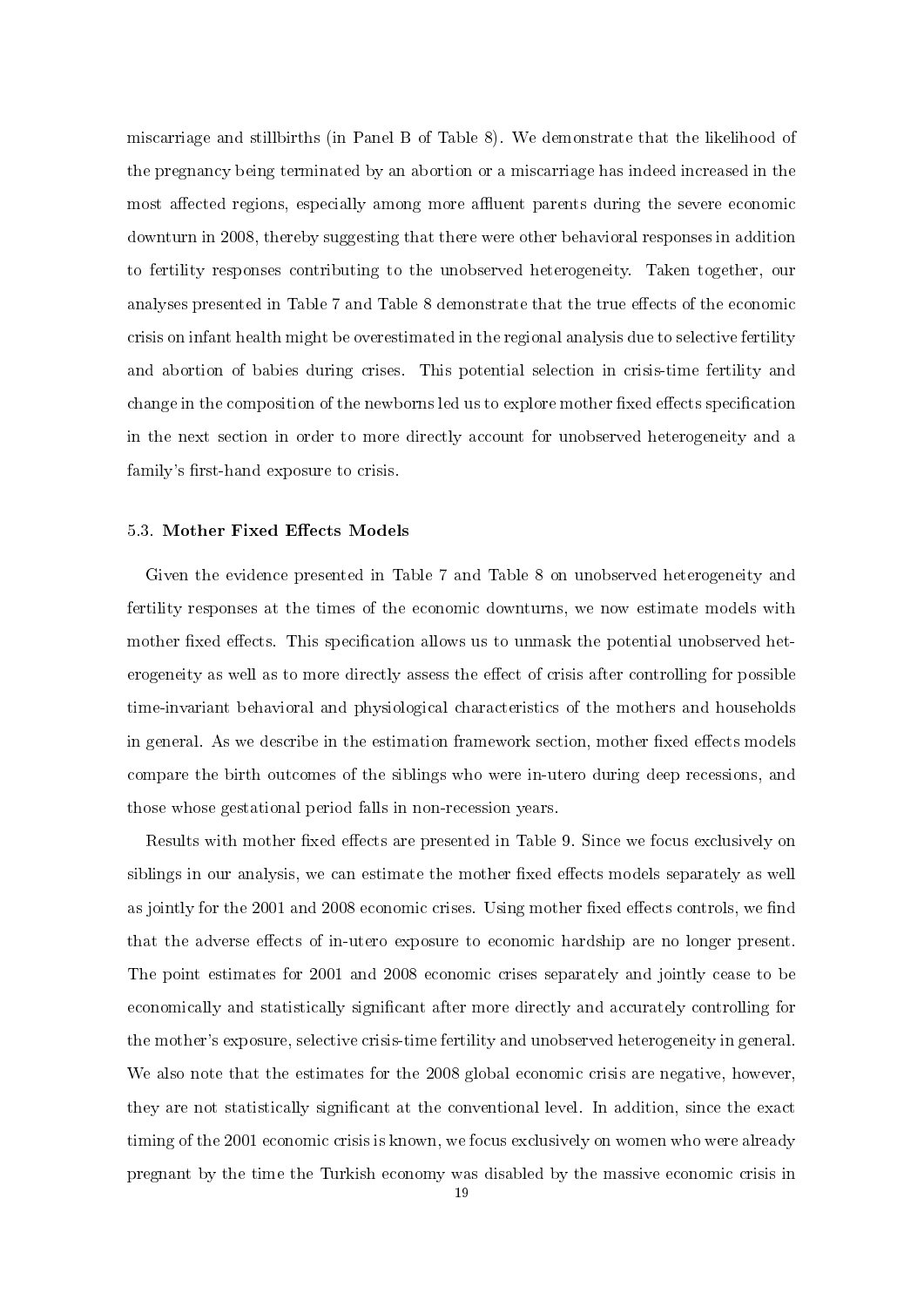miscarriage and stillbirths (in Panel B of Table 8). We demonstrate that the likelihood of the pregnancy being terminated by an abortion or a miscarriage has indeed increased in the most affected regions, especially among more affluent parents during the severe economic downturn in 2008, thereby suggesting that there were other behavioral responses in addition to fertility responses contributing to the unobserved heterogeneity. Taken together, our analyses presented in Table 7 and Table 8 demonstrate that the true effects of the economic crisis on infant health might be overestimated in the regional analysis due to selective fertility and abortion of babies during crises. This potential selection in crisis-time fertility and change in the composition of the newborns led us to explore mother fixed effects specification in the next section in order to more directly account for unobserved heterogeneity and a family's first-hand exposure to crisis.

#### 5.3. Mother Fixed Effects Models

Given the evidence presented in Table 7 and Table 8 on unobserved heterogeneity and fertility responses at the times of the economic downturns, we now estimate models with mother fixed effects. This specification allows us to unmask the potential unobserved heterogeneity as well as to more directly assess the effect of crisis after controlling for possible time-invariant behavioral and physiological characteristics of the mothers and households in general. As we describe in the estimation framework section, mother fixed effects models compare the birth outcomes of the siblings who were in-utero during deep recessions, and those whose gestational period falls in non-recession years.

Results with mother fixed effects are presented in Table 9. Since we focus exclusively on siblings in our analysis, we can estimate the mother fixed effects models separately as well as jointly for the 2001 and 2008 economic crises. Using mother fixed effects controls, we find that the adverse effects of in-utero exposure to economic hardship are no longer present. The point estimates for 2001 and 2008 economic crises separately and jointly cease to be economically and statistically significant after more directly and accurately controlling for the mother's exposure, selective crisis-time fertility and unobserved heterogeneity in general. We also note that the estimates for the 2008 global economic crisis are negative, however, they are not statistically signicant at the conventional level. In addition, since the exact timing of the 2001 economic crisis is known, we focus exclusively on women who were already pregnant by the time the Turkish economy was disabled by the massive economic crisis in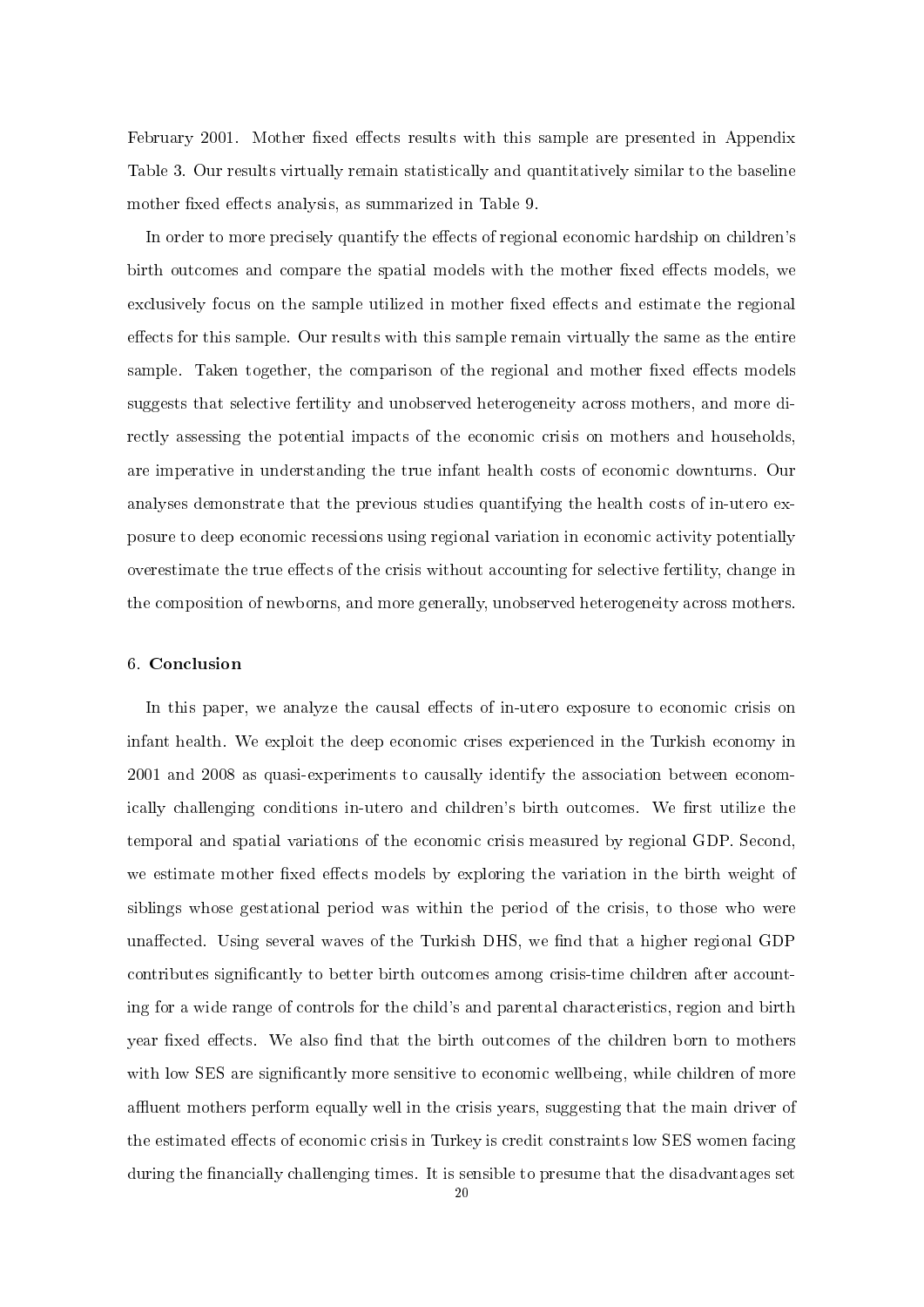February 2001. Mother fixed effects results with this sample are presented in Appendix Table 3. Our results virtually remain statistically and quantitatively similar to the baseline mother fixed effects analysis, as summarized in Table 9.

In order to more precisely quantify the effects of regional economic hardship on children's birth outcomes and compare the spatial models with the mother fixed effects models, we exclusively focus on the sample utilized in mother fixed effects and estimate the regional effects for this sample. Our results with this sample remain virtually the same as the entire sample. Taken together, the comparison of the regional and mother fixed effects models suggests that selective fertility and unobserved heterogeneity across mothers, and more directly assessing the potential impacts of the economic crisis on mothers and households, are imperative in understanding the true infant health costs of economic downturns. Our analyses demonstrate that the previous studies quantifying the health costs of in-utero exposure to deep economic recessions using regional variation in economic activity potentially overestimate the true effects of the crisis without accounting for selective fertility, change in the composition of newborns, and more generally, unobserved heterogeneity across mothers.

### 6. Conclusion

In this paper, we analyze the causal effects of in-utero exposure to economic crisis on infant health. We exploit the deep economic crises experienced in the Turkish economy in 2001 and 2008 as quasi-experiments to causally identify the association between economically challenging conditions in-utero and children's birth outcomes. We first utilize the temporal and spatial variations of the economic crisis measured by regional GDP. Second, we estimate mother fixed effects models by exploring the variation in the birth weight of siblings whose gestational period was within the period of the crisis, to those who were unaffected. Using several waves of the Turkish DHS, we find that a higher regional GDP contributes significantly to better birth outcomes among crisis-time children after accounting for a wide range of controls for the child's and parental characteristics, region and birth year fixed effects. We also find that the birth outcomes of the children born to mothers with low SES are significantly more sensitive to economic wellbeing, while children of more affluent mothers perform equally well in the crisis years, suggesting that the main driver of the estimated effects of economic crisis in Turkey is credit constraints low SES women facing during the financially challenging times. It is sensible to presume that the disadvantages set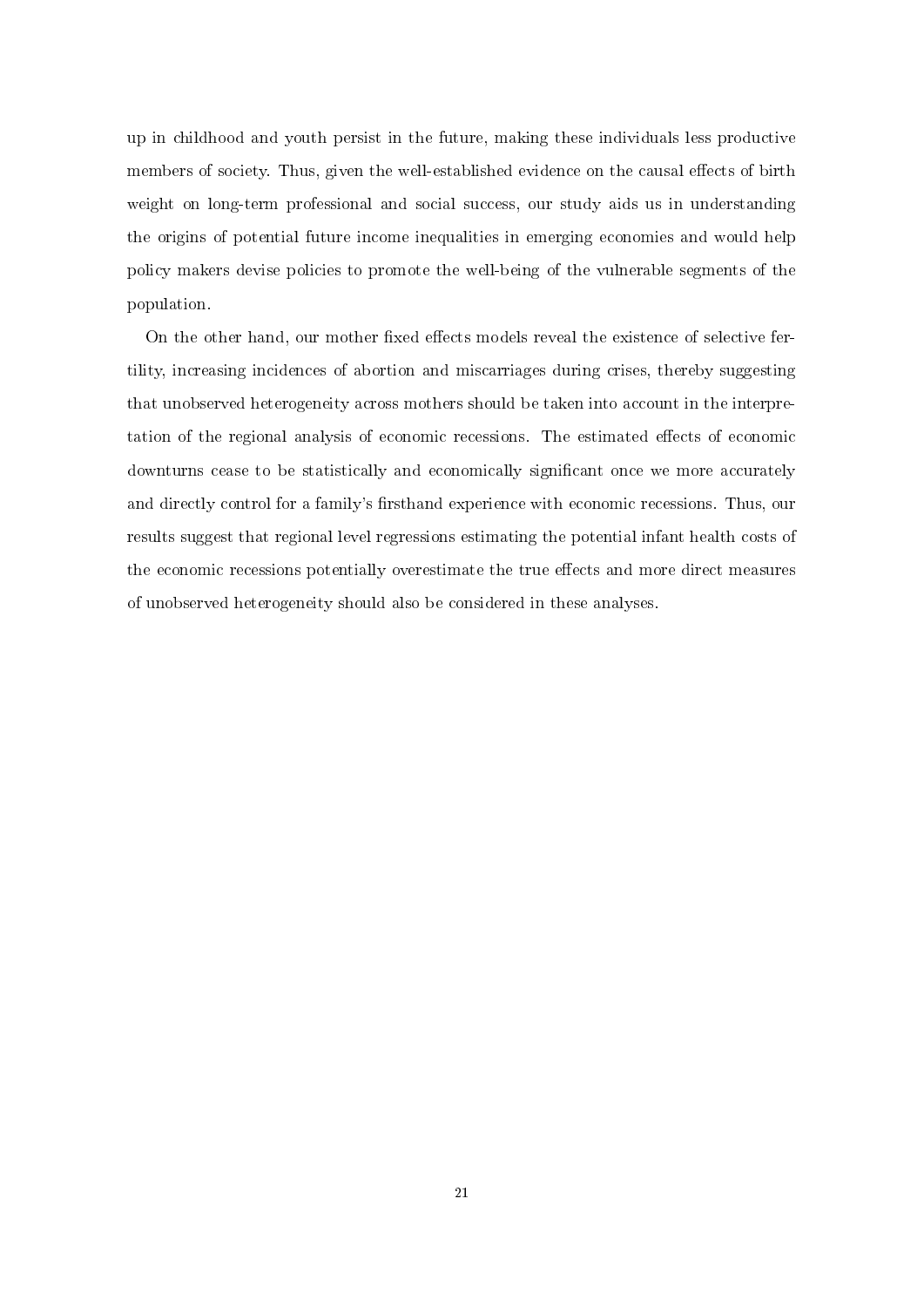up in childhood and youth persist in the future, making these individuals less productive members of society. Thus, given the well-established evidence on the causal effects of birth weight on long-term professional and social success, our study aids us in understanding the origins of potential future income inequalities in emerging economies and would help policy makers devise policies to promote the well-being of the vulnerable segments of the population.

On the other hand, our mother fixed effects models reveal the existence of selective fertility, increasing incidences of abortion and miscarriages during crises, thereby suggesting that unobserved heterogeneity across mothers should be taken into account in the interpretation of the regional analysis of economic recessions. The estimated effects of economic downturns cease to be statistically and economically significant once we more accurately and directly control for a family's firsthand experience with economic recessions. Thus, our results suggest that regional level regressions estimating the potential infant health costs of the economic recessions potentially overestimate the true effects and more direct measures of unobserved heterogeneity should also be considered in these analyses.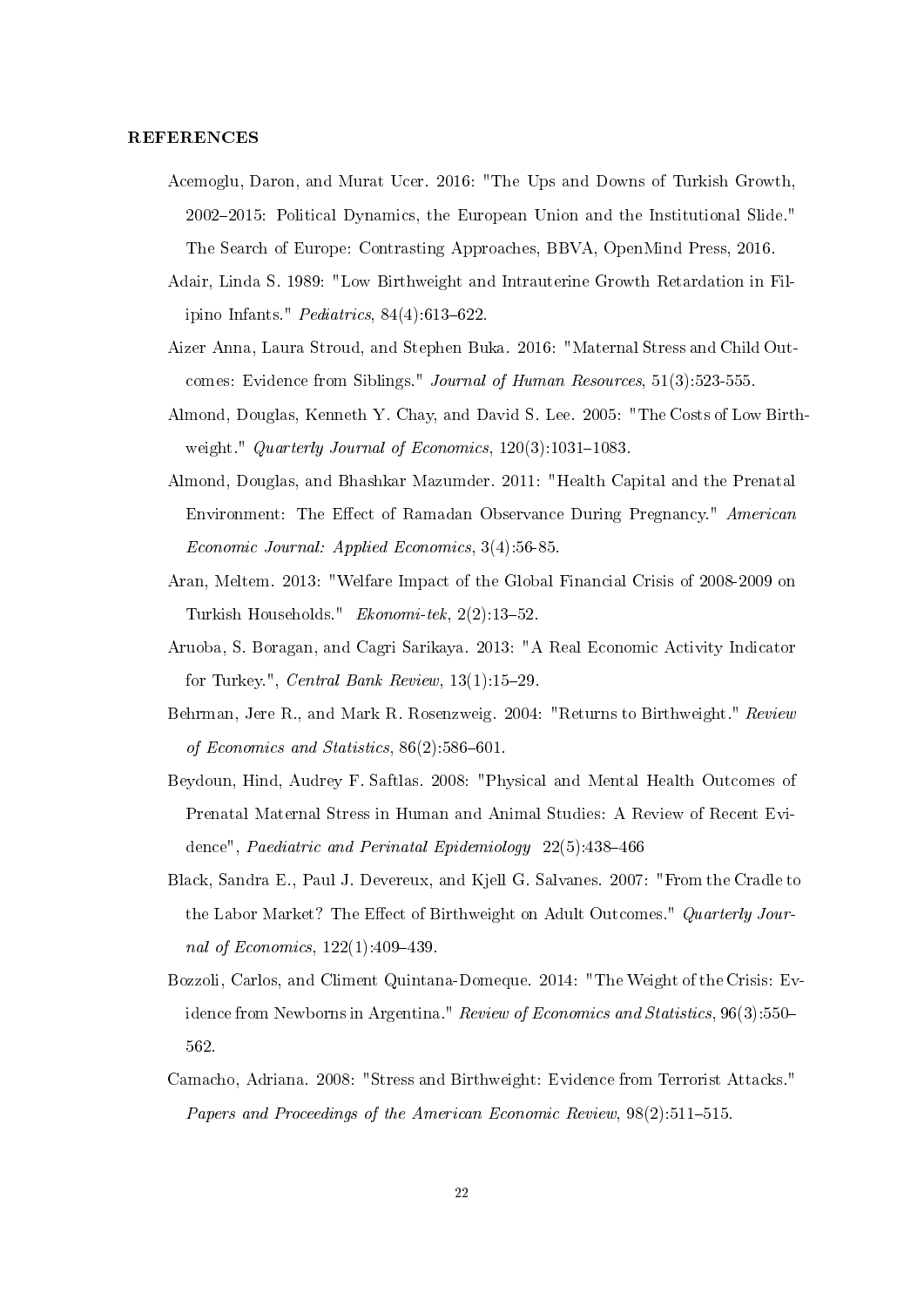#### REFERENCES

- Acemoglu, Daron, and Murat Ucer. 2016: "The Ups and Downs of Turkish Growth, 20022015: Political Dynamics, the European Union and the Institutional Slide." The Search of Europe: Contrasting Approaches, BBVA, OpenMind Press, 2016.
- Adair, Linda S. 1989: "Low Birthweight and Intrauterine Growth Retardation in Filipino Infants."  $Pediatrics$ ,  $84(4):613-622$ .
- Aizer Anna, Laura Stroud, and Stephen Buka. 2016: "Maternal Stress and Child Outcomes: Evidence from Siblings." Journal of Human Resources, 51(3):523-555.
- Almond, Douglas, Kenneth Y. Chay, and David S. Lee. 2005: "The Costs of Low Birthweight." Quarterly Journal of Economics,  $120(3):1031-1083$ .
- Almond, Douglas, and Bhashkar Mazumder. 2011: "Health Capital and the Prenatal Environment: The Effect of Ramadan Observance During Pregnancy." American Economic Journal: Applied Economics, 3(4):56-85.
- Aran, Meltem. 2013: "Welfare Impact of the Global Financial Crisis of 2008-2009 on Turkish Households." Ekonomi-tek, 2(2):13-52.
- Aruoba, S. Boragan, and Cagri Sarikaya. 2013: "A Real Economic Activity Indicator for Turkey.", *Central Bank Review*,  $13(1)$ :  $15-29$ .
- Behrman, Jere R., and Mark R. Rosenzweig. 2004: "Returns to Birthweight." Review of Economics and Statistics,  $86(2)$ :586-601.
- Beydoun, Hind, Audrey F. Saftlas. 2008: "Physical and Mental Health Outcomes of Prenatal Maternal Stress in Human and Animal Studies: A Review of Recent Evidence", Paediatric and Perinatal Epidemiology 22(5):438-466
- Black, Sandra E., Paul J. Devereux, and Kjell G. Salvanes. 2007: "From the Cradle to the Labor Market? The Effect of Birthweight on Adult Outcomes." Quarterly Journal of Economics,  $122(1):409-439$ .
- Bozzoli, Carlos, and Climent Quintana-Domeque. 2014: "The Weight of the Crisis: Evidence from Newborns in Argentina." Review of Economics and Statistics, 96(3):550– 562.
- Camacho, Adriana. 2008: "Stress and Birthweight: Evidence from Terrorist Attacks." Papers and Proceedings of the American Economic Review,  $98(2):511-515$ .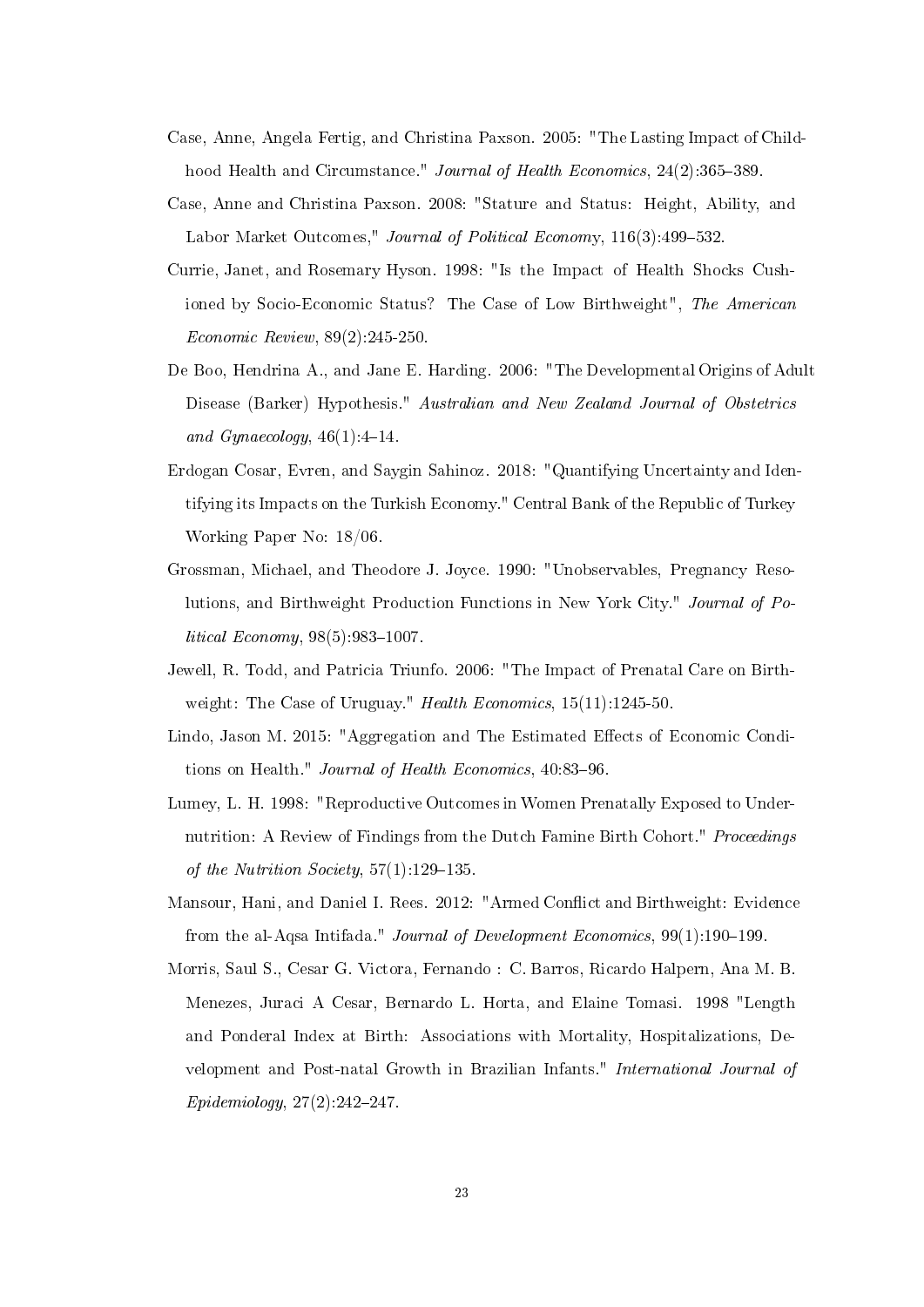- Case, Anne, Angela Fertig, and Christina Paxson. 2005: "The Lasting Impact of Childhood Health and Circumstance." Journal of Health Economics, 24(2):365-389.
- Case, Anne and Christina Paxson. 2008: "Stature and Status: Height, Ability, and Labor Market Outcomes," Journal of Political Economy, 116(3):499-532.
- Currie, Janet, and Rosemary Hyson. 1998: "Is the Impact of Health Shocks Cushioned by Socio-Economic Status? The Case of Low Birthweight", The American Economic Review, 89(2):245-250.
- De Boo, Hendrina A., and Jane E. Harding. 2006: "The Developmental Origins of Adult Disease (Barker) Hypothesis." Australian and New Zealand Journal of Obstetrics and Gynaecology,  $46(1):4-14$ .
- Erdogan Cosar, Evren, and Saygin Sahinoz. 2018: "Quantifying Uncertainty and Identifying its Impacts on the Turkish Economy." Central Bank of the Republic of Turkey Working Paper No: 18/06.
- Grossman, Michael, and Theodore J. Joyce. 1990: "Unobservables, Pregnancy Resolutions, and Birthweight Production Functions in New York City." Journal of Po $litted~Economy, 98(5):983-1007.$
- Jewell, R. Todd, and Patricia Triunfo. 2006: "The Impact of Prenatal Care on Birthweight: The Case of Uruguay." Health Economics,  $15(11):1245-50$ .
- Lindo, Jason M. 2015: "Aggregation and The Estimated Effects of Economic Conditions on Health." Journal of Health Economics, 40:83-96.
- Lumey, L. H. 1998: "Reproductive Outcomes in Women Prenatally Exposed to Undernutrition: A Review of Findings from the Dutch Famine Birth Cohort." *Proceedings* of the Nutrition Society,  $57(1)$ : 129-135.
- Mansour, Hani, and Daniel I. Rees. 2012: "Armed Conflict and Birthweight: Evidence from the al-Aqsa Intifada." Journal of Development Economics,  $99(1):190-199$ .
- Morris, Saul S., Cesar G. Victora, Fernando : C. Barros, Ricardo Halpern, Ana M. B. Menezes, Juraci A Cesar, Bernardo L. Horta, and Elaine Tomasi. 1998 "Length and Ponderal Index at Birth: Associations with Mortality, Hospitalizations, Development and Post-natal Growth in Brazilian Infants." International Journal of  $Epidemiology, 27(2):242-247.$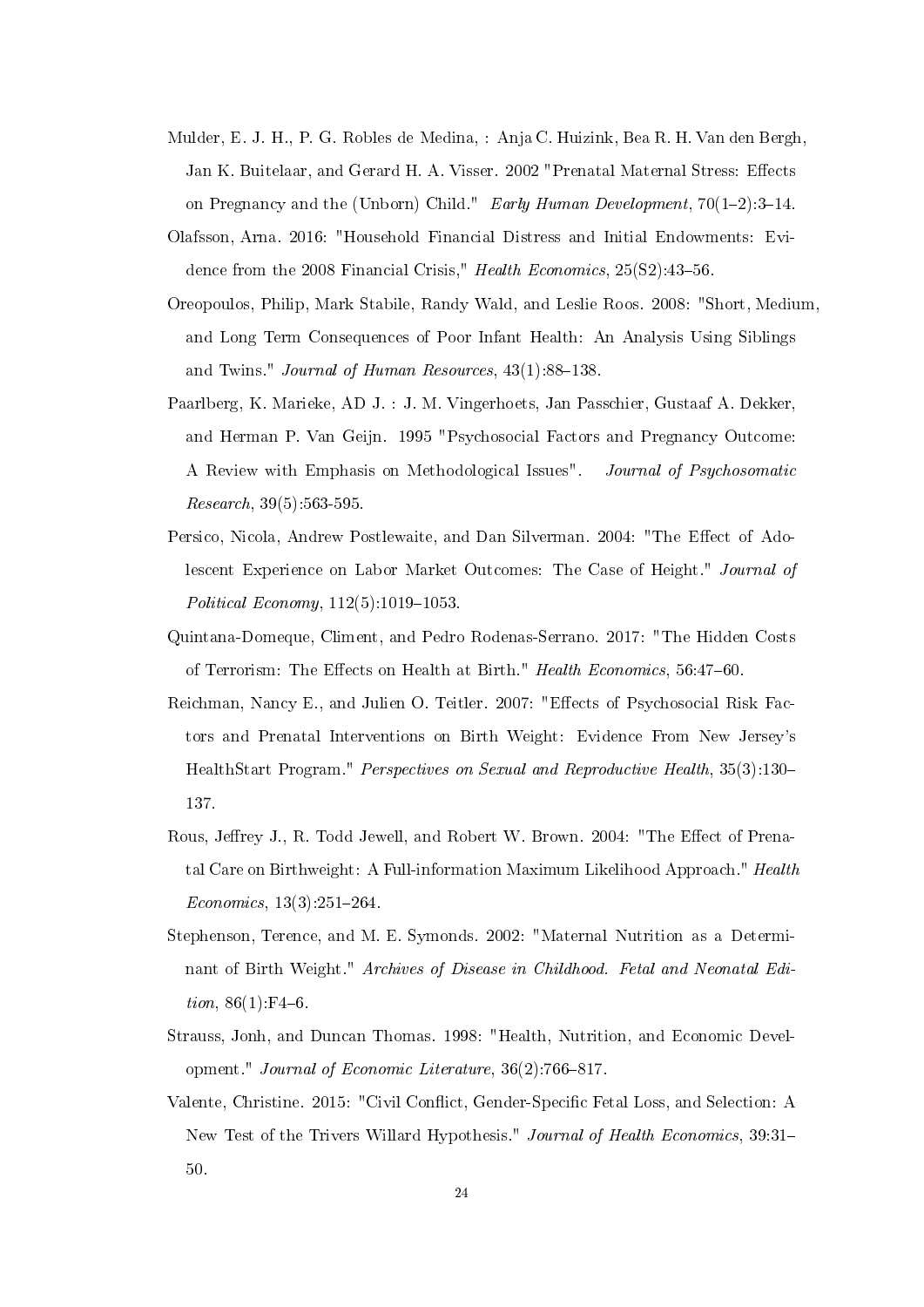- Mulder, E. J. H., P. G. Robles de Medina, : Anja C. Huizink, Bea R. H. Van den Bergh, Jan K. Buitelaar, and Gerard H. A. Visser. 2002 "Prenatal Maternal Stress: Effects on Pregnancy and the (Unborn) Child." Early Human Development,  $70(1-2):3-14$ .
- Olafsson, Arna. 2016: "Household Financial Distress and Initial Endowments: Evidence from the 2008 Financial Crisis," Health Economics,  $25(S2):43-56$ .
- Oreopoulos, Philip, Mark Stabile, Randy Wald, and Leslie Roos. 2008: "Short, Medium, and Long Term Consequences of Poor Infant Health: An Analysis Using Siblings and Twins." *Journal of Human Resources*,  $43(1):88-138$ .
- Paarlberg, K. Marieke, AD J. : J. M. Vingerhoets, Jan Passchier, Gustaaf A. Dekker, and Herman P. Van Geijn. 1995 "Psychosocial Factors and Pregnancy Outcome: A Review with Emphasis on Methodological Issues". Journal of Psychosomatic Research, 39(5):563-595.
- Persico, Nicola, Andrew Postlewaite, and Dan Silverman. 2004: "The Effect of Adolescent Experience on Labor Market Outcomes: The Case of Height." Journal of Political Economy,  $112(5)$ :1019-1053.
- Quintana-Domeque, Climent, and Pedro Rodenas-Serrano. 2017: "The Hidden Costs of Terrorism: The Effects on Health at Birth." Health Economics, 56:47-60.
- Reichman, Nancy E., and Julien O. Teitler. 2007: "Effects of Psychosocial Risk Factors and Prenatal Interventions on Birth Weight: Evidence From New Jersey's HealthStart Program." *Perspectives on Sexual and Reproductive Health*, 35(3):130– 137.
- Rous, Jeffrey J., R. Todd Jewell, and Robert W. Brown. 2004: "The Effect of Prenatal Care on Birthweight: A Full-information Maximum Likelihood Approach." Health  $Economics, 13(3):251-264.$
- Stephenson, Terence, and M. E. Symonds. 2002: "Maternal Nutrition as a Determinant of Birth Weight." Archives of Disease in Childhood. Fetal and Neonatal Edi*tion*,  $86(1)$ :F4-6.
- Strauss, Jonh, and Duncan Thomas. 1998: "Health, Nutrition, and Economic Development." Journal of Economic Literature,  $36(2)$ :766-817.
- Valente, Christine. 2015: "Civil Conflict, Gender-Specific Fetal Loss, and Selection: A New Test of the Trivers Willard Hypothesis." Journal of Health Economics, 39:31 50.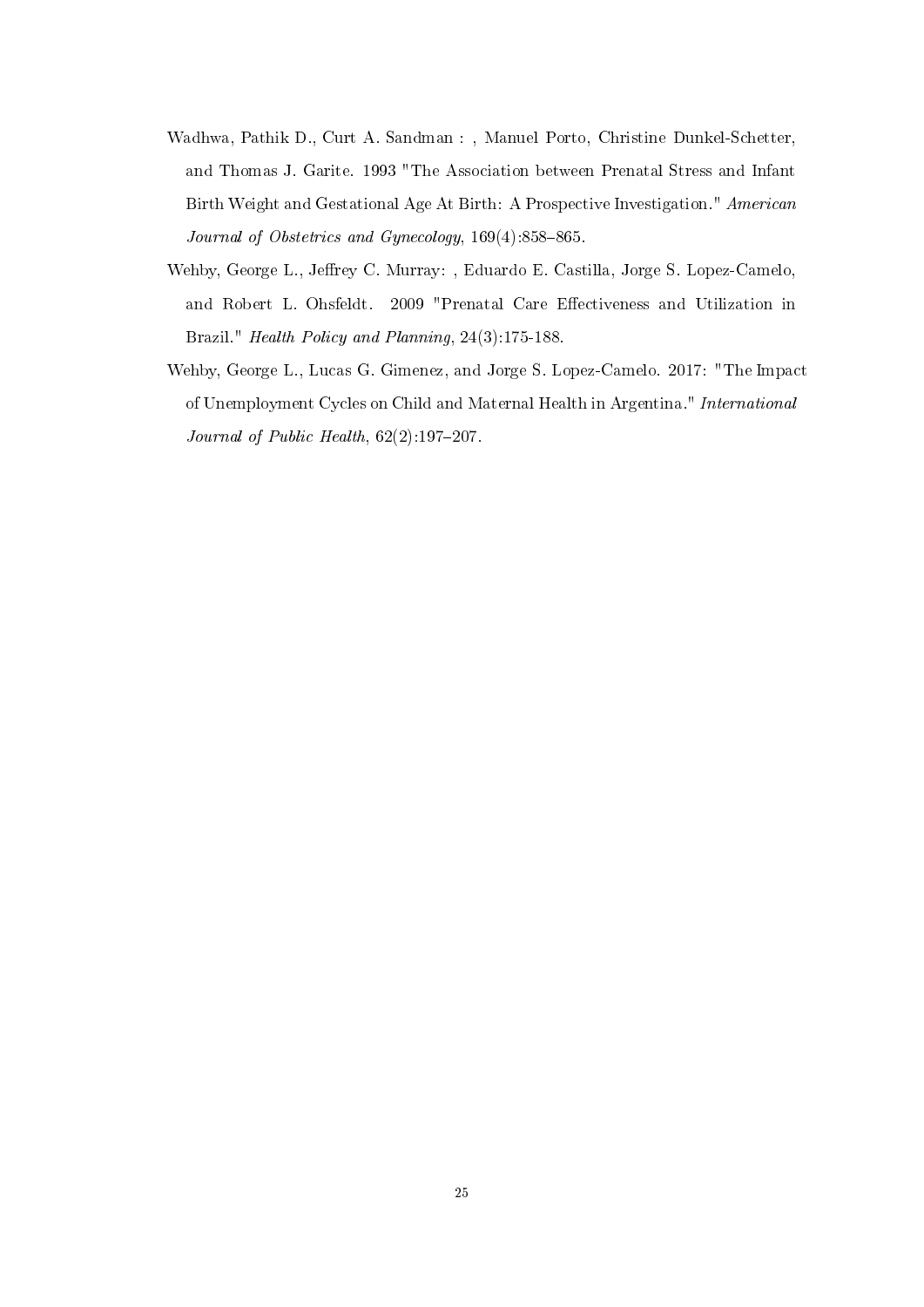- Wadhwa, Pathik D., Curt A. Sandman : , Manuel Porto, Christine Dunkel-Schetter, and Thomas J. Garite. 1993 "The Association between Prenatal Stress and Infant Birth Weight and Gestational Age At Birth: A Prospective Investigation." American Journal of Obstetrics and Gynecology,  $169(4):858-865$ .
- Wehby, George L., Jeffrey C. Murray: , Eduardo E. Castilla, Jorge S. Lopez-Camelo, and Robert L. Ohsfeldt. 2009 "Prenatal Care Effectiveness and Utilization in Brazil." Health Policy and Planning, 24(3):175-188.
- Wehby, George L., Lucas G. Gimenez, and Jorge S. Lopez-Camelo. 2017: "The Impact of Unemployment Cycles on Child and Maternal Health in Argentina." International Journal of Public Health,  $62(2)$ :197-207.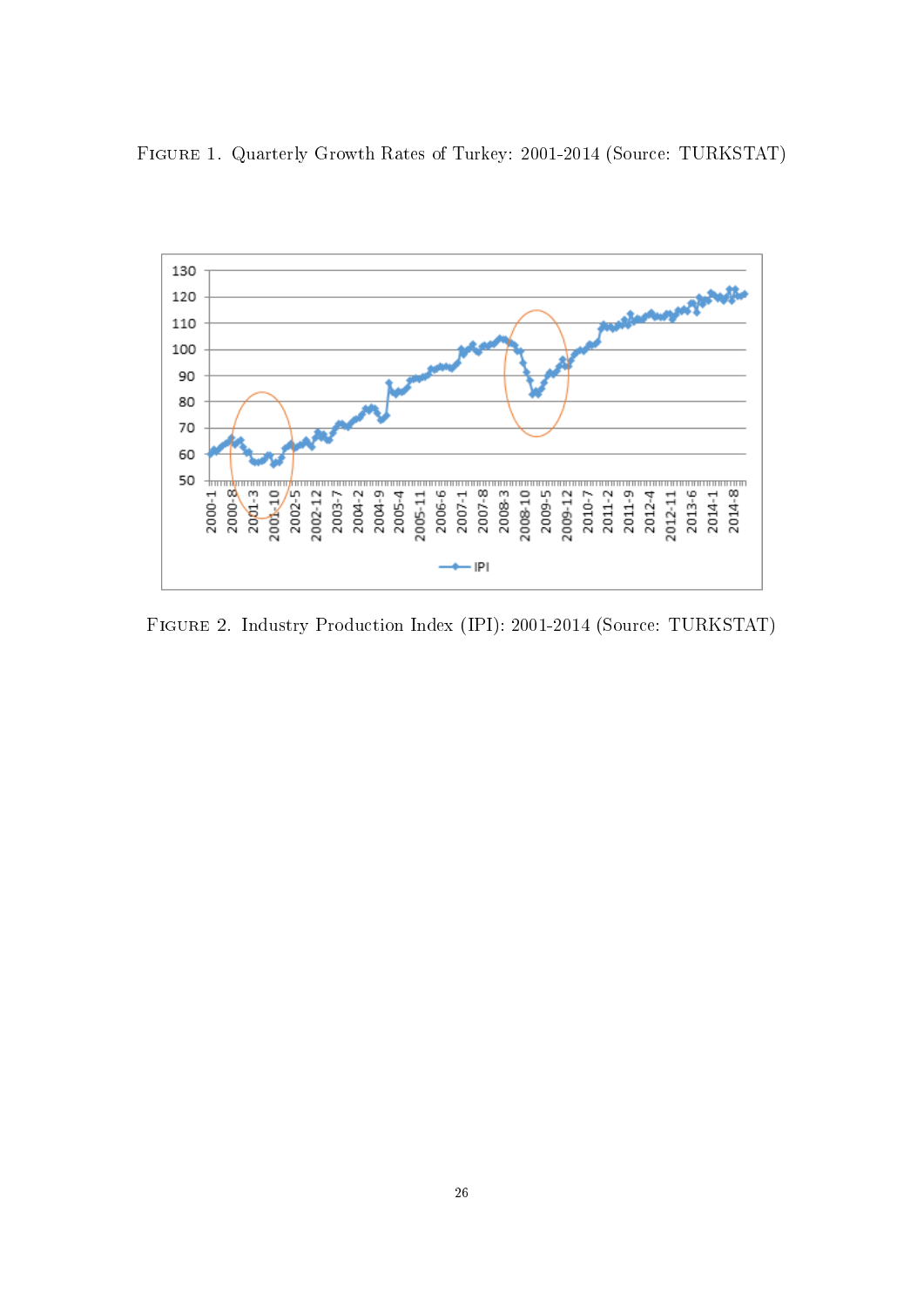Figure 1. Quarterly Growth Rates of Turkey: 2001-2014 (Source: TURKSTAT)



Figure 2. Industry Production Index (IPI): 2001-2014 (Source: TURKSTAT)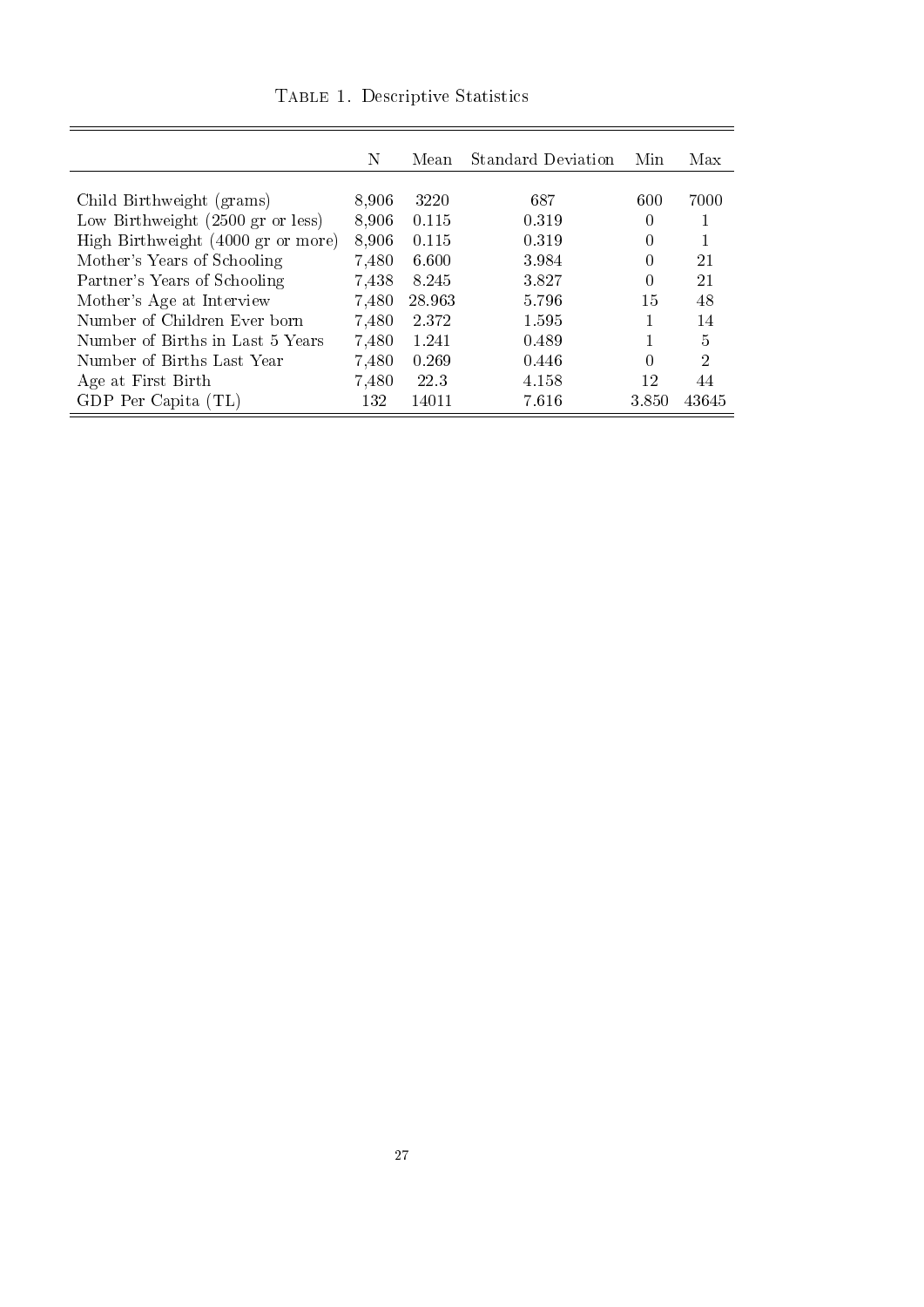|                                                     | Ν     | Mean    | Standard Deviation | Min              | Max   |
|-----------------------------------------------------|-------|---------|--------------------|------------------|-------|
|                                                     |       |         |                    |                  |       |
| Child Birthweight (grams)                           | 8,906 | 3220    | 687                | 600              | 7000  |
| Low Birthweight $(2500 \text{ gr or } \text{less})$ | 8,906 | 0.115   | 0.319              | $\left( \right)$ |       |
| High Birthweight (4000 gr or more)                  | 8,906 | 0.115   | 0.319              | 0                |       |
| Mother's Years of Schooling                         | 7,480 | 6.600   | 3.984              | $\left( \right)$ | 21    |
| Partner's Years of Schooling                        | 7,438 | 8.245   | 3.827              |                  | 21    |
| Mother's Age at Interview                           | 7,480 | 28.963  | 5.796              | 15               | 48    |
| Number of Children Ever born                        | 7,480 | 2 3 7 2 | 1.595              |                  | 14    |
| Number of Births in Last 5 Years                    | 7,480 | 1.241   | 0.489              |                  | 5     |
| Number of Births Last Year                          | 7,480 | 0.269   | 0.446              | 0                | 2     |
| Age at First Birth                                  | 7,480 | 22.3    | 4.158              | 12               | 44    |
| GDP Per Capita (TL)                                 | 132   | 14011   | 7.616              | 3.850            | 43645 |

Table 1. Descriptive Statistics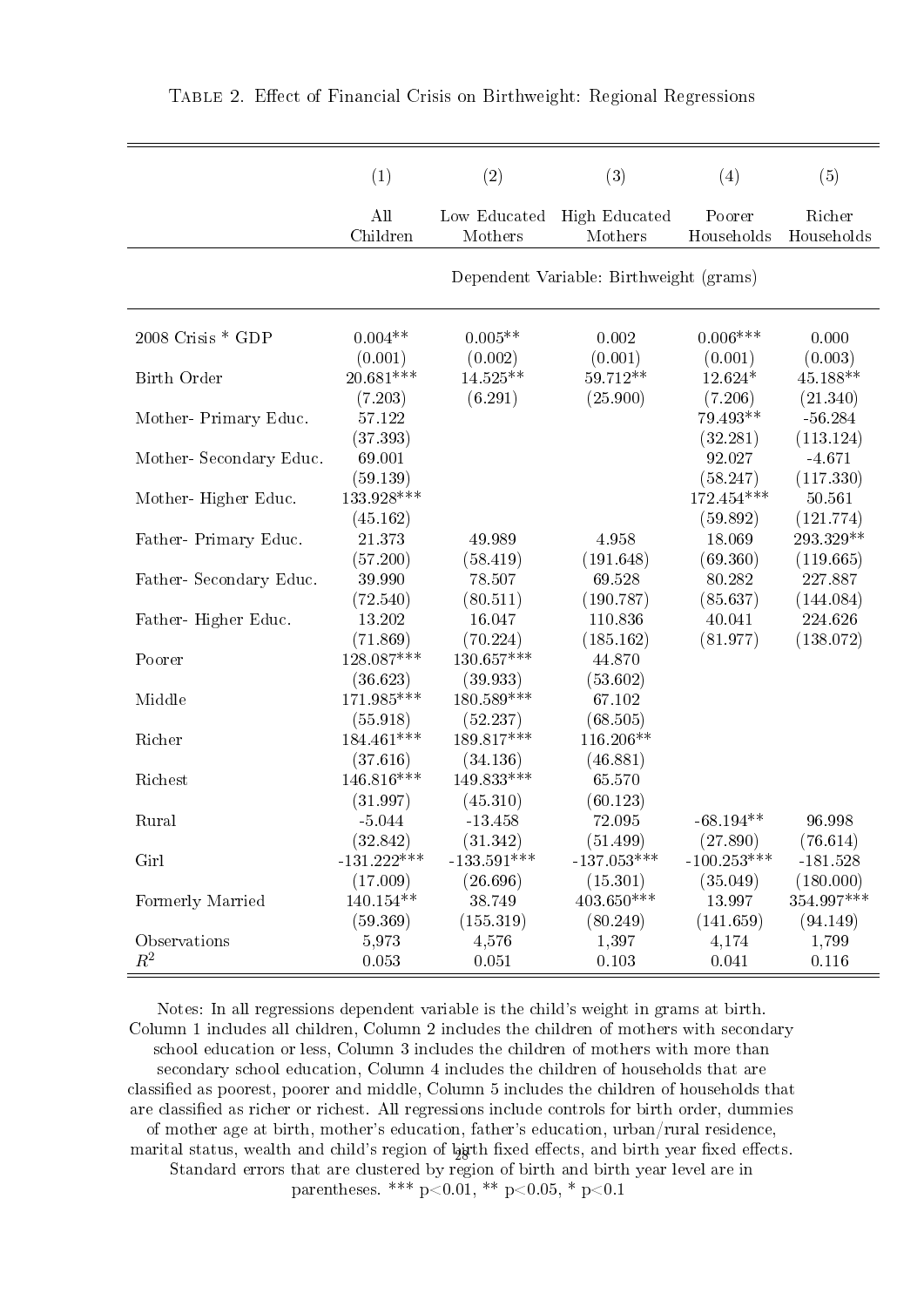|                        | (1)                     | (2)                     | (3)                                     | (4)                    | (5)                    |
|------------------------|-------------------------|-------------------------|-----------------------------------------|------------------------|------------------------|
|                        | All                     | Low Educated            | High Educated                           | Poorer                 | Richer                 |
|                        | Children                | Mothers                 | Mothers                                 | Households             | Households             |
|                        |                         |                         | Dependent Variable: Birthweight (grams) |                        |                        |
| $2008$ Crisis $*$ GDP  | $0.004**$               | $0.005**$               | 0.002                                   | $0.006***$             | 0.000                  |
|                        | (0.001)                 | (0.002)                 | (0.001)                                 | (0.001)                | (0.003)                |
| Birth Order            | 20.681***               | 14.525**                | 59.712 **                               | 12.624*                | 45.188**               |
|                        | (7.203)                 | (6.291)                 | (25.900)                                | (7.206)                | (21.340)               |
| Mother-Primary Educ.   | 57.122<br>(37.393)      |                         |                                         | 79.493**<br>(32.281)   | $-56.284$<br>(113.124) |
| Mother-Secondary Educ. | 69.001<br>(59.139)      |                         |                                         | 92.027<br>(58.247)     | $-4.671$<br>(117.330)  |
| Mother-Higher Educ.    | 133 928 ***<br>(45.162) |                         |                                         | 172 454***<br>(59.892) | 50.561<br>(121.774)    |
| Father-Primary Educ.   | 21.373                  | 49.989                  | 4.958                                   | 18.069                 | 293.329 **             |
|                        | (57.200)                | (58.419)                | (191.648)                               | (69.360)               | (119.665)              |
| Father-Secondary Educ. | 39.990                  | 78.507                  | 69.528                                  | 80.282                 | 227.887                |
|                        | (72.540)                | (80.511)                | (190.787)                               | (85.637)               | (144.084)              |
| Father-Higher Educ.    | 13.202                  | 16.047                  | 110.836                                 | 40.041                 | 224.626                |
|                        | (71.869)                | (70.224)                | (185.162)                               | (81.977)               | (138.072)              |
| Poorer                 | 128.087***<br>(36.623)  | 130.657***<br>(39.933)  | 44.870<br>(53.602)                      |                        |                        |
| Middle                 | 171.985***<br>(55.918)  | 180.589 ***<br>(52.237) | 67.102<br>(68.505)                      |                        |                        |
| Richer                 | 184.461***<br>(37.616)  | 189.817***<br>(34.136)  | 116.206**<br>(46.881)                   |                        |                        |
| Richest                | 146.816***<br>(31.997)  | 149.833***<br>(45.310)  | 65.570<br>(60.123)                      |                        |                        |
| Rural                  | $-5.044$                | $-13.458$               | 72.095                                  | $-68.194**$            | 96.998                 |
|                        | (32.842)                | (31.342)                | (51.499)                                | (27.890)               | (76.614)               |
| Girl                   | $-131.222***$           | $-133.591***$           | $-137.053***$                           | $-100.253***$          | $-181.528$             |
|                        | (17.009)                | (26.696)                | (15.301)                                | (35.049)               | (180.000)              |
| Formerly Married       | 140.154**               | 38.749                  | 403.650***                              | 13.997                 | 354.997***             |
|                        | (59.369)                | (155.319)               | (80.249)                                | (141.659)              | (94.149)               |
| Observations           | 5,973                   | 4,576                   | 1,397                                   | 4,174                  | 1,799                  |
| $R^2$                  | 0.053                   | 0.051                   | 0.103                                   | 0.041                  | 0.116                  |

Notes: In all regressions dependent variable is the child's weight in grams at birth. Column 1 includes all children, Column 2 includes the children of mothers with secondary school education or less, Column 3 includes the children of mothers with more than secondary school education, Column 4 includes the children of households that are classied as poorest, poorer and middle, Column 5 includes the children of households that are classified as richer or richest. All regressions include controls for birth order, dummies of mother age at birth, mother's education, father's education, urban/rural residence, marital status, wealth and child's region of  $\frac{1}{2}$ jrth fixed effects, and birth year fixed effects. Standard errors that are clustered by region of birth and birth year level are in parentheses. \*\*\*  $p<0.01$ , \*\*  $p<0.05$ , \*  $p<0.1$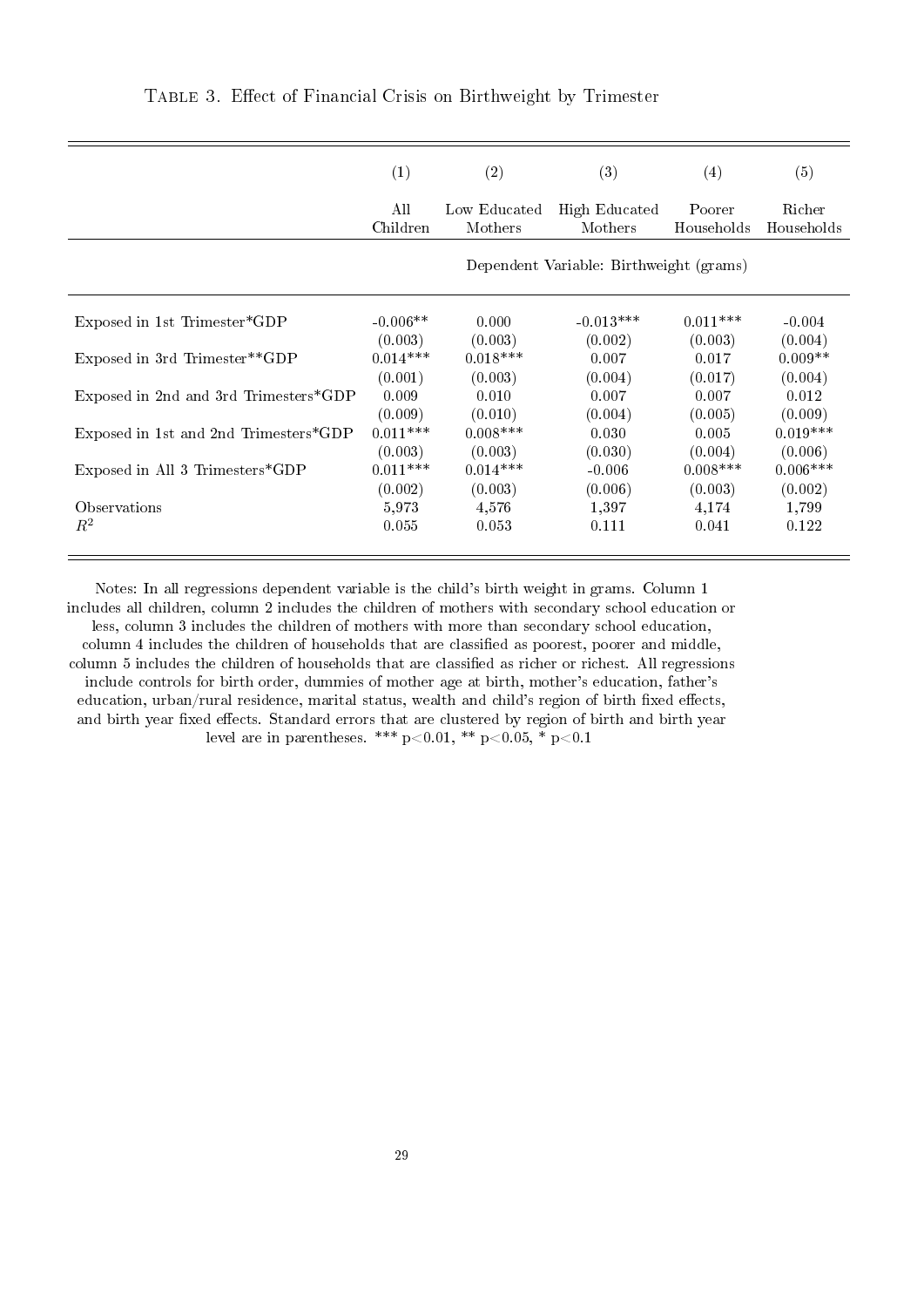|                                       | (1)                                     | (2)          | (3)           | (4)        | (5)        |
|---------------------------------------|-----------------------------------------|--------------|---------------|------------|------------|
|                                       | All                                     | Low Educated | High Educated | Poorer     | Richer     |
|                                       | Children                                | Mothers      | Mothers       | Households | Households |
|                                       | Dependent Variable: Birthweight (grams) |              |               |            |            |
| Exposed in 1st Trimester*GDP          | $-0.006**$                              | 0.000        | $-0.013***$   | $0.011***$ | $-0.004$   |
| Exposed in 3rd Trimester**GDP         | (0.003)                                 | (0.003)      | (0.002)       | (0.003)    | (0.004)    |
|                                       | $0.014***$                              | $0.018***$   | 0.007         | 0.017      | $0.009**$  |
| Exposed in 2nd and 3rd Trimesters*GDP | (0.001)                                 | (0.003)      | (0.004)       | (0.017)    | (0.004)    |
|                                       | 0.009                                   | 0.010        | 0.007         | 0.007      | 0.012      |
| Exposed in 1st and 2nd Trimesters*GDP | (0.009)                                 | (0.010)      | (0.004)       | (0.005)    | (0.009)    |
|                                       | $0.011***$                              | $0.008$ ***  | 0.030         | 0.005      | $0.019***$ |
| Exposed in All 3 Trimesters*GDP       | (0.003)                                 | (0.003)      | (0.030)       | (0.004)    | (0.006)    |
|                                       | $0.011***$                              | $0.014***$   | $-0.006$      | $0.008***$ | $0.006***$ |
| Observations                          | (0.002)                                 | (0.003)      | (0.006)       | (0.003)    | (0.002)    |
|                                       | 5.973                                   | 4,576        | 1,397         | 4,174      | 1,799      |
| $R^2$                                 | 0.055                                   | 0.053        | 0.111         | 0.041      | 0.122      |

TABLE 3. Effect of Financial Crisis on Birthweight by Trimester

Notes: In all regressions dependent variable is the child's birth weight in grams. Column 1 includes all children, column 2 includes the children of mothers with secondary school education or less, column 3 includes the children of mothers with more than secondary school education, column 4 includes the children of households that are classified as poorest, poorer and middle. column 5 includes the children of households that are classified as richer or richest. All regressions include controls for birth order, dummies of mother age at birth, mother's education, father's education, urban/rural residence, marital status, wealth and child's region of birth fixed effects, and birth year fixed effects. Standard errors that are clustered by region of birth and birth year level are in parentheses. \*\*\*  $p<0.01$ , \*\*  $p<0.05$ , \*  $p<0.1$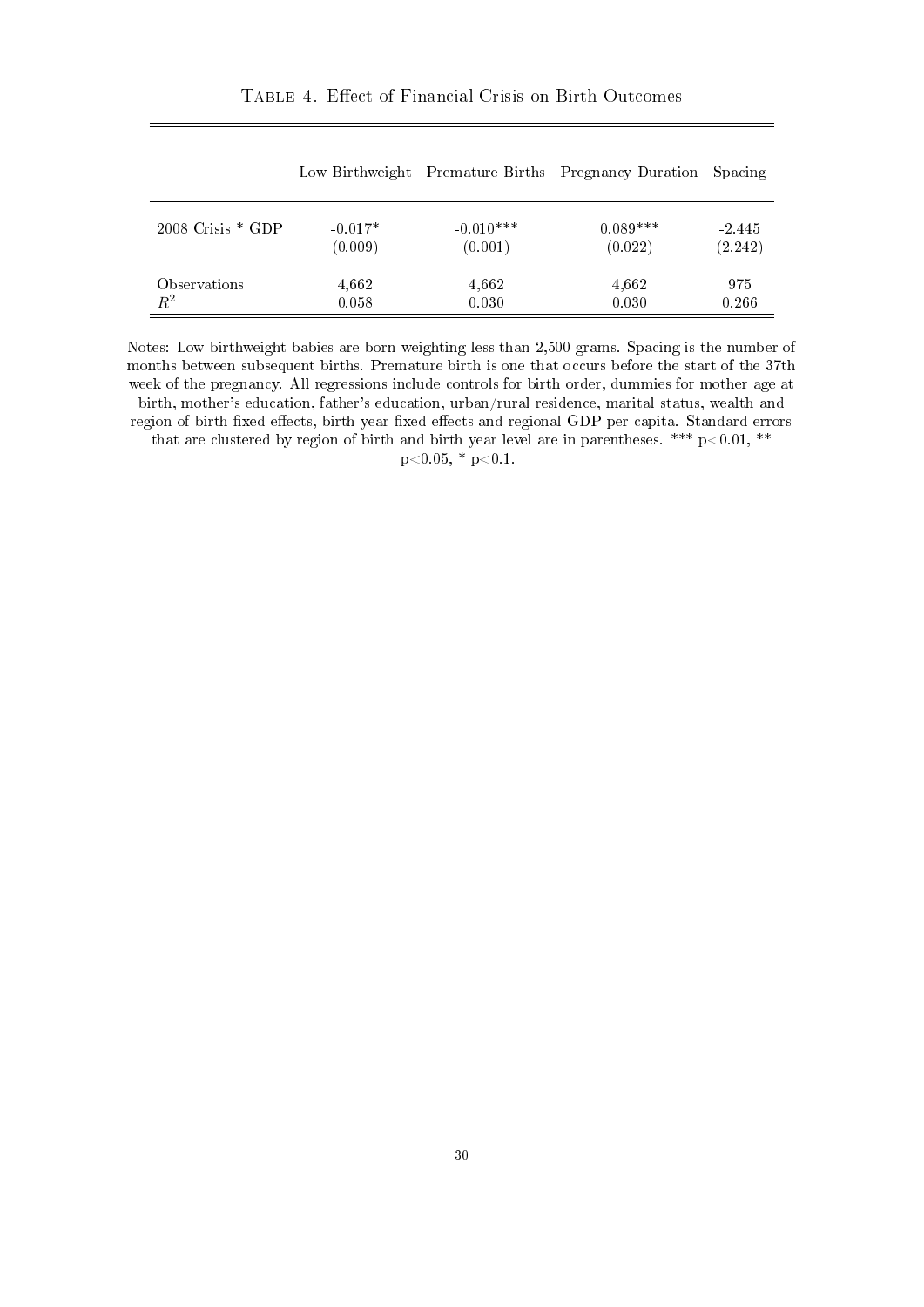|  |  |  | TABLE 4. Effect of Financial Crisis on Birth Outcomes |  |  |  |
|--|--|--|-------------------------------------------------------|--|--|--|
|--|--|--|-------------------------------------------------------|--|--|--|

|                       | Low Birthweight |             | Premature Births Pregnancy Duration Spacing |          |
|-----------------------|-----------------|-------------|---------------------------------------------|----------|
| $2008$ Crisis $*$ GDP | $-0.017*$       | $-0.010***$ | $0.089***$                                  | $-2.445$ |
|                       | (0.009)         | (0.001)     | (0.022)                                     | (2.242)  |
| Observations          | 4,662           | 4,662       | 4,662                                       | 975      |
| $\,R^2$               | 0.058           | 0.030       | 0.030                                       | 0.266    |

Notes: Low birthweight babies are born weighting less than 2,500 grams. Spacing is the number of months between subsequent births. Premature birth is one that occurs before the start of the 37th week of the pregnancy. All regressions include controls for birth order, dummies for mother age at birth, mother's education, father's education, urban/rural residence, marital status, wealth and region of birth fixed effects, birth year fixed effects and regional GDP per capita. Standard errors that are clustered by region of birth and birth year level are in parentheses. \*\*\*  $p<0.01$ , \*\*

 $p<0.05$ , \*  $p<0.1$ .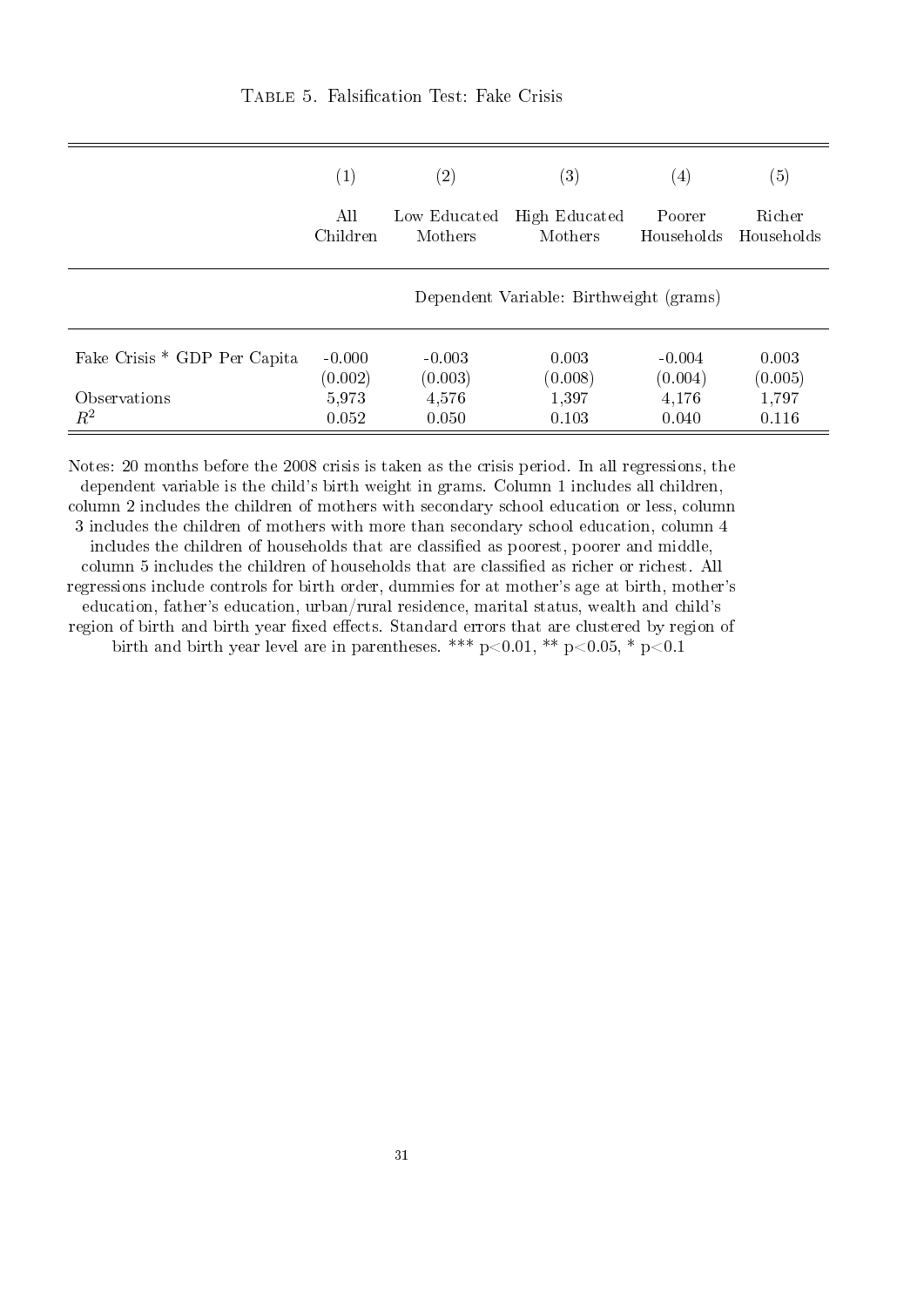|                              | $\left( 1\right)$ | $\left( 2\right)$ | $\left( 3\right)$                       | $\left( 4\right)$ | $\left( 5\right)$ |
|------------------------------|-------------------|-------------------|-----------------------------------------|-------------------|-------------------|
|                              | All               | Low Educated      | High Educated                           | Poorer            | Richer            |
|                              | Children          | Mothers           | Mothers                                 | Households        | Households        |
|                              |                   |                   | Dependent Variable: Birthweight (grams) |                   |                   |
| Fake Crisis * GDP Per Capita | $-0.000$          | $-0.003$          | 0.003                                   | $-0.004$          | 0.003             |
|                              | (0.002)           | (0.003)           | (0.008)                                 | (0.004)           | (0.005)           |
| Observations                 | 5,973             | 4,576             | 1,397                                   | 4,176             | 1,797             |
| $R^2$                        | 0.052             | 0.050             | 0.103                                   | 0.040             | 0.116             |

Notes: 20 months before the 2008 crisis is taken as the crisis period. In all regressions, the dependent variable is the child's birth weight in grams. Column 1 includes all children, column 2 includes the children of mothers with secondary school education or less, column 3 includes the children of mothers with more than secondary school education, column 4 includes the children of households that are classified as poorest, poorer and middle, column 5 includes the children of households that are classified as richer or richest. All regressions include controls for birth order, dummies for at mother's age at birth, mother's education, father's education, urban/rural residence, marital status, wealth and child's region of birth and birth year fixed effects. Standard errors that are clustered by region of birth and birth year level are in parentheses. \*\*\*  $p<0.01$ , \*\*  $p<0.05$ , \*  $p<0.1$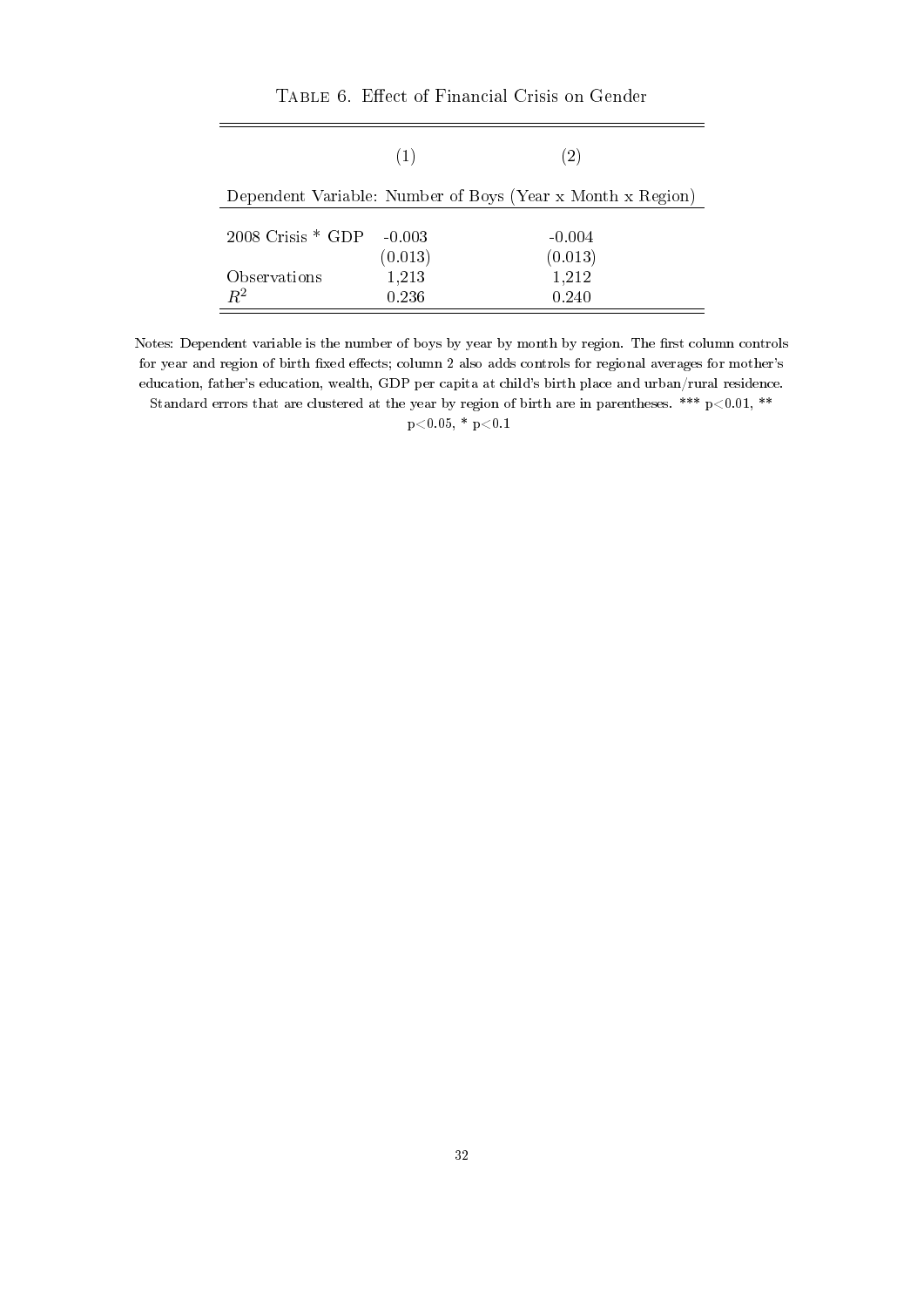|                       | (1)      | (2)                                                        |
|-----------------------|----------|------------------------------------------------------------|
|                       |          |                                                            |
|                       |          | Dependent Variable: Number of Boys (Year x Month x Region) |
|                       |          |                                                            |
| $2008$ Crisis $*$ GDP | $-0.003$ | $-0.004$                                                   |
|                       | (0.013)  | (0.013)                                                    |
| Observations          | 1,213    | 1,212                                                      |
| $R^2$                 | 0.236    | 0.240                                                      |

TABLE 6. Effect of Financial Crisis on Gender

Notes: Dependent variable is the number of boys by year by month by region. The first column controls for year and region of birth fixed effects; column 2 also adds controls for regional averages for mother's education, father's education, wealth, GDP per capita at child's birth place and urban/rural residence. Standard errors that are clustered at the year by region of birth are in parentheses. \*\*\*  $p<0.01$ , \*\*

 $p<0.05$ , \*  $p<0.1$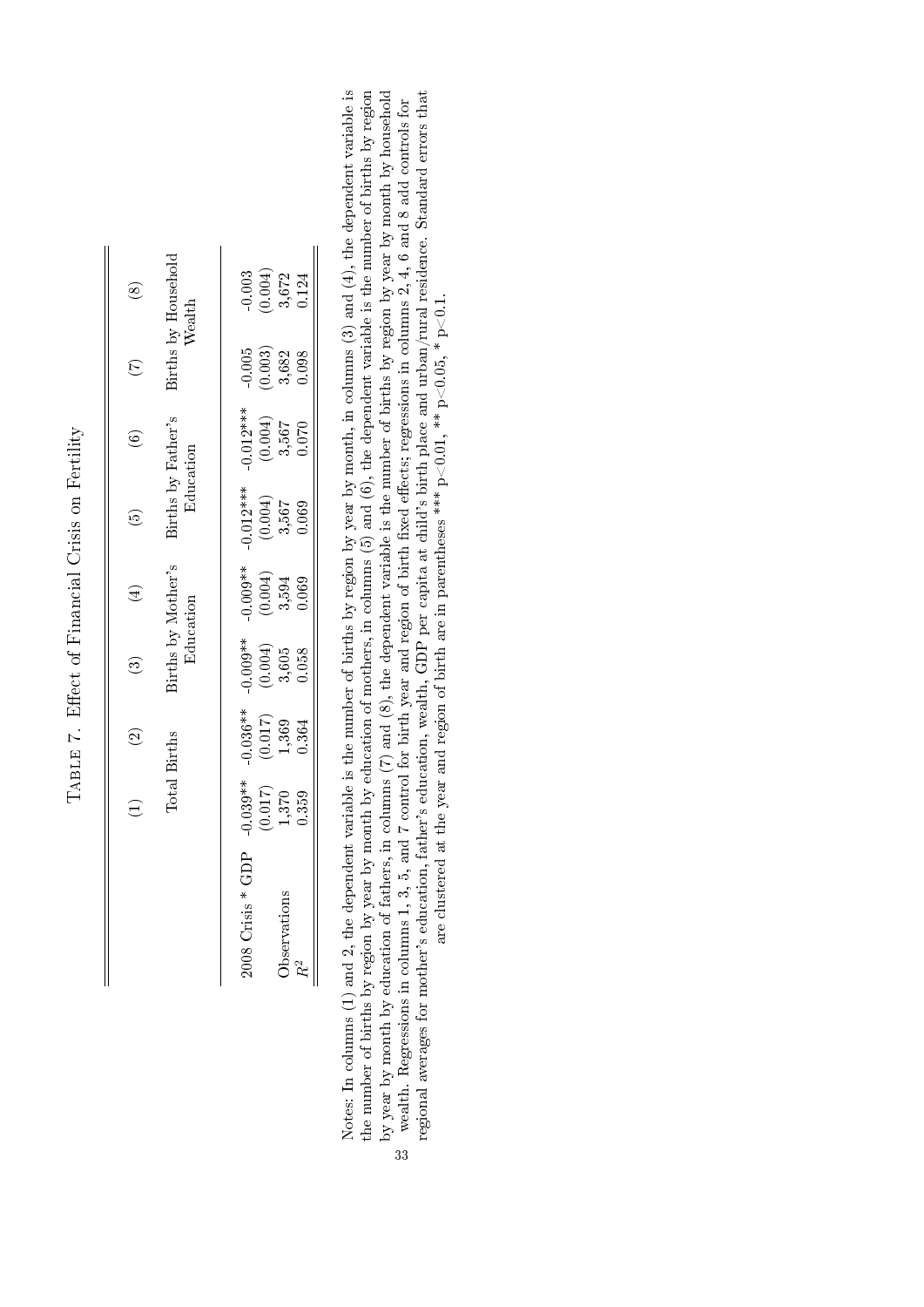| $\circledast$     | <b>Sirths by Household</b>      | $\begin{array}{c} 0.003 \\ 0.004) \\ 3.672 \\ 0.124 \end{array}$<br>$\begin{array}{c} 0.005 \\ 0.003 \\ -3.682 \\ 0.098 \end{array}$ |
|-------------------|---------------------------------|--------------------------------------------------------------------------------------------------------------------------------------|
|                   | Sirths by Father's              | $-0.012***$<br>(0.004)<br>3,567<br>3,567                                                                                             |
| $\widehat{\circ}$ | Education                       | $\begin{array}{c} 0.012*** \ (0.004) \ 3.567 \ 0.069 \end{array}$                                                                    |
|                   | 3irths by Mother's<br>Education | $0.009**$<br>$(0.004)$<br>$3.594$<br>$0.069$                                                                                         |
|                   |                                 | $\begin{array}{c} 0.009^{**} \ (0.004) \ 3.605 \ 0.058 \end{array}$                                                                  |
|                   | <b>Births</b>                   | $\begin{array}{c} 0.036** \ (0.017) \ 1.369 \ 0.364 \end{array}$                                                                     |
| $\overline{a}$    | $\lceil \text{total} \rceil$    | $0.039**$<br>$\begin{array}{c} (0.017) \\ 1.370 \\ 0.359 \end{array}$                                                                |
|                   |                                 | $*$ CDP<br>bservations<br>008 Crisis                                                                                                 |

TABLE 7. Effect of Financial Crisis on Fertility TABLE 7. Effect of Financial Crisis on Fertility Notes: In columns (1) and 2, the dependent variable is the number of births by region by year by month, in columns (3) and (4), the dependent variable is<br>the number of births by region by year by month by education of mot Notes: In columns (1) and 2, the dependent variable is the number of births by region by year by month, in columns (3) and (4), the dependent variable is the number of births by region by year by month by education of mothers, in columns (5) and (6), the dependent variable is the number of births by region by year by month by education of fathers, in columns (7) and (8), the dependent variable is the number of births by region by year by month by household wealth. Regressions in columns 1, 3, 5, and 7 control for birth year and region of birth fixed effects; regressions in columns 2, 4, 6 and 8 add controls for 33

regional averages for mother's education, father's education, wealth, GDP per capita at child's birth place and urban/rural residence. Standard errors that are clustered at the year and region of birth are in parentheses \*\*\* p<0.01, \*\* p<0.05, \* p<0.1.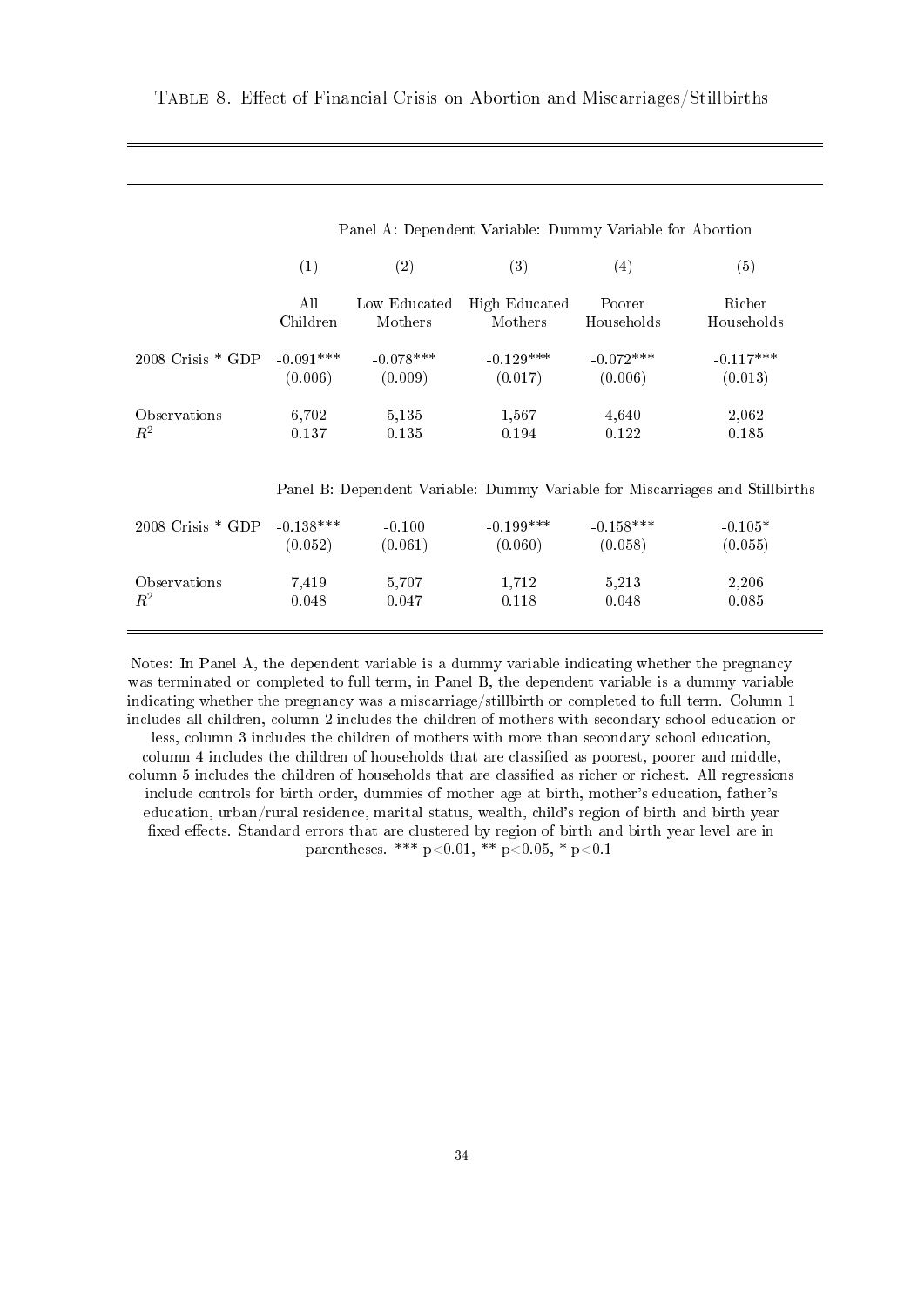|                       | Panel A: Dependent Variable: Dummy Variable for Abortion |              |               |             |                                                                              |  |  |
|-----------------------|----------------------------------------------------------|--------------|---------------|-------------|------------------------------------------------------------------------------|--|--|
|                       | (1)                                                      | (2)          | (3)           | (4)         | (5)                                                                          |  |  |
|                       | All                                                      | Low Educated | High Educated | Poorer      | Richer                                                                       |  |  |
|                       | Children                                                 | Mothers      | Mothers       | Households  | Households                                                                   |  |  |
| $2008$ Crisis $*$ GDP | $-0.091***$                                              | $-0.078***$  | $-0.129***$   | $-0.072***$ | $-0.117***$                                                                  |  |  |
|                       | (0.006)                                                  | (0.009)      | (0.017)       | (0.006)     | (0.013)                                                                      |  |  |
| Observations          | 6,702                                                    | 5,135        | 1,567         | 4,640       | 2,062                                                                        |  |  |
| $R^2$                 | 0.137                                                    | 0.135        | 0.194         | 0.122       | 0.185                                                                        |  |  |
|                       |                                                          |              |               |             | Panel B: Dependent Variable: Dummy Variable for Miscarriages and Stillbirths |  |  |
| $2008$ Crisis $*$ GDP | $-0.138***$                                              | $-0.100$     | $-0.199***$   | $-0.158***$ | $-0.105*$                                                                    |  |  |
|                       | (0.052)                                                  | (0.061)      | (0.060)       | (0.058)     | (0.055)                                                                      |  |  |
| Observations          | 7,419                                                    | 5,707        | 1,712         | 5,213       | 2,206                                                                        |  |  |
| $R^2$                 | 0.048                                                    | 0.047        | 0.118         | 0.048       | 0.085                                                                        |  |  |

Notes: In Panel A, the dependent variable is a dummy variable indicating whether the pregnancy was terminated or completed to full term, in Panel B, the dependent variable is a dummy variable indicating whether the pregnancy was a miscarriage/stillbirth or completed to full term. Column 1 includes all children, column 2 includes the children of mothers with secondary school education or less, column 3 includes the children of mothers with more than secondary school education, column 4 includes the children of households that are classified as poorest, poorer and middle, column 5 includes the children of households that are classified as richer or richest. All regressions include controls for birth order, dummies of mother age at birth, mother's education, father's education, urban/rural residence, marital status, wealth, child's region of birth and birth year fixed effects. Standard errors that are clustered by region of birth and birth year level are in parentheses. \*\*\*  $p<0.01$ , \*\*  $p<0.05$ , \*  $p<0.1$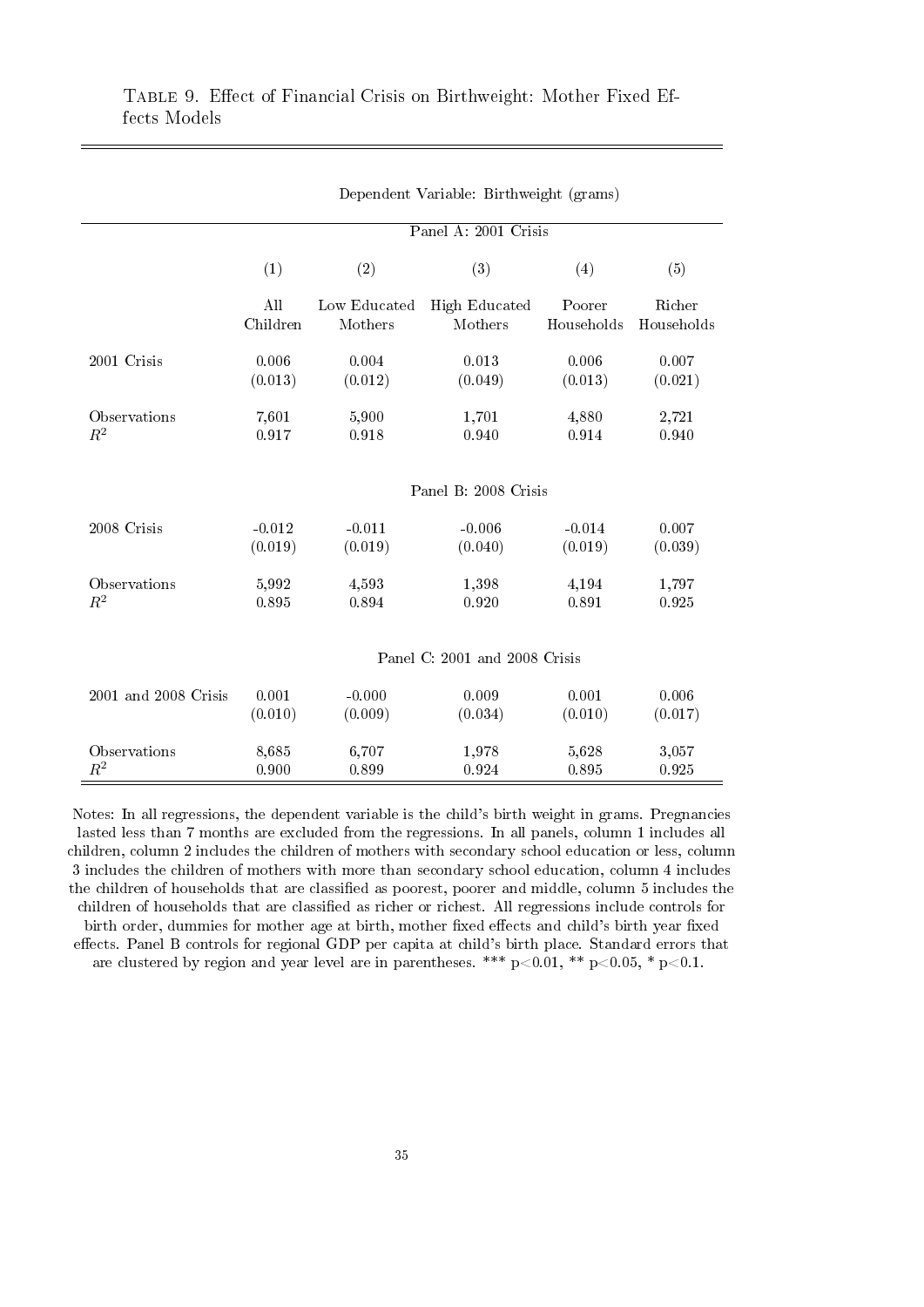|                      | Dependent Variable: Birthweight (grams) |              |                      |            |            |  |  |
|----------------------|-----------------------------------------|--------------|----------------------|------------|------------|--|--|
|                      |                                         |              | Panel A: 2001 Crisis |            |            |  |  |
|                      | (1)                                     | (2)          | (3)                  | (4)        | (5)        |  |  |
|                      | All                                     | Low Educated | High Educated        | Poorer     | Richer     |  |  |
|                      | Children                                | Mothers      | Mothers              | Households | Households |  |  |
| 2001 Crisis          | 0.006                                   | 0.004        | 0.013                | 0.006      | 0.007      |  |  |
|                      | (0.013)                                 | (0.012)      | (0.049)              | (0.013)    | (0.021)    |  |  |
| Observations         | 7,601                                   | 5,900        | 1,701                | 4,880      | 2,721      |  |  |
| $R^2$                | 0.917                                   | 0.918        | 0.940                | 0.914      | 0.940      |  |  |
|                      | Panel B: 2008 Crisis                    |              |                      |            |            |  |  |
| 2008 Crisis          | $-0.012$                                | $-0.011$     | $-0.006$             | $-0.014$   | 0.007      |  |  |
|                      | (0.019)                                 | (0.019)      | (0.040)              | (0.019)    | (0.039)    |  |  |
| Observations         | 5,992                                   | 4,593        | 1,398                | 4,194      | 1,797      |  |  |
| $R^2$                | 0.895                                   | 0.894        | 0.920                | 0.891      | 0.925      |  |  |
|                      | Panel C: 2001 and 2008 Crisis           |              |                      |            |            |  |  |
| 2001 and 2008 Crisis | 0.001                                   | $-0.000$     | 0.009                | 0.001      | 0.006      |  |  |
|                      | (0.010)                                 | (0.009)      | (0.034)              | (0.010)    | (0.017)    |  |  |
| Observations         | 8,685                                   | 6,707        | 1,978                | 5,628      | 3,057      |  |  |
| $R^2$                | 0.900                                   | 0.899        | 0.924                | 0.895      | 0.925      |  |  |

Notes: In all regressions, the dependent variable is the child's birth weight in grams. Pregnancies lasted less than 7 months are excluded from the regressions. In all panels, column 1 includes all children, column 2 includes the children of mothers with secondary school education or less, column 3 includes the children of mothers with more than secondary school education, column 4 includes the children of households that are classified as poorest, poorer and middle, column 5 includes the children of households that are classified as richer or richest. All regressions include controls for birth order, dummies for mother age at birth, mother fixed effects and child's birth year fixed effects. Panel B controls for regional GDP per capita at child's birth place. Standard errors that are clustered by region and year level are in parentheses. \*\*\* p<0.01, \*\* p<0.05, \* p<0.1.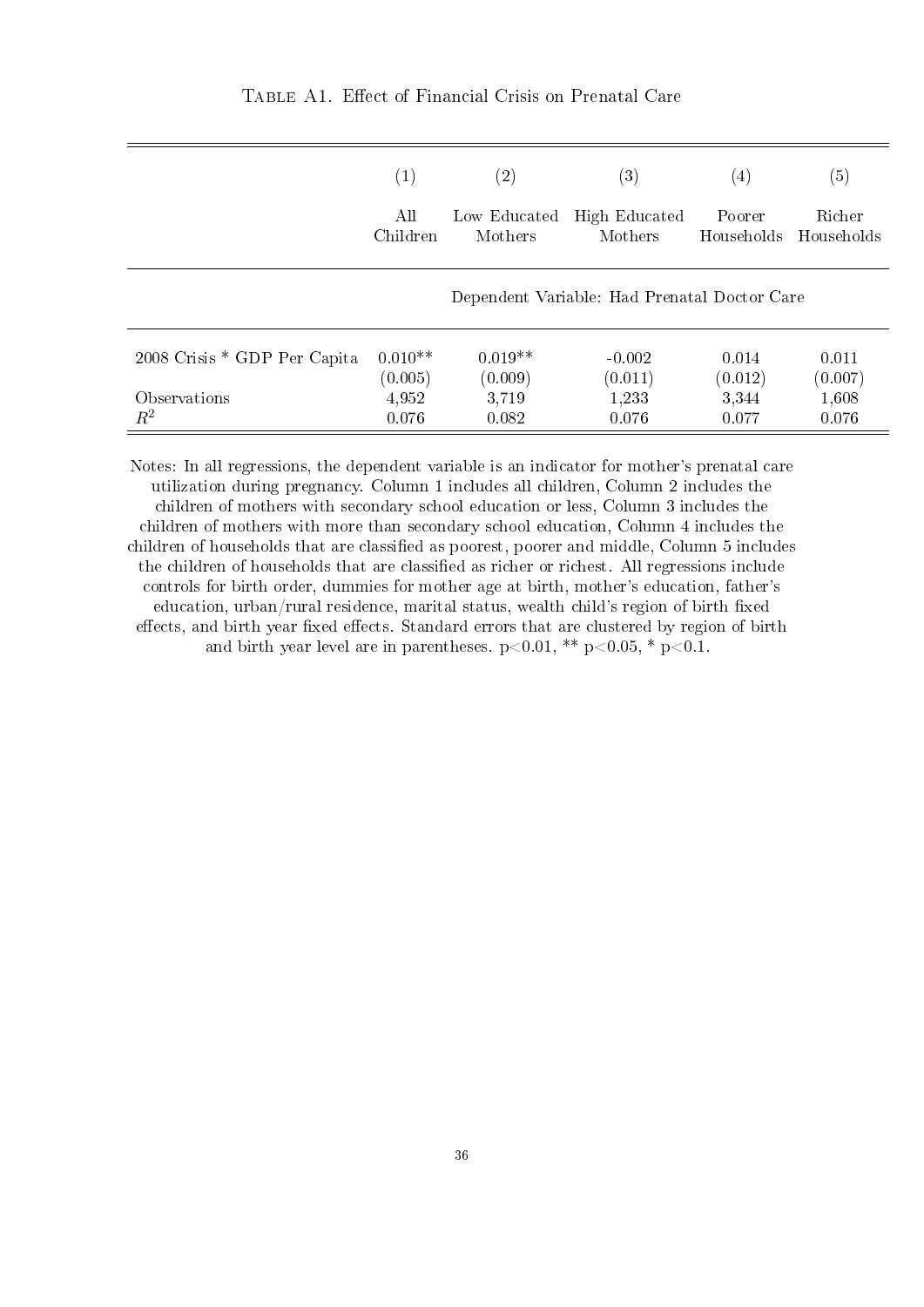|                              | $\left( 1\right)$ | (2)          | $\left( 3\right)$                            | $\left(4\right)$ | (5)        |
|------------------------------|-------------------|--------------|----------------------------------------------|------------------|------------|
|                              | All               | Low Educated | <b>High Educated</b>                         | Poorer           | Richer     |
|                              | Children          | Mothers      | Mothers                                      | Households       | Households |
|                              |                   |              | Dependent Variable: Had Prenatal Doctor Care |                  |            |
| 2008 Crisis * GDP Per Capita | $0.010**$         | $0.019**$    | $-0.002$                                     | 0.014            | 0.011      |
|                              | (0.005)           | (0.009)      | (0.011)                                      | (0.012)          | (0.007)    |
| Observations                 | 4,952             | 3,719        | 1,233                                        | 3,344            | 1,608      |
| $R^2$                        | 0.076             | 0.082        | 0.076                                        | 0.077            | 0.076      |

Notes: In all regressions, the dependent variable is an indicator for mother's prenatal care utilization during pregnancy. Column 1 includes all children, Column 2 includes the children of mothers with secondary school education or less, Column 3 includes the children of mothers with more than secondary school education, Column 4 includes the children of households that are classified as poorest, poorer and middle, Column 5 includes the children of households that are classified as richer or richest. All regressions include controls for birth order, dummies for mother age at birth, mother's education, father's education, urban/rural residence, marital status, wealth child's region of birth fixed effects, and birth year fixed effects. Standard errors that are clustered by region of birth and birth year level are in parentheses.  $p<0.01$ , \*\*  $p<0.05$ , \*  $p<0.1$ .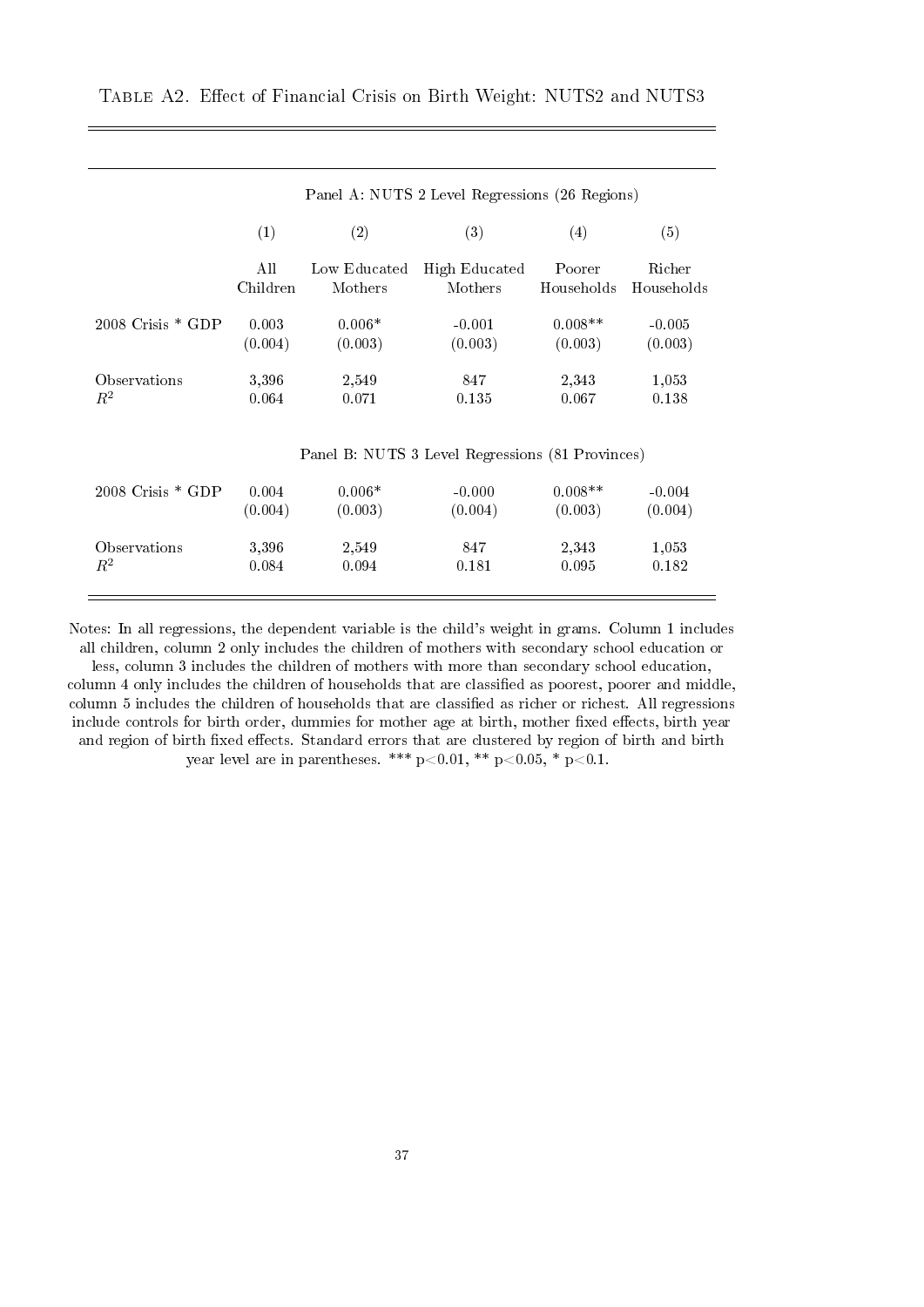|                       | Panel A: NUTS 2 Level Regressions (26 Regions) |              |                                                  |            |            |  |  |
|-----------------------|------------------------------------------------|--------------|--------------------------------------------------|------------|------------|--|--|
|                       | (1)                                            | (2)          | (3)                                              | (4)        | (5)        |  |  |
|                       | All                                            | Low Educated | High Educated                                    | Poorer     | Richer     |  |  |
|                       | Children                                       | Mothers      | Mothers                                          | Households | Households |  |  |
| $2008$ Crisis $*$ GDP | 0.003                                          | $0.006*$     | $-0.001$                                         | $0.008**$  | $-0.005$   |  |  |
|                       | (0.004)                                        | (0.003)      | (0.003)                                          | (0.003)    | (0.003)    |  |  |
| Observations          | 3,396                                          | 2,549        | 847                                              | 2,343      | 1,053      |  |  |
| $R^2$                 | 0.064                                          | 0.071        | 0.135                                            | 0.067      | 0.138      |  |  |
|                       |                                                |              | Panel B: NUTS 3 Level Regressions (81 Provinces) |            |            |  |  |
| $2008$ Crisis $*$ GDP | 0.004                                          | $0.006*$     | $-0.000$                                         | $0.008**$  | $-0.004$   |  |  |
|                       | (0.004)                                        | (0.003)      | (0.004)                                          | (0.003)    | (0.004)    |  |  |
| Observations          | 3,396                                          | 2,549        | 847                                              | 2,343      | 1,053      |  |  |
| $R^2$                 | 0.084                                          | 0.094        | 0.181                                            | 0.095      | 0.182      |  |  |

TABLE A2. Effect of Financial Crisis on Birth Weight: NUTS2 and NUTS3

Notes: In all regressions, the dependent variable is the child's weight in grams. Column 1 includes all children, column 2 only includes the children of mothers with secondary school education or less, column 3 includes the children of mothers with more than secondary school education,

column 4 only includes the children of households that are classified as poorest, poorer and middle, column 5 includes the children of households that are classified as richer or richest. All regressions include controls for birth order, dummies for mother age at birth, mother fixed effects, birth year and region of birth fixed effects. Standard errors that are clustered by region of birth and birth year level are in parentheses. \*\*\* p<0.01, \*\* p<0.05, \* p<0.1.